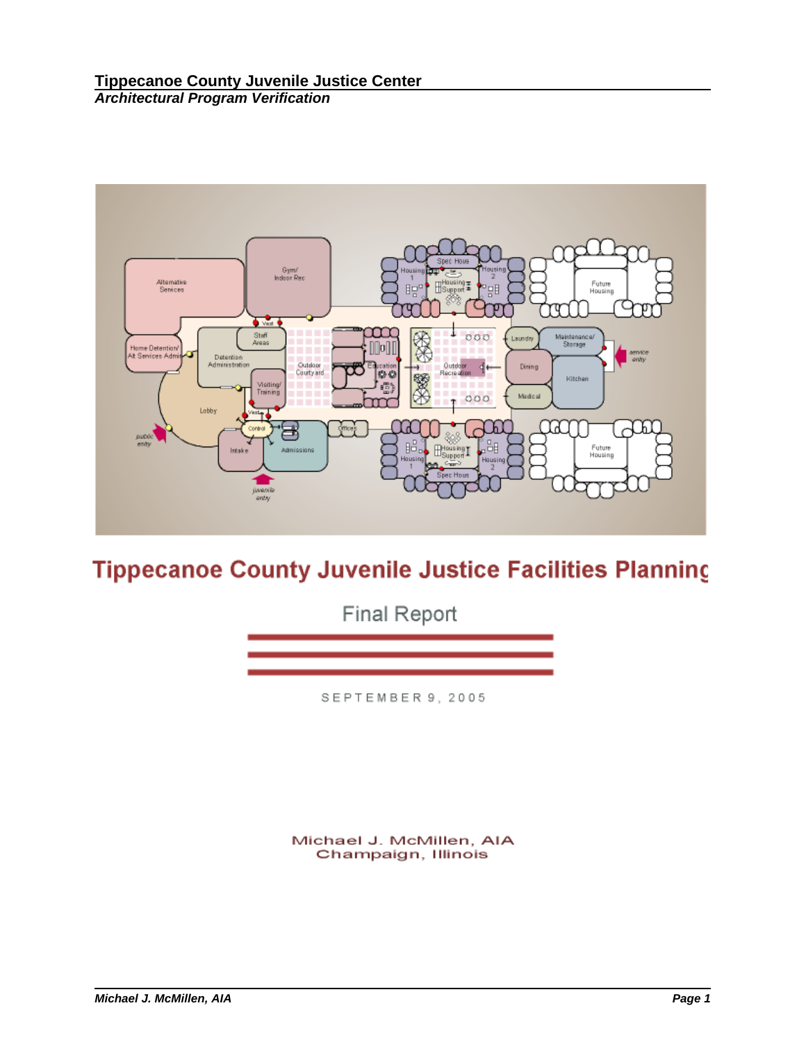

# **Tippecanoe County Juvenile Justice Facilities Planning**

**Final Report** 

SEPTEMBER 9, 2005

Michael J. McMillen, AIA Champaign, Illinois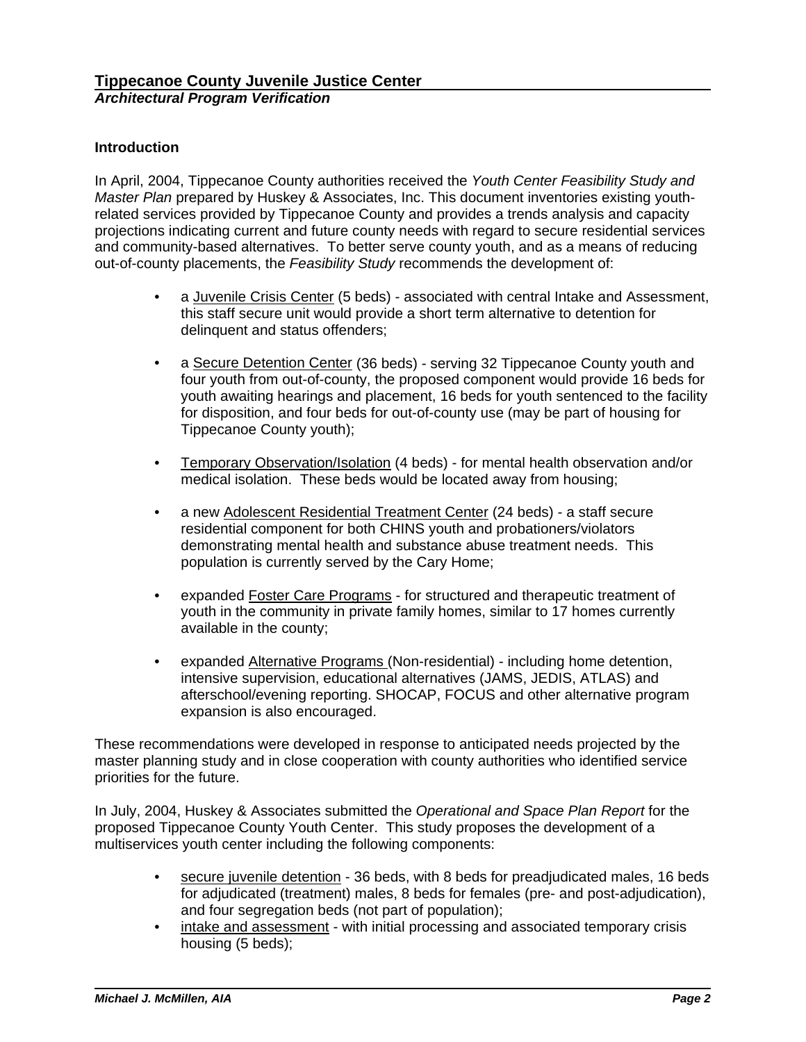# **Introduction**

In April, 2004, Tippecanoe County authorities received the *Youth Center Feasibility Study and Master Plan* prepared by Huskey & Associates, Inc. This document inventories existing youthrelated services provided by Tippecanoe County and provides a trends analysis and capacity projections indicating current and future county needs with regard to secure residential services and community-based alternatives. To better serve county youth, and as a means of reducing out-of-county placements, the *Feasibility Study* recommends the development of:

- a Juvenile Crisis Center (5 beds) associated with central Intake and Assessment, this staff secure unit would provide a short term alternative to detention for delinquent and status offenders;
- a Secure Detention Center (36 beds) serving 32 Tippecanoe County youth and four youth from out-of-county, the proposed component would provide 16 beds for youth awaiting hearings and placement, 16 beds for youth sentenced to the facility for disposition, and four beds for out-of-county use (may be part of housing for Tippecanoe County youth);
- Temporary Observation/Isolation (4 beds) for mental health observation and/or medical isolation. These beds would be located away from housing;
- a new Adolescent Residential Treatment Center (24 beds) a staff secure residential component for both CHINS youth and probationers/violators demonstrating mental health and substance abuse treatment needs. This population is currently served by the Cary Home;
- expanded Foster Care Programs for structured and therapeutic treatment of youth in the community in private family homes, similar to 17 homes currently available in the county;
- expanded Alternative Programs (Non-residential) including home detention, intensive supervision, educational alternatives (JAMS, JEDIS, ATLAS) and afterschool/evening reporting. SHOCAP, FOCUS and other alternative program expansion is also encouraged.

These recommendations were developed in response to anticipated needs projected by the master planning study and in close cooperation with county authorities who identified service priorities for the future.

In July, 2004, Huskey & Associates submitted the *Operational and Space Plan Report* for the proposed Tippecanoe County Youth Center. This study proposes the development of a multiservices youth center including the following components:

- secure juvenile detention 36 beds, with 8 beds for preadjudicated males, 16 beds for adjudicated (treatment) males, 8 beds for females (pre- and post-adjudication), and four segregation beds (not part of population);
- intake and assessment with initial processing and associated temporary crisis housing (5 beds);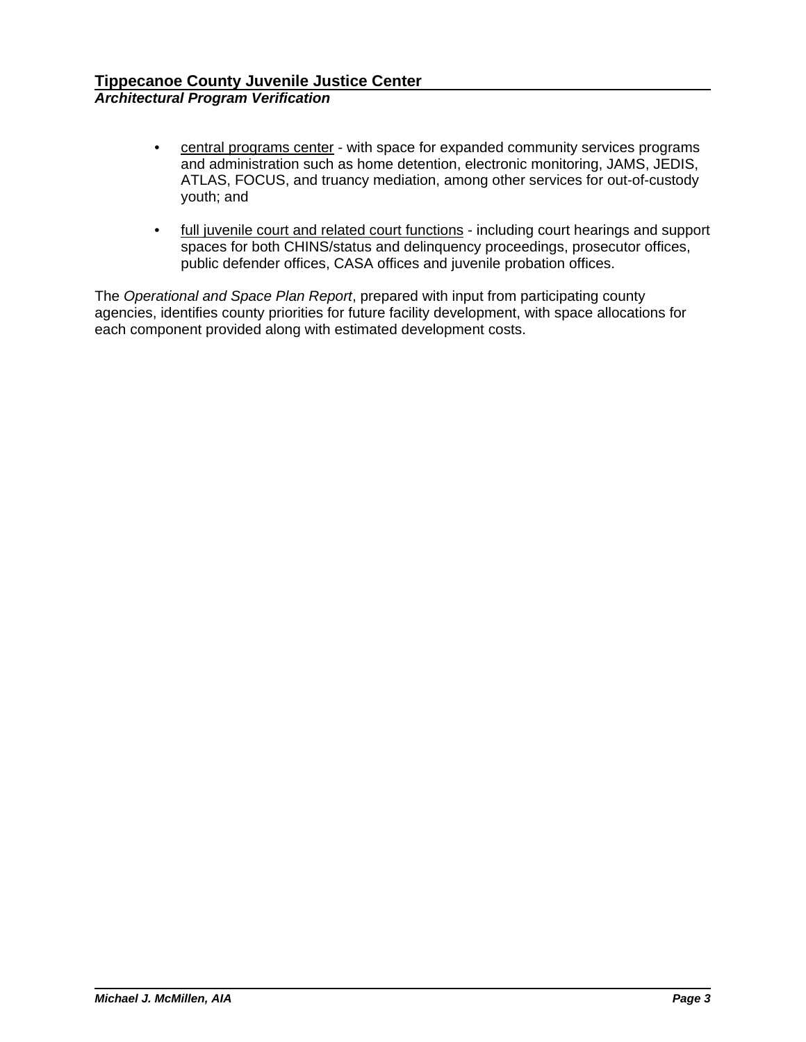- central programs center with space for expanded community services programs and administration such as home detention, electronic monitoring, JAMS, JEDIS, ATLAS, FOCUS, and truancy mediation, among other services for out-of-custody youth; and
- full juvenile court and related court functions including court hearings and support spaces for both CHINS/status and delinquency proceedings, prosecutor offices, public defender offices, CASA offices and juvenile probation offices.

The *Operational and Space Plan Report*, prepared with input from participating county agencies, identifies county priorities for future facility development, with space allocations for each component provided along with estimated development costs.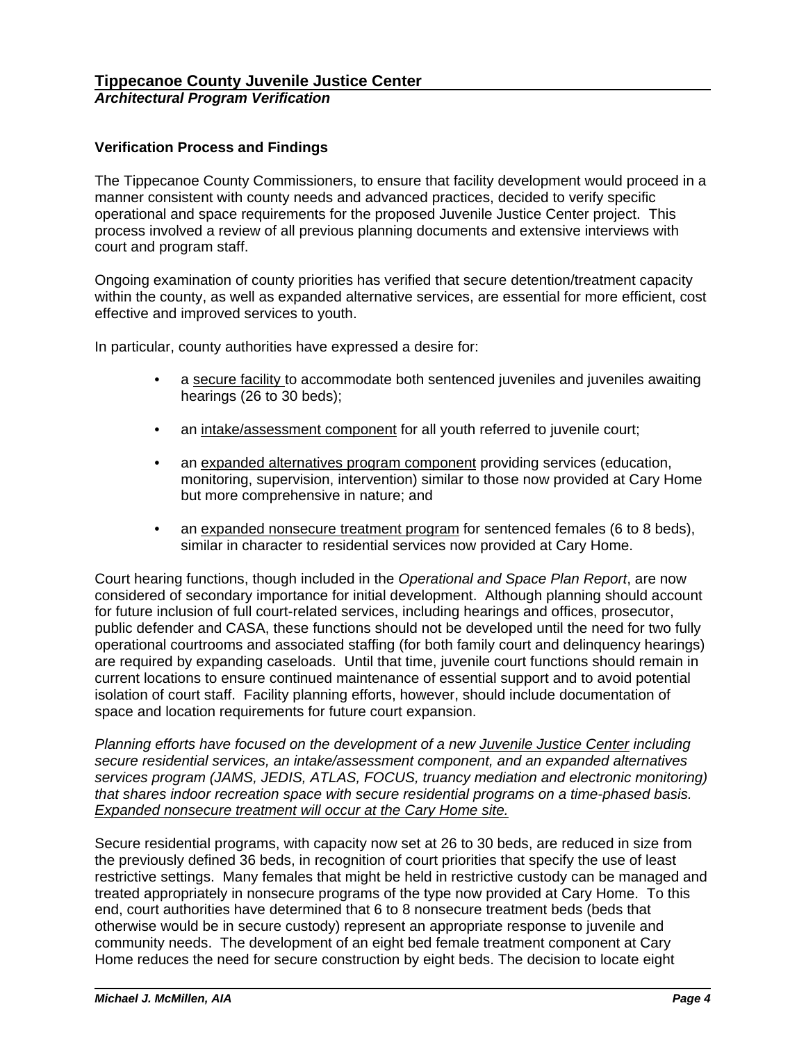# **Verification Process and Findings**

The Tippecanoe County Commissioners, to ensure that facility development would proceed in a manner consistent with county needs and advanced practices, decided to verify specific operational and space requirements for the proposed Juvenile Justice Center project. This process involved a review of all previous planning documents and extensive interviews with court and program staff.

Ongoing examination of county priorities has verified that secure detention/treatment capacity within the county, as well as expanded alternative services, are essential for more efficient, cost effective and improved services to youth.

In particular, county authorities have expressed a desire for:

- a secure facility to accommodate both sentenced juveniles and juveniles awaiting hearings (26 to 30 beds);
- an intake/assessment component for all youth referred to juvenile court;
- an expanded alternatives program component providing services (education, monitoring, supervision, intervention) similar to those now provided at Cary Home but more comprehensive in nature; and
- an expanded nonsecure treatment program for sentenced females (6 to 8 beds), similar in character to residential services now provided at Cary Home.

Court hearing functions, though included in the *Operational and Space Plan Report*, are now considered of secondary importance for initial development. Although planning should account for future inclusion of full court-related services, including hearings and offices, prosecutor, public defender and CASA, these functions should not be developed until the need for two fully operational courtrooms and associated staffing (for both family court and delinquency hearings) are required by expanding caseloads. Until that time, juvenile court functions should remain in current locations to ensure continued maintenance of essential support and to avoid potential isolation of court staff. Facility planning efforts, however, should include documentation of space and location requirements for future court expansion.

*Planning efforts have focused on the development of a new Juvenile Justice Center including secure residential services, an intake/assessment component, and an expanded alternatives services program (JAMS, JEDIS, ATLAS, FOCUS, truancy mediation and electronic monitoring) that shares indoor recreation space with secure residential programs on a time-phased basis. Expanded nonsecure treatment will occur at the Cary Home site.*

Secure residential programs, with capacity now set at 26 to 30 beds, are reduced in size from the previously defined 36 beds, in recognition of court priorities that specify the use of least restrictive settings. Many females that might be held in restrictive custody can be managed and treated appropriately in nonsecure programs of the type now provided at Cary Home. To this end, court authorities have determined that 6 to 8 nonsecure treatment beds (beds that otherwise would be in secure custody) represent an appropriate response to juvenile and community needs. The development of an eight bed female treatment component at Cary Home reduces the need for secure construction by eight beds. The decision to locate eight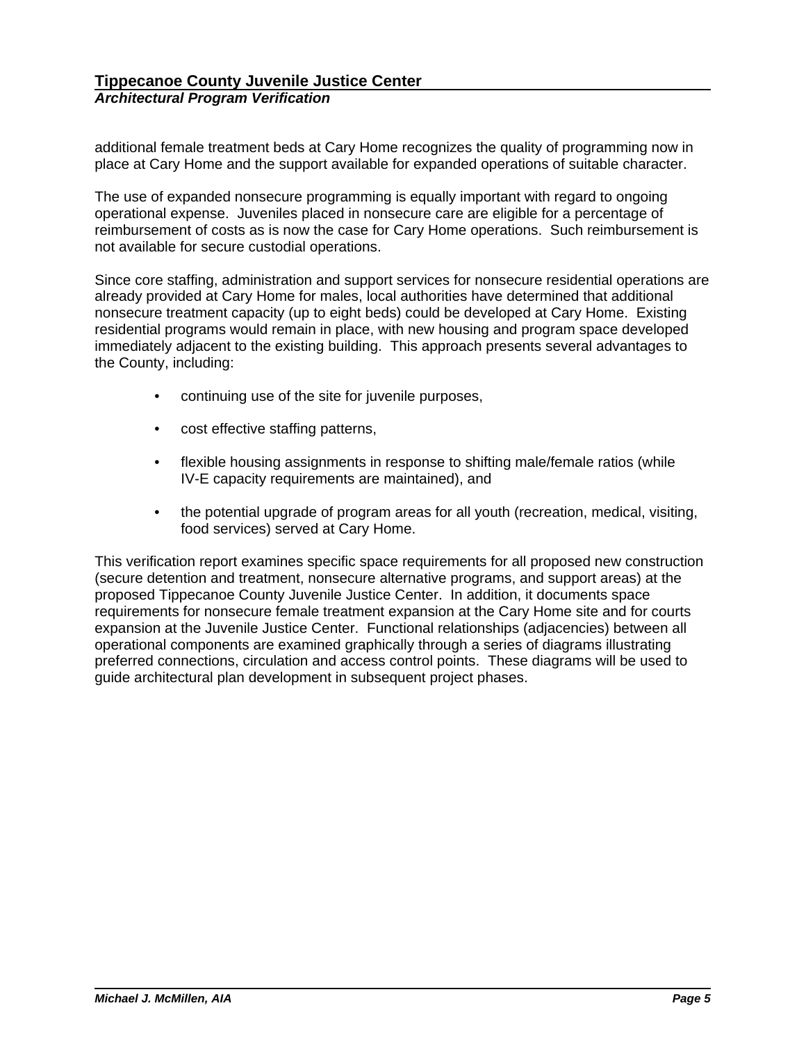additional female treatment beds at Cary Home recognizes the quality of programming now in place at Cary Home and the support available for expanded operations of suitable character.

The use of expanded nonsecure programming is equally important with regard to ongoing operational expense. Juveniles placed in nonsecure care are eligible for a percentage of reimbursement of costs as is now the case for Cary Home operations. Such reimbursement is not available for secure custodial operations.

Since core staffing, administration and support services for nonsecure residential operations are already provided at Cary Home for males, local authorities have determined that additional nonsecure treatment capacity (up to eight beds) could be developed at Cary Home. Existing residential programs would remain in place, with new housing and program space developed immediately adjacent to the existing building. This approach presents several advantages to the County, including:

- continuing use of the site for juvenile purposes,
- cost effective staffing patterns,
- flexible housing assignments in response to shifting male/female ratios (while IV-E capacity requirements are maintained), and
- the potential upgrade of program areas for all youth (recreation, medical, visiting, food services) served at Cary Home.

This verification report examines specific space requirements for all proposed new construction (secure detention and treatment, nonsecure alternative programs, and support areas) at the proposed Tippecanoe County Juvenile Justice Center. In addition, it documents space requirements for nonsecure female treatment expansion at the Cary Home site and for courts expansion at the Juvenile Justice Center. Functional relationships (adjacencies) between all operational components are examined graphically through a series of diagrams illustrating preferred connections, circulation and access control points. These diagrams will be used to guide architectural plan development in subsequent project phases.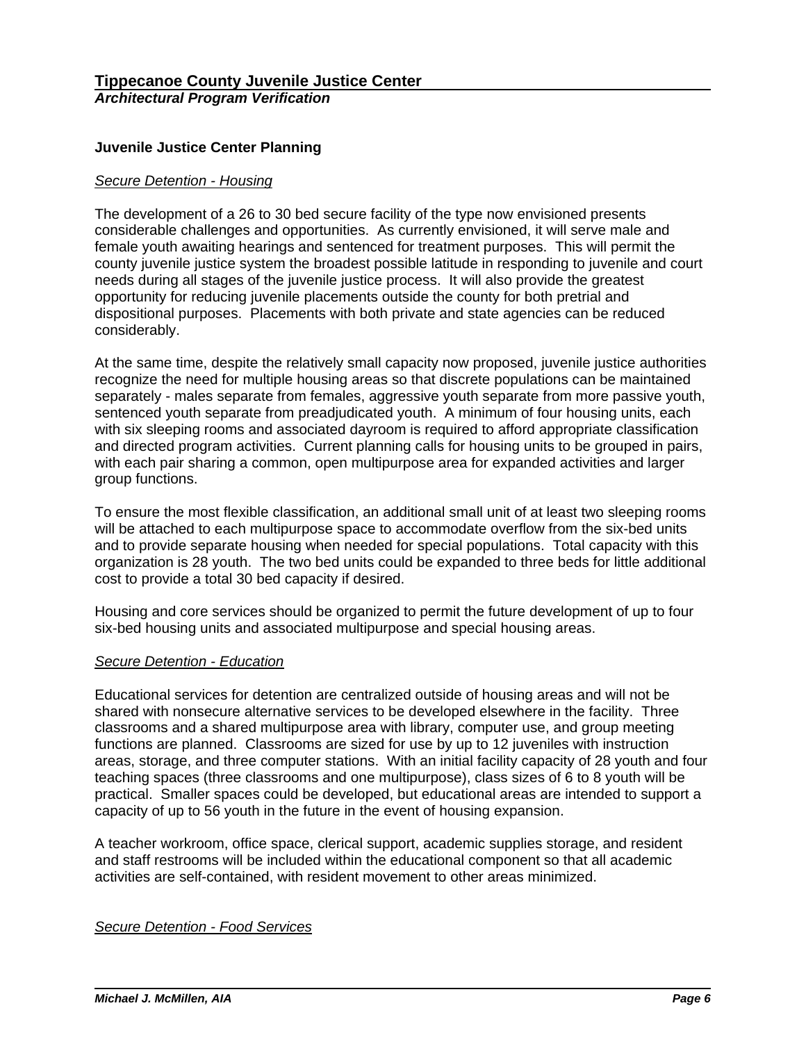# **Juvenile Justice Center Planning**

### *Secure Detention - Housing*

The development of a 26 to 30 bed secure facility of the type now envisioned presents considerable challenges and opportunities. As currently envisioned, it will serve male and female youth awaiting hearings and sentenced for treatment purposes. This will permit the county juvenile justice system the broadest possible latitude in responding to juvenile and court needs during all stages of the juvenile justice process. It will also provide the greatest opportunity for reducing juvenile placements outside the county for both pretrial and dispositional purposes. Placements with both private and state agencies can be reduced considerably.

At the same time, despite the relatively small capacity now proposed, juvenile justice authorities recognize the need for multiple housing areas so that discrete populations can be maintained separately - males separate from females, aggressive youth separate from more passive youth, sentenced youth separate from preadjudicated youth. A minimum of four housing units, each with six sleeping rooms and associated dayroom is required to afford appropriate classification and directed program activities. Current planning calls for housing units to be grouped in pairs, with each pair sharing a common, open multipurpose area for expanded activities and larger group functions.

To ensure the most flexible classification, an additional small unit of at least two sleeping rooms will be attached to each multipurpose space to accommodate overflow from the six-bed units and to provide separate housing when needed for special populations. Total capacity with this organization is 28 youth. The two bed units could be expanded to three beds for little additional cost to provide a total 30 bed capacity if desired.

Housing and core services should be organized to permit the future development of up to four six-bed housing units and associated multipurpose and special housing areas.

### *Secure Detention - Education*

Educational services for detention are centralized outside of housing areas and will not be shared with nonsecure alternative services to be developed elsewhere in the facility. Three classrooms and a shared multipurpose area with library, computer use, and group meeting functions are planned. Classrooms are sized for use by up to 12 juveniles with instruction areas, storage, and three computer stations. With an initial facility capacity of 28 youth and four teaching spaces (three classrooms and one multipurpose), class sizes of 6 to 8 youth will be practical. Smaller spaces could be developed, but educational areas are intended to support a capacity of up to 56 youth in the future in the event of housing expansion.

A teacher workroom, office space, clerical support, academic supplies storage, and resident and staff restrooms will be included within the educational component so that all academic activities are self-contained, with resident movement to other areas minimized.

## *Secure Detention - Food Services*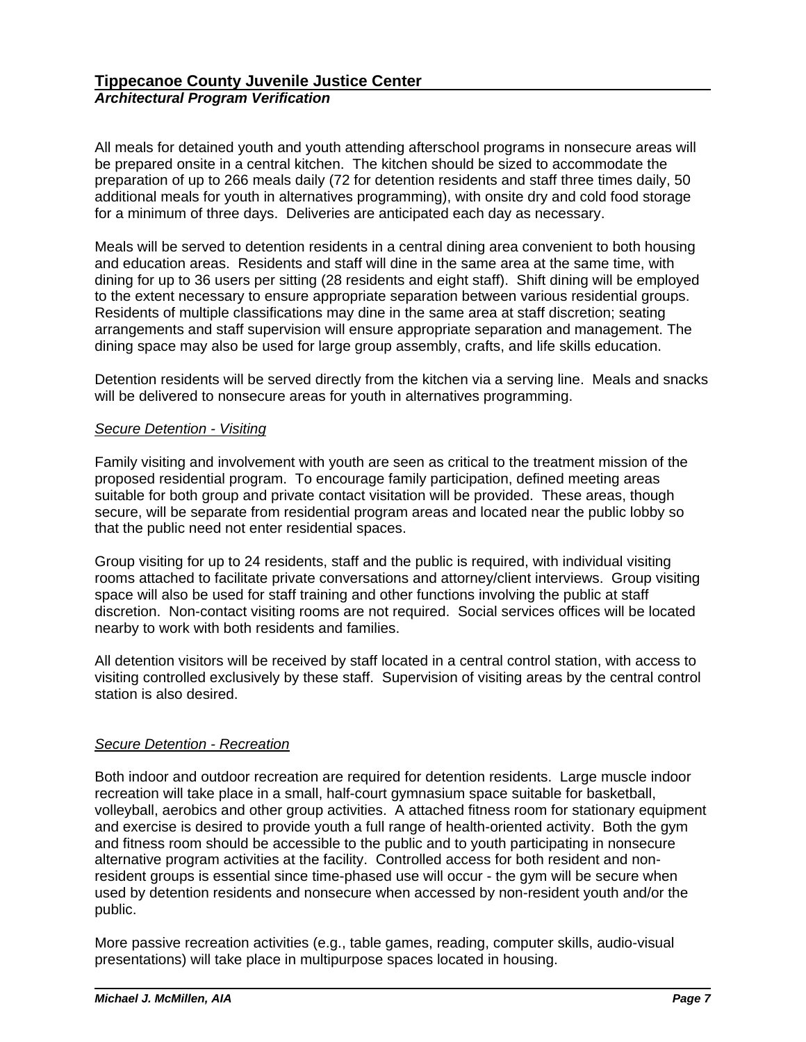All meals for detained youth and youth attending afterschool programs in nonsecure areas will be prepared onsite in a central kitchen. The kitchen should be sized to accommodate the preparation of up to 266 meals daily (72 for detention residents and staff three times daily, 50 additional meals for youth in alternatives programming), with onsite dry and cold food storage for a minimum of three days. Deliveries are anticipated each day as necessary.

Meals will be served to detention residents in a central dining area convenient to both housing and education areas. Residents and staff will dine in the same area at the same time, with dining for up to 36 users per sitting (28 residents and eight staff). Shift dining will be employed to the extent necessary to ensure appropriate separation between various residential groups. Residents of multiple classifications may dine in the same area at staff discretion; seating arrangements and staff supervision will ensure appropriate separation and management. The dining space may also be used for large group assembly, crafts, and life skills education.

Detention residents will be served directly from the kitchen via a serving line. Meals and snacks will be delivered to nonsecure areas for youth in alternatives programming.

# *Secure Detention - Visiting*

Family visiting and involvement with youth are seen as critical to the treatment mission of the proposed residential program. To encourage family participation, defined meeting areas suitable for both group and private contact visitation will be provided. These areas, though secure, will be separate from residential program areas and located near the public lobby so that the public need not enter residential spaces.

Group visiting for up to 24 residents, staff and the public is required, with individual visiting rooms attached to facilitate private conversations and attorney/client interviews. Group visiting space will also be used for staff training and other functions involving the public at staff discretion. Non-contact visiting rooms are not required. Social services offices will be located nearby to work with both residents and families.

All detention visitors will be received by staff located in a central control station, with access to visiting controlled exclusively by these staff. Supervision of visiting areas by the central control station is also desired.

# *Secure Detention - Recreation*

Both indoor and outdoor recreation are required for detention residents. Large muscle indoor recreation will take place in a small, half-court gymnasium space suitable for basketball, volleyball, aerobics and other group activities. A attached fitness room for stationary equipment and exercise is desired to provide youth a full range of health-oriented activity. Both the gym and fitness room should be accessible to the public and to youth participating in nonsecure alternative program activities at the facility. Controlled access for both resident and nonresident groups is essential since time-phased use will occur - the gym will be secure when used by detention residents and nonsecure when accessed by non-resident youth and/or the public.

More passive recreation activities (e.g., table games, reading, computer skills, audio-visual presentations) will take place in multipurpose spaces located in housing.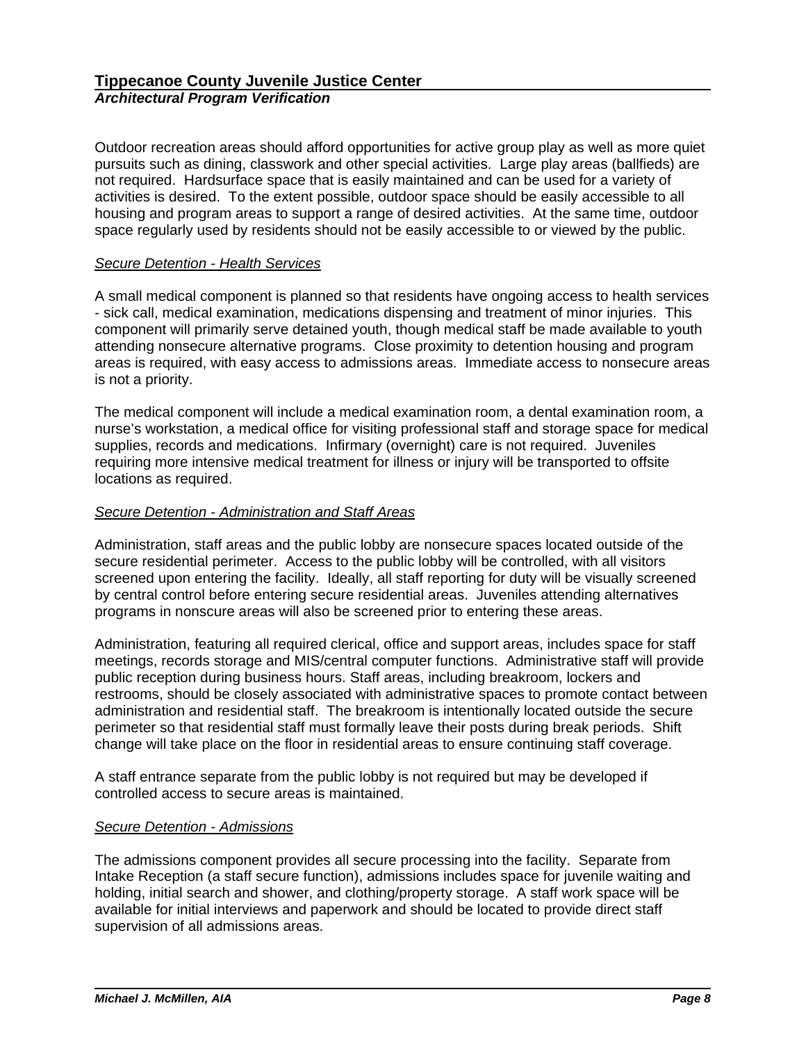Outdoor recreation areas should afford opportunities for active group play as well as more quiet pursuits such as dining, classwork and other special activities. Large play areas (ballfieds) are not required. Hardsurface space that is easily maintained and can be used for a variety of activities is desired. To the extent possible, outdoor space should be easily accessible to all housing and program areas to support a range of desired activities. At the same time, outdoor space regularly used by residents should not be easily accessible to or viewed by the public.

### *Secure Detention - Health Services*

A small medical component is planned so that residents have ongoing access to health services - sick call, medical examination, medications dispensing and treatment of minor injuries. This component will primarily serve detained youth, though medical staff be made available to youth attending nonsecure alternative programs. Close proximity to detention housing and program areas is required, with easy access to admissions areas. Immediate access to nonsecure areas is not a priority.

The medical component will include a medical examination room, a dental examination room, a nurse's workstation, a medical office for visiting professional staff and storage space for medical supplies, records and medications. Infirmary (overnight) care is not required. Juveniles requiring more intensive medical treatment for illness or injury will be transported to offsite locations as required.

### *Secure Detention - Administration and Staff Areas*

Administration, staff areas and the public lobby are nonsecure spaces located outside of the secure residential perimeter. Access to the public lobby will be controlled, with all visitors screened upon entering the facility. Ideally, all staff reporting for duty will be visually screened by central control before entering secure residential areas. Juveniles attending alternatives programs in nonscure areas will also be screened prior to entering these areas.

Administration, featuring all required clerical, office and support areas, includes space for staff meetings, records storage and MIS/central computer functions. Administrative staff will provide public reception during business hours. Staff areas, including breakroom, lockers and restrooms, should be closely associated with administrative spaces to promote contact between administration and residential staff. The breakroom is intentionally located outside the secure perimeter so that residential staff must formally leave their posts during break periods. Shift change will take place on the floor in residential areas to ensure continuing staff coverage.

A staff entrance separate from the public lobby is not required but may be developed if controlled access to secure areas is maintained.

# *Secure Detention - Admissions*

The admissions component provides all secure processing into the facility. Separate from Intake Reception (a staff secure function), admissions includes space for juvenile waiting and holding, initial search and shower, and clothing/property storage. A staff work space will be available for initial interviews and paperwork and should be located to provide direct staff supervision of all admissions areas.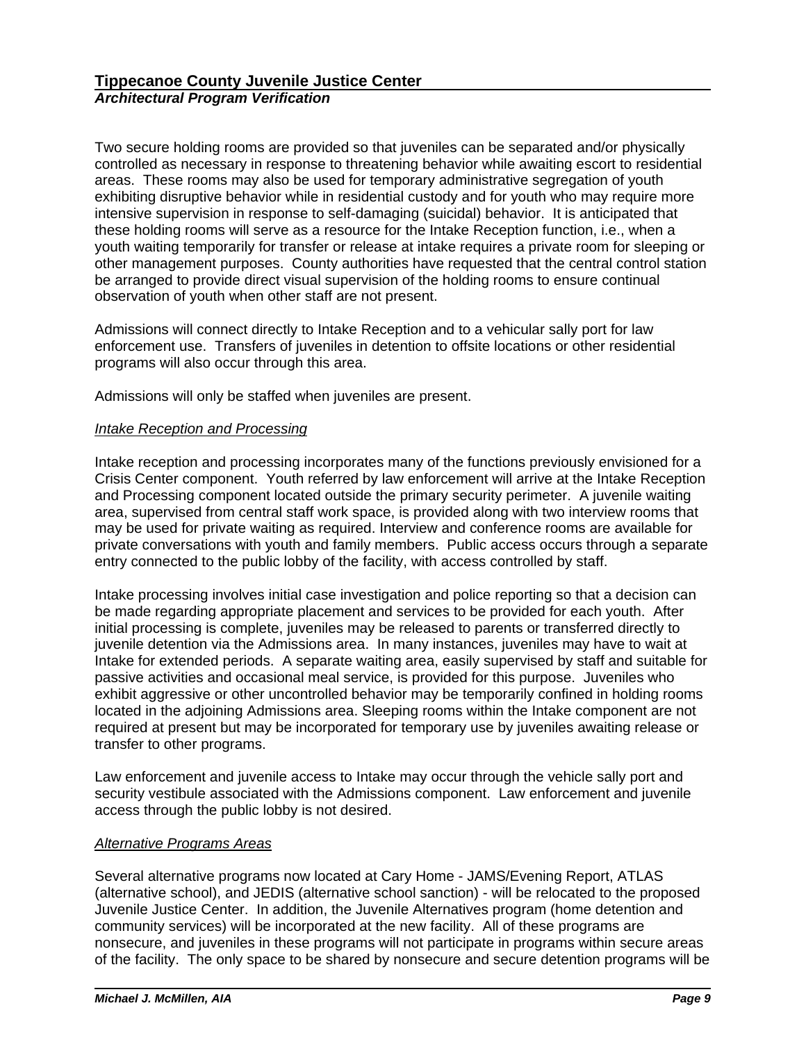Two secure holding rooms are provided so that juveniles can be separated and/or physically controlled as necessary in response to threatening behavior while awaiting escort to residential areas. These rooms may also be used for temporary administrative segregation of youth exhibiting disruptive behavior while in residential custody and for youth who may require more intensive supervision in response to self-damaging (suicidal) behavior. It is anticipated that these holding rooms will serve as a resource for the Intake Reception function, i.e., when a youth waiting temporarily for transfer or release at intake requires a private room for sleeping or other management purposes. County authorities have requested that the central control station be arranged to provide direct visual supervision of the holding rooms to ensure continual observation of youth when other staff are not present.

Admissions will connect directly to Intake Reception and to a vehicular sally port for law enforcement use. Transfers of juveniles in detention to offsite locations or other residential programs will also occur through this area.

Admissions will only be staffed when juveniles are present.

# *Intake Reception and Processing*

Intake reception and processing incorporates many of the functions previously envisioned for a Crisis Center component. Youth referred by law enforcement will arrive at the Intake Reception and Processing component located outside the primary security perimeter. A juvenile waiting area, supervised from central staff work space, is provided along with two interview rooms that may be used for private waiting as required. Interview and conference rooms are available for private conversations with youth and family members. Public access occurs through a separate entry connected to the public lobby of the facility, with access controlled by staff.

Intake processing involves initial case investigation and police reporting so that a decision can be made regarding appropriate placement and services to be provided for each youth. After initial processing is complete, juveniles may be released to parents or transferred directly to juvenile detention via the Admissions area. In many instances, juveniles may have to wait at Intake for extended periods. A separate waiting area, easily supervised by staff and suitable for passive activities and occasional meal service, is provided for this purpose. Juveniles who exhibit aggressive or other uncontrolled behavior may be temporarily confined in holding rooms located in the adjoining Admissions area. Sleeping rooms within the Intake component are not required at present but may be incorporated for temporary use by juveniles awaiting release or transfer to other programs.

Law enforcement and juvenile access to Intake may occur through the vehicle sally port and security vestibule associated with the Admissions component. Law enforcement and juvenile access through the public lobby is not desired.

### *Alternative Programs Areas*

Several alternative programs now located at Cary Home - JAMS/Evening Report, ATLAS (alternative school), and JEDIS (alternative school sanction) - will be relocated to the proposed Juvenile Justice Center. In addition, the Juvenile Alternatives program (home detention and community services) will be incorporated at the new facility. All of these programs are nonsecure, and juveniles in these programs will not participate in programs within secure areas of the facility. The only space to be shared by nonsecure and secure detention programs will be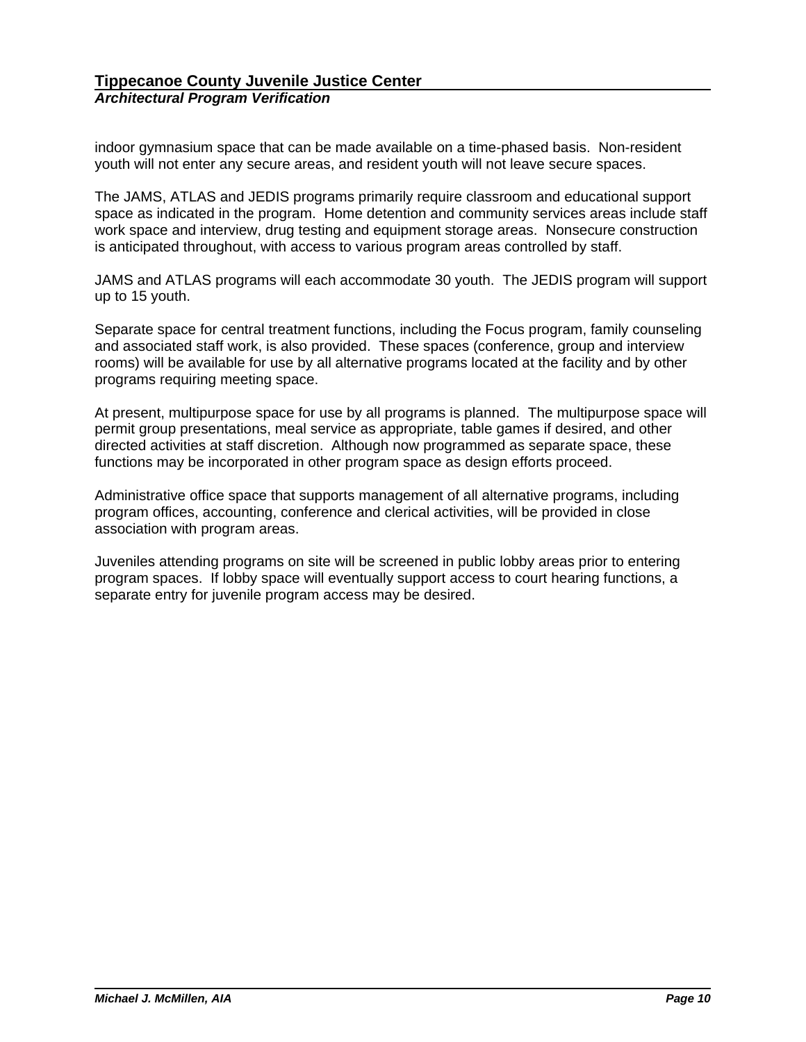indoor gymnasium space that can be made available on a time-phased basis. Non-resident youth will not enter any secure areas, and resident youth will not leave secure spaces.

The JAMS, ATLAS and JEDIS programs primarily require classroom and educational support space as indicated in the program. Home detention and community services areas include staff work space and interview, drug testing and equipment storage areas. Nonsecure construction is anticipated throughout, with access to various program areas controlled by staff.

JAMS and ATLAS programs will each accommodate 30 youth. The JEDIS program will support up to 15 youth.

Separate space for central treatment functions, including the Focus program, family counseling and associated staff work, is also provided. These spaces (conference, group and interview rooms) will be available for use by all alternative programs located at the facility and by other programs requiring meeting space.

At present, multipurpose space for use by all programs is planned. The multipurpose space will permit group presentations, meal service as appropriate, table games if desired, and other directed activities at staff discretion. Although now programmed as separate space, these functions may be incorporated in other program space as design efforts proceed.

Administrative office space that supports management of all alternative programs, including program offices, accounting, conference and clerical activities, will be provided in close association with program areas.

Juveniles attending programs on site will be screened in public lobby areas prior to entering program spaces. If lobby space will eventually support access to court hearing functions, a separate entry for juvenile program access may be desired.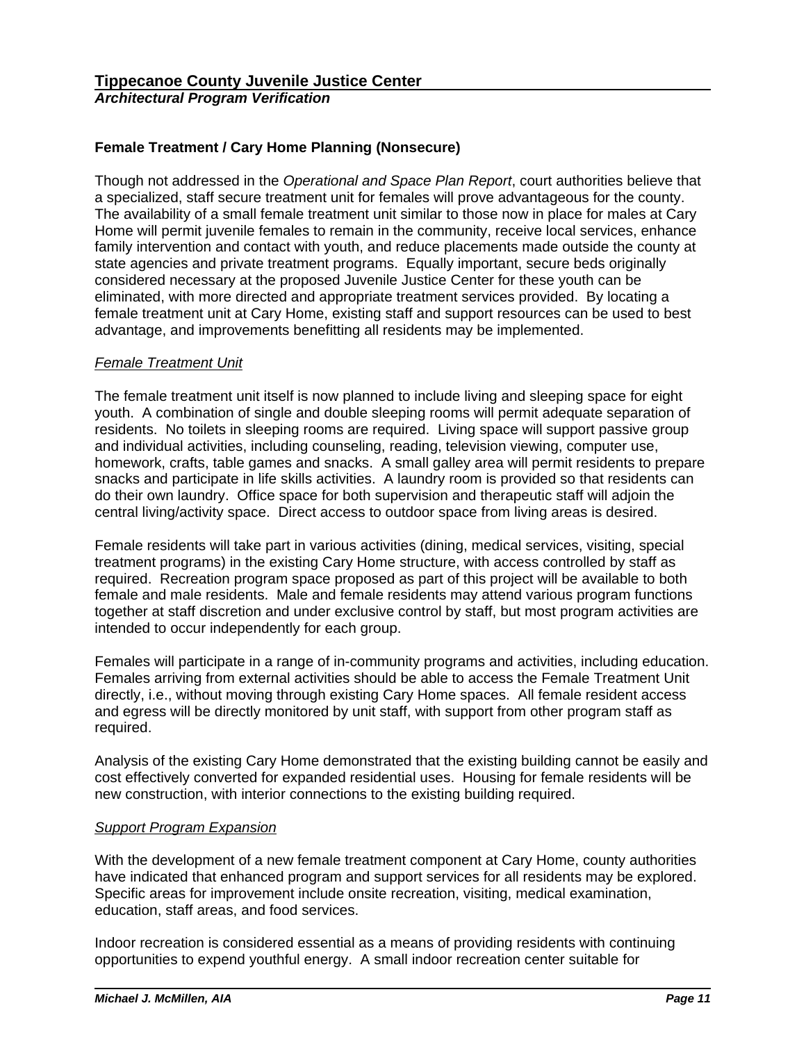# **Female Treatment / Cary Home Planning (Nonsecure)**

Though not addressed in the *Operational and Space Plan Report*, court authorities believe that a specialized, staff secure treatment unit for females will prove advantageous for the county. The availability of a small female treatment unit similar to those now in place for males at Cary Home will permit juvenile females to remain in the community, receive local services, enhance family intervention and contact with youth, and reduce placements made outside the county at state agencies and private treatment programs. Equally important, secure beds originally considered necessary at the proposed Juvenile Justice Center for these youth can be eliminated, with more directed and appropriate treatment services provided. By locating a female treatment unit at Cary Home, existing staff and support resources can be used to best advantage, and improvements benefitting all residents may be implemented.

# *Female Treatment Unit*

The female treatment unit itself is now planned to include living and sleeping space for eight youth. A combination of single and double sleeping rooms will permit adequate separation of residents. No toilets in sleeping rooms are required. Living space will support passive group and individual activities, including counseling, reading, television viewing, computer use, homework, crafts, table games and snacks. A small galley area will permit residents to prepare snacks and participate in life skills activities. A laundry room is provided so that residents can do their own laundry. Office space for both supervision and therapeutic staff will adjoin the central living/activity space. Direct access to outdoor space from living areas is desired.

Female residents will take part in various activities (dining, medical services, visiting, special treatment programs) in the existing Cary Home structure, with access controlled by staff as required. Recreation program space proposed as part of this project will be available to both female and male residents. Male and female residents may attend various program functions together at staff discretion and under exclusive control by staff, but most program activities are intended to occur independently for each group.

Females will participate in a range of in-community programs and activities, including education. Females arriving from external activities should be able to access the Female Treatment Unit directly, i.e., without moving through existing Cary Home spaces. All female resident access and egress will be directly monitored by unit staff, with support from other program staff as required.

Analysis of the existing Cary Home demonstrated that the existing building cannot be easily and cost effectively converted for expanded residential uses. Housing for female residents will be new construction, with interior connections to the existing building required.

# *Support Program Expansion*

With the development of a new female treatment component at Cary Home, county authorities have indicated that enhanced program and support services for all residents may be explored. Specific areas for improvement include onsite recreation, visiting, medical examination, education, staff areas, and food services.

Indoor recreation is considered essential as a means of providing residents with continuing opportunities to expend youthful energy. A small indoor recreation center suitable for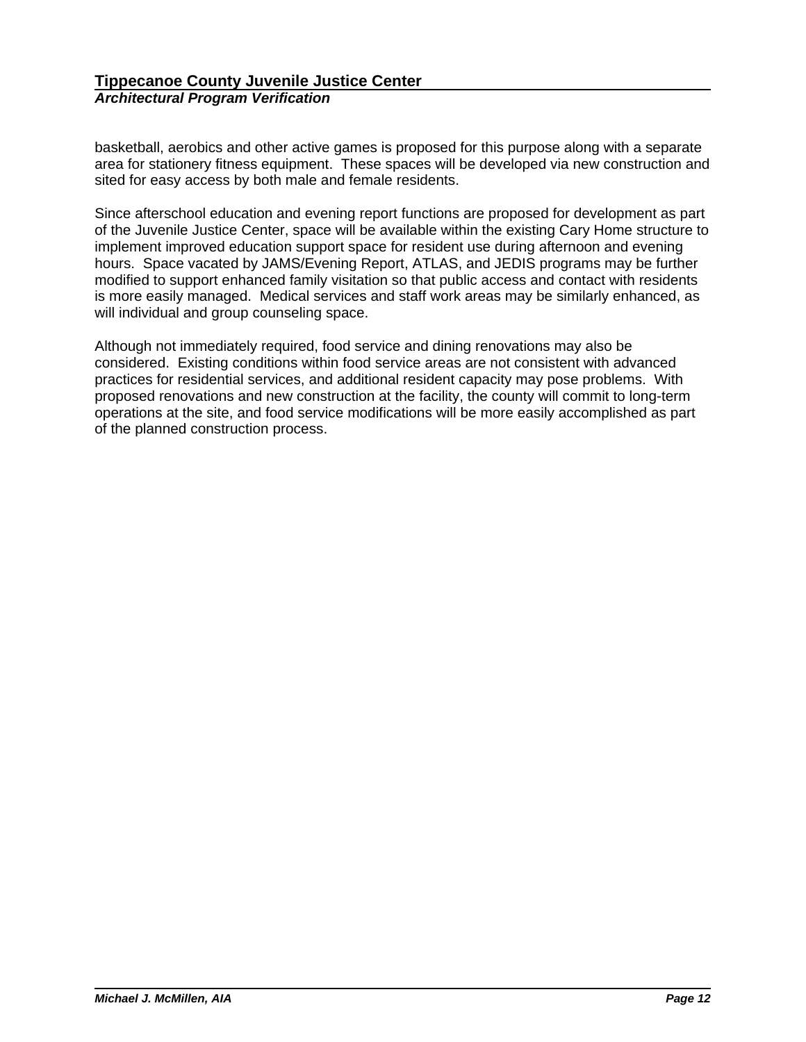basketball, aerobics and other active games is proposed for this purpose along with a separate area for stationery fitness equipment. These spaces will be developed via new construction and sited for easy access by both male and female residents.

Since afterschool education and evening report functions are proposed for development as part of the Juvenile Justice Center, space will be available within the existing Cary Home structure to implement improved education support space for resident use during afternoon and evening hours. Space vacated by JAMS/Evening Report, ATLAS, and JEDIS programs may be further modified to support enhanced family visitation so that public access and contact with residents is more easily managed. Medical services and staff work areas may be similarly enhanced, as will individual and group counseling space.

Although not immediately required, food service and dining renovations may also be considered. Existing conditions within food service areas are not consistent with advanced practices for residential services, and additional resident capacity may pose problems. With proposed renovations and new construction at the facility, the county will commit to long-term operations at the site, and food service modifications will be more easily accomplished as part of the planned construction process.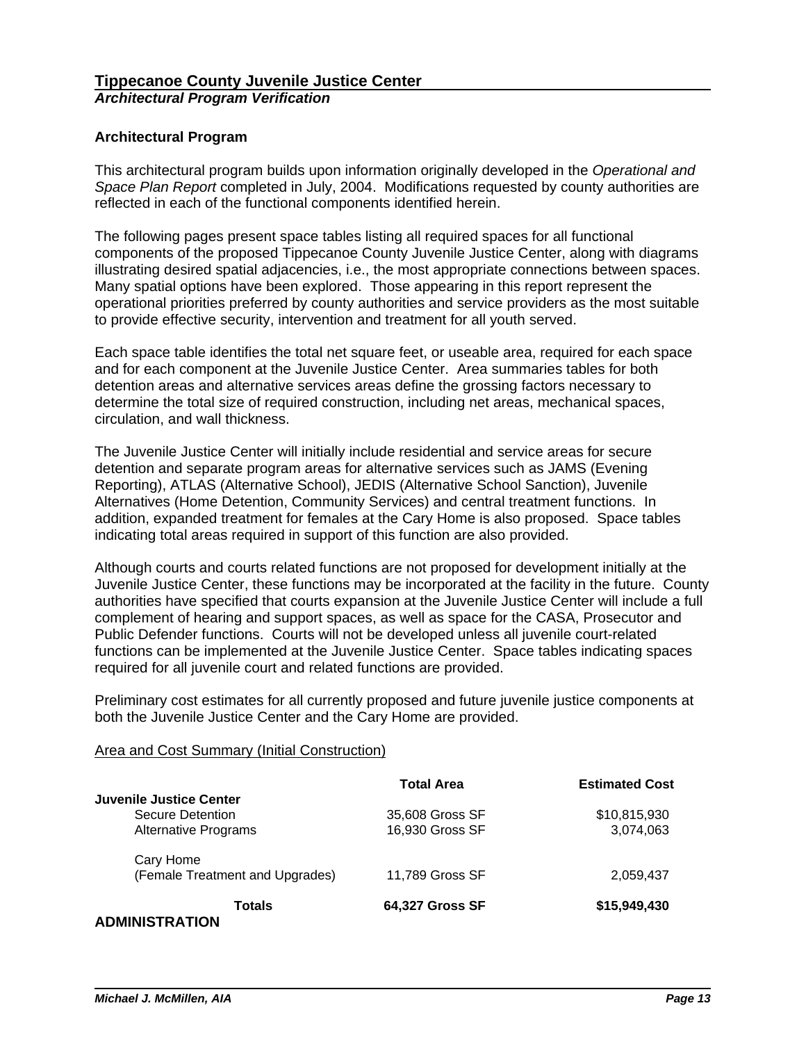# **Architectural Program**

This architectural program builds upon information originally developed in the *Operational and Space Plan Report* completed in July, 2004. Modifications requested by county authorities are reflected in each of the functional components identified herein.

The following pages present space tables listing all required spaces for all functional components of the proposed Tippecanoe County Juvenile Justice Center, along with diagrams illustrating desired spatial adjacencies, i.e., the most appropriate connections between spaces. Many spatial options have been explored. Those appearing in this report represent the operational priorities preferred by county authorities and service providers as the most suitable to provide effective security, intervention and treatment for all youth served.

Each space table identifies the total net square feet, or useable area, required for each space and for each component at the Juvenile Justice Center. Area summaries tables for both detention areas and alternative services areas define the grossing factors necessary to determine the total size of required construction, including net areas, mechanical spaces, circulation, and wall thickness.

The Juvenile Justice Center will initially include residential and service areas for secure detention and separate program areas for alternative services such as JAMS (Evening Reporting), ATLAS (Alternative School), JEDIS (Alternative School Sanction), Juvenile Alternatives (Home Detention, Community Services) and central treatment functions. In addition, expanded treatment for females at the Cary Home is also proposed. Space tables indicating total areas required in support of this function are also provided.

Although courts and courts related functions are not proposed for development initially at the Juvenile Justice Center, these functions may be incorporated at the facility in the future. County authorities have specified that courts expansion at the Juvenile Justice Center will include a full complement of hearing and support spaces, as well as space for the CASA, Prosecutor and Public Defender functions. Courts will not be developed unless all juvenile court-related functions can be implemented at the Juvenile Justice Center. Space tables indicating spaces required for all juvenile court and related functions are provided.

Preliminary cost estimates for all currently proposed and future juvenile justice components at both the Juvenile Justice Center and the Cary Home are provided.

# Area and Cost Summary (Initial Construction)

|                                 | <b>Total Area</b>      | <b>Estimated Cost</b> |
|---------------------------------|------------------------|-----------------------|
| Juvenile Justice Center         |                        |                       |
| Secure Detention                | 35,608 Gross SF        | \$10,815,930          |
| <b>Alternative Programs</b>     | 16,930 Gross SF        | 3,074,063             |
| Cary Home                       |                        |                       |
| (Female Treatment and Upgrades) | 11,789 Gross SF        | 2,059,437             |
| Totals                          | <b>64,327 Gross SF</b> | \$15,949,430          |
| <b>ADMINISTRATION</b>           |                        |                       |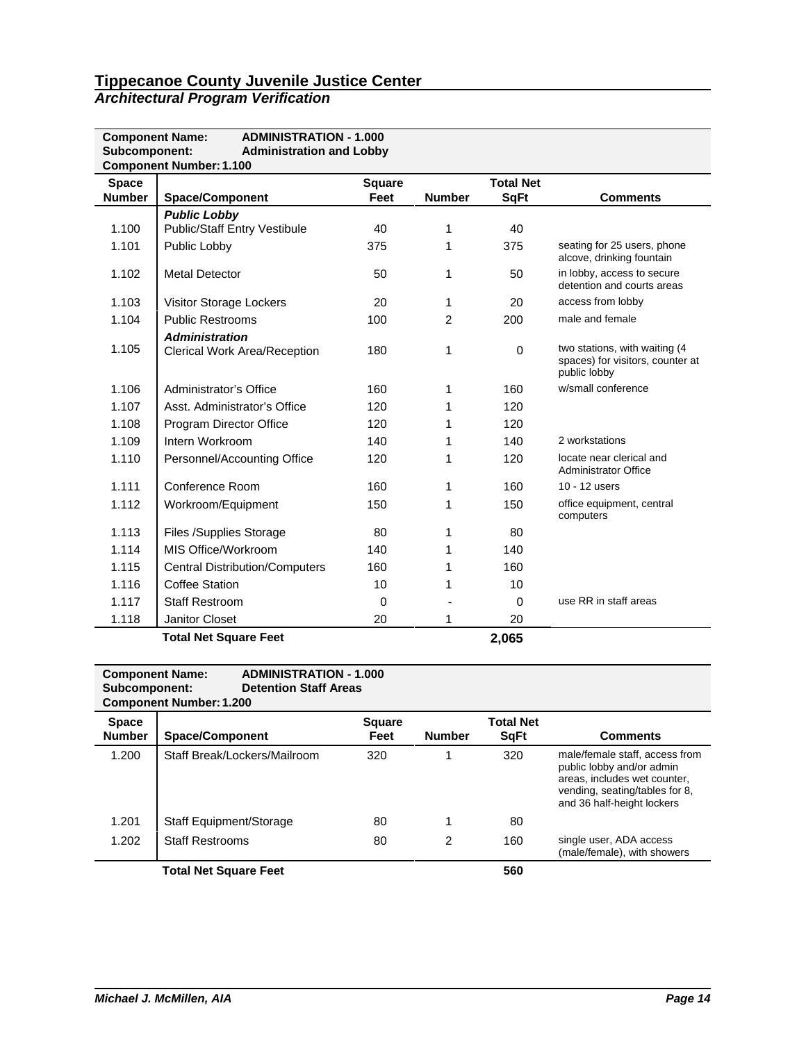| <b>Component Name:</b>        | <b>ADMINISTRATION - 1.000</b>                                     |                       |                |                                 |                                                                                   |
|-------------------------------|-------------------------------------------------------------------|-----------------------|----------------|---------------------------------|-----------------------------------------------------------------------------------|
| Subcomponent:                 | <b>Administration and Lobby</b><br><b>Component Number: 1.100</b> |                       |                |                                 |                                                                                   |
| <b>Space</b><br><b>Number</b> | <b>Space/Component</b>                                            | <b>Square</b><br>Feet | <b>Number</b>  | <b>Total Net</b><br><b>SqFt</b> | <b>Comments</b>                                                                   |
|                               | <b>Public Lobby</b>                                               |                       |                |                                 |                                                                                   |
| 1.100                         | <b>Public/Staff Entry Vestibule</b>                               | 40                    | 1              | 40                              |                                                                                   |
| 1.101                         | Public Lobby                                                      | 375                   | 1              | 375                             | seating for 25 users, phone<br>alcove, drinking fountain                          |
| 1.102                         | <b>Metal Detector</b>                                             | 50                    | 1              | 50                              | in lobby, access to secure<br>detention and courts areas                          |
| 1.103                         | Visitor Storage Lockers                                           | 20                    | 1              | 20                              | access from lobby                                                                 |
| 1.104                         | <b>Public Restrooms</b>                                           | 100                   | $\overline{2}$ | 200                             | male and female                                                                   |
|                               | <b>Administration</b>                                             |                       |                |                                 |                                                                                   |
| 1.105                         | <b>Clerical Work Area/Reception</b>                               | 180                   | 1              | $\Omega$                        | two stations, with waiting (4<br>spaces) for visitors, counter at<br>public lobby |
| 1.106                         | Administrator's Office                                            | 160                   | 1              | 160                             | w/small conference                                                                |
| 1.107                         | Asst. Administrator's Office                                      | 120                   | 1              | 120                             |                                                                                   |
| 1.108                         | Program Director Office                                           | 120                   |                | 120                             |                                                                                   |
| 1.109                         | Intern Workroom                                                   | 140                   |                | 140                             | 2 workstations                                                                    |
| 1.110                         | Personnel/Accounting Office                                       | 120                   | 1              | 120                             | locate near clerical and<br><b>Administrator Office</b>                           |
| 1.111                         | Conference Room                                                   | 160                   | 1              | 160                             | 10 - 12 users                                                                     |
| 1.112                         | Workroom/Equipment                                                | 150                   | 1              | 150                             | office equipment, central<br>computers                                            |
| 1.113                         | Files /Supplies Storage                                           | 80                    | 1              | 80                              |                                                                                   |
| 1.114                         | MIS Office/Workroom                                               | 140                   | 1              | 140                             |                                                                                   |
| 1.115                         | <b>Central Distribution/Computers</b>                             | 160                   | 1              | 160                             |                                                                                   |
| 1.116                         | <b>Coffee Station</b>                                             | 10                    | 1              | 10                              |                                                                                   |
| 1.117                         | <b>Staff Restroom</b>                                             | 0                     |                | $\Omega$                        | use RR in staff areas                                                             |
| 1.118                         | Janitor Closet                                                    | 20                    | 1              | 20                              |                                                                                   |
|                               | <b>Total Net Square Feet</b>                                      |                       |                | 2,065                           |                                                                                   |

#### **Component Name:** ADMINISTRATION - 1.000<br>Subcomponent: Detention Staff Areas **Detention Staff Areas Component Number:1.200**

| <b>Space</b><br><b>Number</b> | <b>Space/Component</b>       | <b>Square</b><br>Feet | <b>Number</b> | <b>Total Net</b><br><b>SgFt</b> | <b>Comments</b>                                                                                                                                             |
|-------------------------------|------------------------------|-----------------------|---------------|---------------------------------|-------------------------------------------------------------------------------------------------------------------------------------------------------------|
| 1.200                         | Staff Break/Lockers/Mailroom | 320                   |               | 320                             | male/female staff, access from<br>public lobby and/or admin<br>areas, includes wet counter,<br>vending, seating/tables for 8,<br>and 36 half-height lockers |
| 1.201                         | Staff Equipment/Storage      | 80                    |               | 80                              |                                                                                                                                                             |
| 1.202                         | <b>Staff Restrooms</b>       | 80                    | 2             | 160                             | single user, ADA access<br>(male/female), with showers                                                                                                      |
|                               | <b>Total Net Square Feet</b> |                       |               | 560                             |                                                                                                                                                             |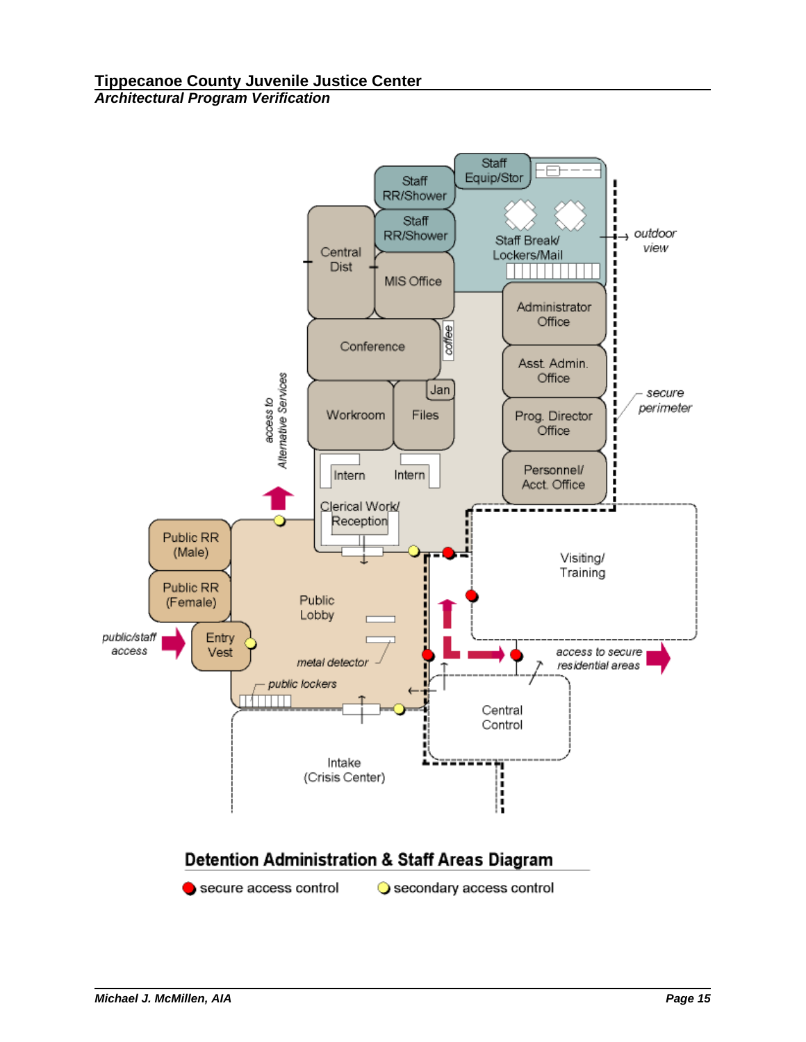

secure access control

Secondary access control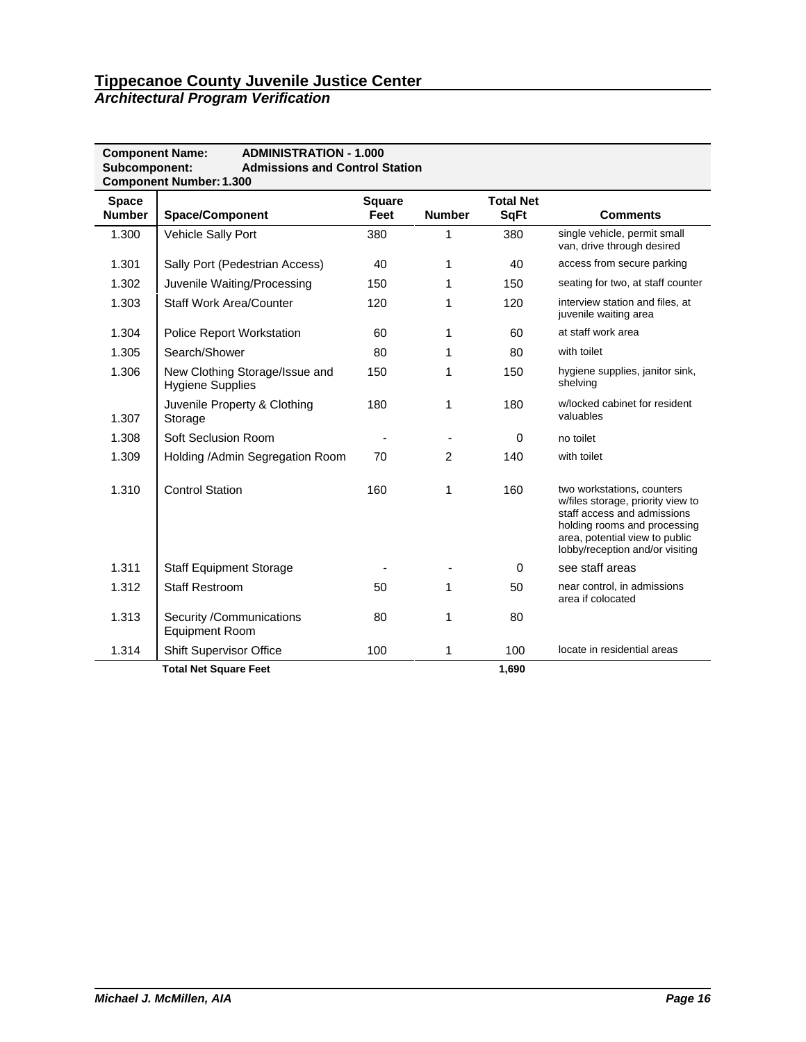| <b>ADMINISTRATION - 1.000</b><br><b>Component Name:</b><br>Subcomponent:<br><b>Admissions and Control Station</b><br><b>Component Number: 1.300</b> |                                                           |                       |                |                                 |                                                                                                                                                                                                     |  |  |  |
|-----------------------------------------------------------------------------------------------------------------------------------------------------|-----------------------------------------------------------|-----------------------|----------------|---------------------------------|-----------------------------------------------------------------------------------------------------------------------------------------------------------------------------------------------------|--|--|--|
| <b>Space</b><br><b>Number</b>                                                                                                                       | <b>Space/Component</b>                                    | <b>Square</b><br>Feet | <b>Number</b>  | <b>Total Net</b><br><b>SqFt</b> | <b>Comments</b>                                                                                                                                                                                     |  |  |  |
| 1.300                                                                                                                                               | Vehicle Sally Port                                        | 380                   | 1              | 380                             | single vehicle, permit small<br>van, drive through desired                                                                                                                                          |  |  |  |
| 1.301                                                                                                                                               | Sally Port (Pedestrian Access)                            | 40                    | 1              | 40                              | access from secure parking                                                                                                                                                                          |  |  |  |
| 1.302                                                                                                                                               | Juvenile Waiting/Processing                               | 150                   | 1              | 150                             | seating for two, at staff counter                                                                                                                                                                   |  |  |  |
| 1.303                                                                                                                                               | <b>Staff Work Area/Counter</b>                            | 120                   | 1              | 120                             | interview station and files, at<br>juvenile waiting area                                                                                                                                            |  |  |  |
| 1.304                                                                                                                                               | <b>Police Report Workstation</b>                          | 60                    | 1              | 60                              | at staff work area                                                                                                                                                                                  |  |  |  |
| 1.305                                                                                                                                               | Search/Shower                                             | 80                    | 1              | 80                              | with toilet                                                                                                                                                                                         |  |  |  |
| 1.306                                                                                                                                               | New Clothing Storage/Issue and<br><b>Hygiene Supplies</b> | 150                   | 1              | 150                             | hygiene supplies, janitor sink,<br>shelving                                                                                                                                                         |  |  |  |
| 1.307                                                                                                                                               | Juvenile Property & Clothing<br>Storage                   | 180                   | 1              | 180                             | w/locked cabinet for resident<br>valuables                                                                                                                                                          |  |  |  |
| 1.308                                                                                                                                               | <b>Soft Seclusion Room</b>                                |                       |                | $\Omega$                        | no toilet                                                                                                                                                                                           |  |  |  |
| 1.309                                                                                                                                               | Holding /Admin Segregation Room                           | 70                    | $\overline{2}$ | 140                             | with toilet                                                                                                                                                                                         |  |  |  |
| 1.310                                                                                                                                               | <b>Control Station</b>                                    | 160                   | 1              | 160                             | two workstations, counters<br>w/files storage, priority view to<br>staff access and admissions<br>holding rooms and processing<br>area, potential view to public<br>lobby/reception and/or visiting |  |  |  |
| 1.311                                                                                                                                               | <b>Staff Equipment Storage</b>                            |                       |                | 0                               | see staff areas                                                                                                                                                                                     |  |  |  |
| 1.312                                                                                                                                               | <b>Staff Restroom</b>                                     | 50                    | 1              | 50                              | near control, in admissions<br>area if colocated                                                                                                                                                    |  |  |  |
| 1.313                                                                                                                                               | Security /Communications<br><b>Equipment Room</b>         | 80                    | 1              | 80                              |                                                                                                                                                                                                     |  |  |  |
| 1.314                                                                                                                                               | <b>Shift Supervisor Office</b>                            | 100                   | 1              | 100                             | locate in residential areas                                                                                                                                                                         |  |  |  |
|                                                                                                                                                     | <b>Total Net Square Feet</b>                              |                       |                | 1.690                           |                                                                                                                                                                                                     |  |  |  |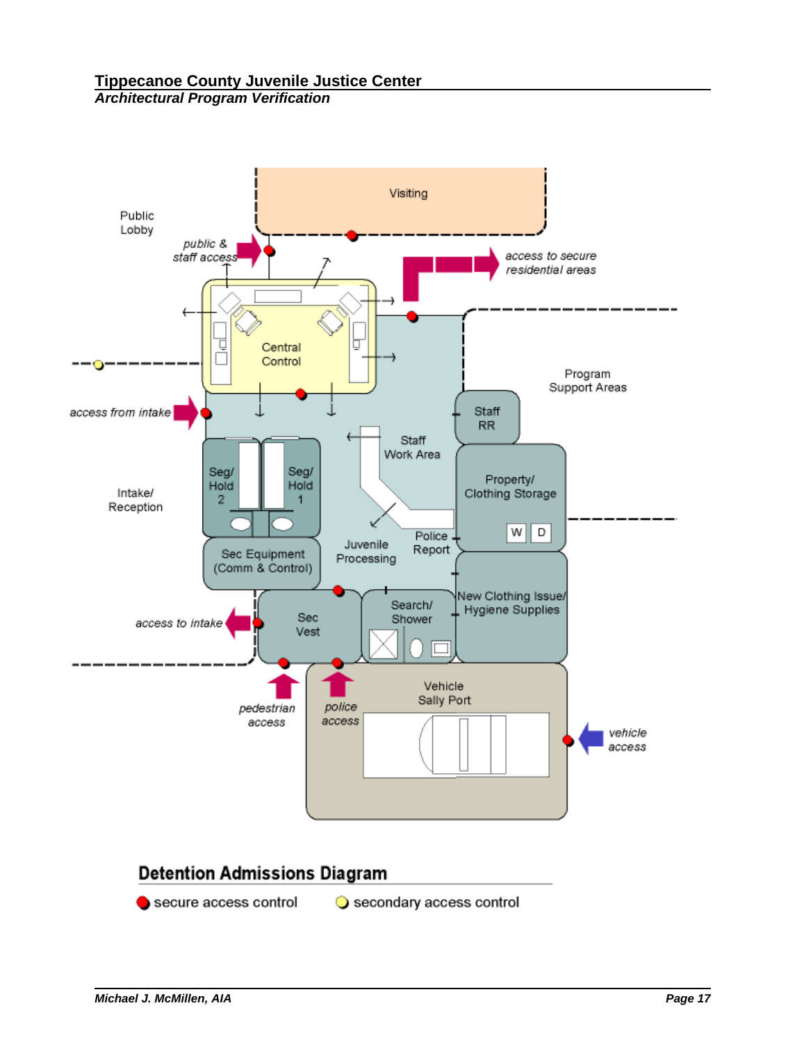

# **Detention Admissions Diagram**

secure access control Secondary access control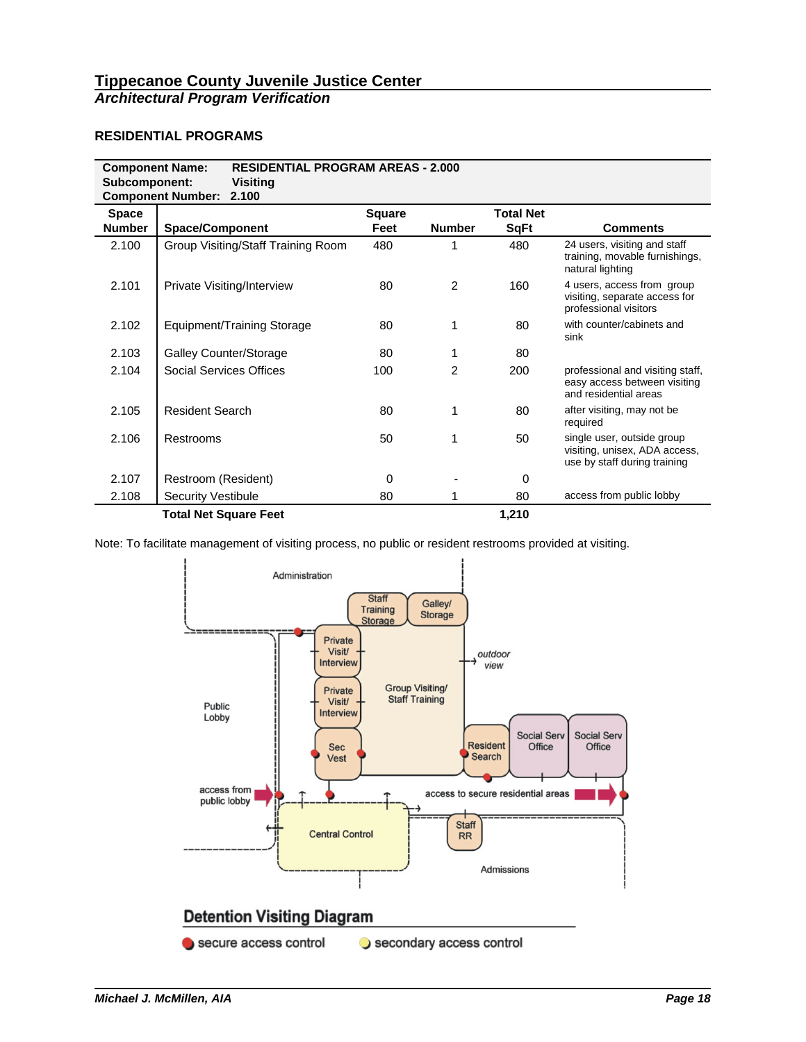### **RESIDENTIAL PROGRAMS**

| <b>RESIDENTIAL PROGRAM AREAS - 2.000</b><br><b>Component Name:</b><br>Subcomponent:<br><b>Visiting</b><br><b>Component Number:</b><br>2.100 |                                    |        |               |                  |                                                                                             |  |  |  |  |
|---------------------------------------------------------------------------------------------------------------------------------------------|------------------------------------|--------|---------------|------------------|---------------------------------------------------------------------------------------------|--|--|--|--|
| <b>Space</b>                                                                                                                                |                                    | Square |               | <b>Total Net</b> |                                                                                             |  |  |  |  |
| <b>Number</b>                                                                                                                               | <b>Space/Component</b>             | Feet   | <b>Number</b> | <b>SqFt</b>      | <b>Comments</b>                                                                             |  |  |  |  |
| 2.100                                                                                                                                       | Group Visiting/Staff Training Room | 480    |               | 480              | 24 users, visiting and staff<br>training, movable furnishings,<br>natural lighting          |  |  |  |  |
| 2.101                                                                                                                                       | Private Visiting/Interview         | 80     | 2             | 160              | 4 users, access from group<br>visiting, separate access for<br>professional visitors        |  |  |  |  |
| 2.102                                                                                                                                       | <b>Equipment/Training Storage</b>  | 80     | 1             | 80               | with counter/cabinets and<br>sink                                                           |  |  |  |  |
| 2.103                                                                                                                                       | <b>Galley Counter/Storage</b>      | 80     | 1             | 80               |                                                                                             |  |  |  |  |
| 2.104                                                                                                                                       | Social Services Offices            | 100    | 2             | 200              | professional and visiting staff,<br>easy access between visiting<br>and residential areas   |  |  |  |  |
| 2.105                                                                                                                                       | <b>Resident Search</b>             | 80     | 1             | 80               | after visiting, may not be<br>required                                                      |  |  |  |  |
| 2.106                                                                                                                                       | Restrooms                          | 50     | 1             | 50               | single user, outside group<br>visiting, unisex, ADA access,<br>use by staff during training |  |  |  |  |
| 2.107                                                                                                                                       | Restroom (Resident)                | 0      |               | 0                |                                                                                             |  |  |  |  |
| 2.108                                                                                                                                       | <b>Security Vestibule</b>          | 80     | 1             | 80               | access from public lobby                                                                    |  |  |  |  |
|                                                                                                                                             | <b>Total Net Square Feet</b>       |        |               | 1,210            |                                                                                             |  |  |  |  |

Note: To facilitate management of visiting process, no public or resident restrooms provided at visiting.

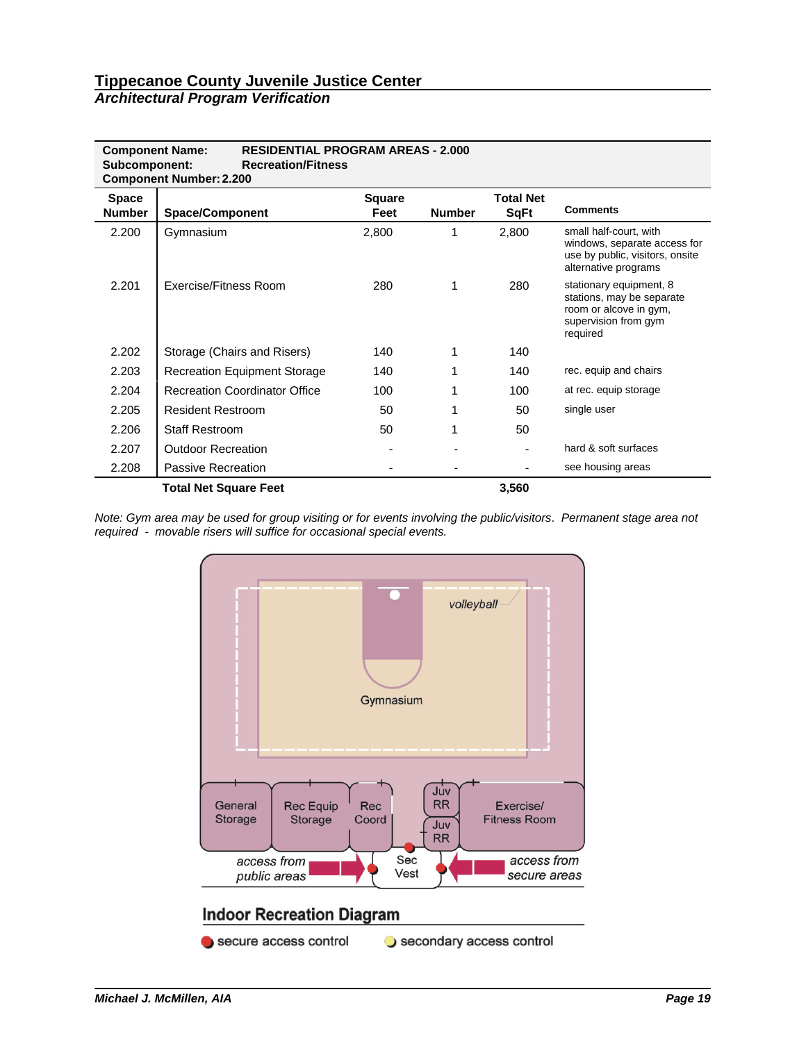| <b>RESIDENTIAL PROGRAM AREAS - 2.000</b><br><b>Component Name:</b><br><b>Recreation/Fitness</b><br>Subcomponent:<br><b>Component Number: 2.200</b> |                                      |                       |               |                                 |                                                                                                                    |  |  |  |  |
|----------------------------------------------------------------------------------------------------------------------------------------------------|--------------------------------------|-----------------------|---------------|---------------------------------|--------------------------------------------------------------------------------------------------------------------|--|--|--|--|
| <b>Space</b><br>Number                                                                                                                             | <b>Space/Component</b>               | <b>Square</b><br>Feet | <b>Number</b> | <b>Total Net</b><br><b>SqFt</b> | <b>Comments</b>                                                                                                    |  |  |  |  |
| 2.200                                                                                                                                              | Gymnasium                            | 2,800                 | 1             | 2,800                           | small half-court, with<br>windows, separate access for<br>use by public, visitors, onsite<br>alternative programs  |  |  |  |  |
| 2.201                                                                                                                                              | Exercise/Fitness Room                | 280                   | 1             | 280                             | stationary equipment, 8<br>stations, may be separate<br>room or alcove in gym,<br>supervision from gym<br>required |  |  |  |  |
| 2.202                                                                                                                                              | Storage (Chairs and Risers)          | 140                   | 1             | 140                             |                                                                                                                    |  |  |  |  |
| 2.203                                                                                                                                              | <b>Recreation Equipment Storage</b>  | 140                   | 1             | 140                             | rec. equip and chairs                                                                                              |  |  |  |  |
| 2.204                                                                                                                                              | <b>Recreation Coordinator Office</b> | 100                   | 1             | 100                             | at rec. equip storage                                                                                              |  |  |  |  |
| 2.205                                                                                                                                              | <b>Resident Restroom</b>             | 50                    | 1             | 50                              | single user                                                                                                        |  |  |  |  |
| 2.206                                                                                                                                              | <b>Staff Restroom</b>                | 50                    | 1             | 50                              |                                                                                                                    |  |  |  |  |
| 2.207                                                                                                                                              | <b>Outdoor Recreation</b>            |                       |               |                                 | hard & soft surfaces                                                                                               |  |  |  |  |
| 2.208                                                                                                                                              | Passive Recreation                   |                       |               |                                 | see housing areas                                                                                                  |  |  |  |  |
|                                                                                                                                                    | <b>Total Net Square Feet</b>         |                       |               | 3,560                           |                                                                                                                    |  |  |  |  |

*Note: Gym area may be used for group visiting or for events involving the public/visitors*. *Permanent stage area not required - movable risers will suffice for occasional special events.*

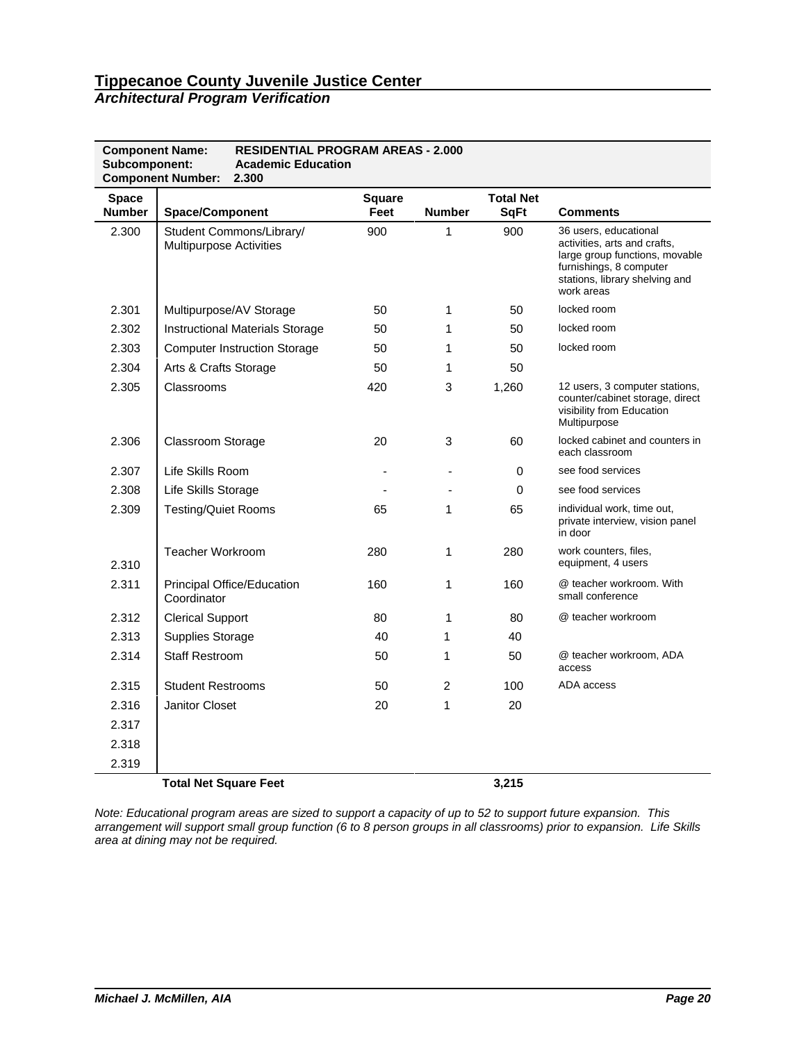### *Architectural Program Verification*

| <b>Component Name:</b><br>Subcomponent: | <b>Component Number:</b>       | <b>RESIDENTIAL PROGRAM AREAS - 2.000</b><br><b>Academic Education</b><br>2.300 |               |               |                  |                                                                                                                                                                    |
|-----------------------------------------|--------------------------------|--------------------------------------------------------------------------------|---------------|---------------|------------------|--------------------------------------------------------------------------------------------------------------------------------------------------------------------|
| <b>Space</b>                            |                                |                                                                                | <b>Square</b> |               | <b>Total Net</b> |                                                                                                                                                                    |
| <b>Number</b>                           | <b>Space/Component</b>         |                                                                                | Feet          | <b>Number</b> | <b>SqFt</b>      | <b>Comments</b>                                                                                                                                                    |
| 2.300                                   | <b>Multipurpose Activities</b> | Student Commons/Library/                                                       | 900           | 1             | 900              | 36 users, educational<br>activities, arts and crafts,<br>large group functions, movable<br>furnishings, 8 computer<br>stations, library shelving and<br>work areas |
| 2.301                                   |                                | Multipurpose/AV Storage                                                        | 50            | 1             | 50               | locked room                                                                                                                                                        |
| 2.302                                   |                                | <b>Instructional Materials Storage</b>                                         | 50            | 1             | 50               | locked room                                                                                                                                                        |
| 2.303                                   |                                | <b>Computer Instruction Storage</b>                                            | 50            | 1             | 50               | locked room                                                                                                                                                        |
| 2.304                                   | Arts & Crafts Storage          |                                                                                | 50            | 1             | 50               |                                                                                                                                                                    |
| 2.305                                   | Classrooms                     |                                                                                | 420           | 3             | 1,260            | 12 users, 3 computer stations,<br>counter/cabinet storage, direct<br>visibility from Education<br>Multipurpose                                                     |
| 2.306                                   | Classroom Storage              |                                                                                | 20            | 3             | 60               | locked cabinet and counters in<br>each classroom                                                                                                                   |
| 2.307                                   | Life Skills Room               |                                                                                |               |               | 0                | see food services                                                                                                                                                  |
| 2.308                                   | Life Skills Storage            |                                                                                |               |               | 0                | see food services                                                                                                                                                  |
| 2.309                                   | <b>Testing/Quiet Rooms</b>     |                                                                                | 65            | $\mathbf{1}$  | 65               | individual work, time out,<br>private interview, vision panel<br>in door                                                                                           |
| 2.310                                   | Teacher Workroom               |                                                                                | 280           | $\mathbf{1}$  | 280              | work counters, files,<br>equipment, 4 users                                                                                                                        |
| 2.311                                   | Coordinator                    | <b>Principal Office/Education</b>                                              | 160           | 1             | 160              | @ teacher workroom. With<br>small conference                                                                                                                       |
| 2.312                                   | <b>Clerical Support</b>        |                                                                                | 80            | 1             | 80               | @ teacher workroom                                                                                                                                                 |
| 2.313                                   | <b>Supplies Storage</b>        |                                                                                | 40            | 1             | 40               |                                                                                                                                                                    |
| 2.314                                   | <b>Staff Restroom</b>          |                                                                                | 50            | 1             | 50               | @ teacher workroom, ADA<br>access                                                                                                                                  |
| 2.315                                   | <b>Student Restrooms</b>       |                                                                                | 50            | 2             | 100              | ADA access                                                                                                                                                         |
| 2.316                                   | <b>Janitor Closet</b>          |                                                                                | 20            | 1             | 20               |                                                                                                                                                                    |
| 2.317                                   |                                |                                                                                |               |               |                  |                                                                                                                                                                    |
| 2.318                                   |                                |                                                                                |               |               |                  |                                                                                                                                                                    |
| 2.319                                   |                                |                                                                                |               |               |                  |                                                                                                                                                                    |
|                                         | <b>Total Net Square Feet</b>   |                                                                                |               |               | 3,215            |                                                                                                                                                                    |

*Note: Educational program areas are sized to support a capacity of up to 52 to support future expansion. This arrangement will support small group function (6 to 8 person groups in all classrooms) prior to expansion. Life Skills area at dining may not be required.*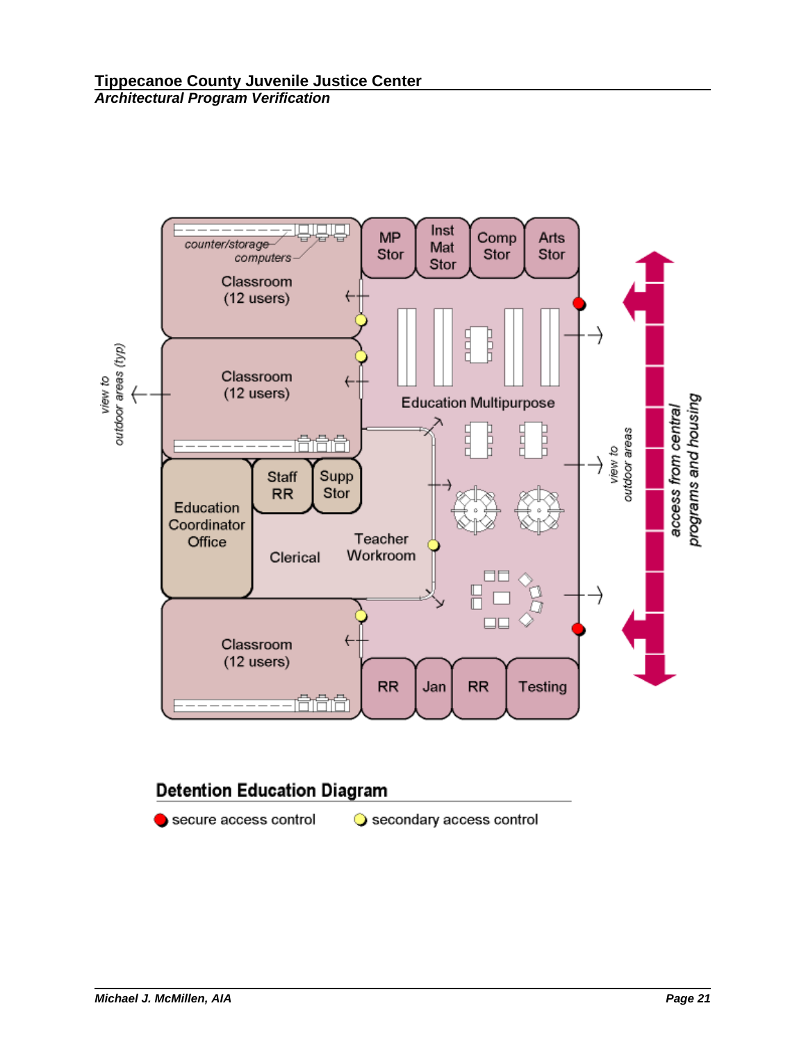

# **Detention Education Diagram**

secure access control

Secondary access control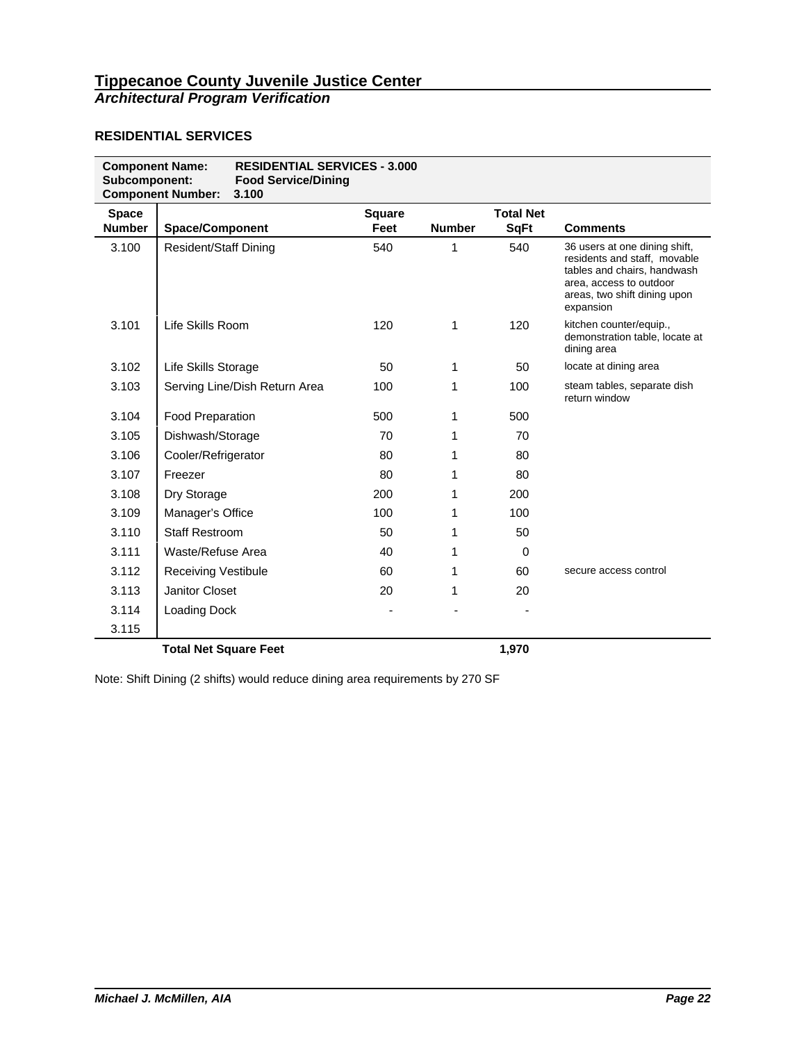#### **RESIDENTIAL SERVICES**

| <b>Component Name:</b><br>Subcomponent: | <b>RESIDENTIAL SERVICES - 3.000</b><br><b>Food Service/Dining</b><br><b>Component Number:</b><br>3.100 |                       |               |                                 |                                                                                                                                                                      |
|-----------------------------------------|--------------------------------------------------------------------------------------------------------|-----------------------|---------------|---------------------------------|----------------------------------------------------------------------------------------------------------------------------------------------------------------------|
| <b>Space</b><br><b>Number</b>           | <b>Space/Component</b>                                                                                 | <b>Square</b><br>Feet | <b>Number</b> | <b>Total Net</b><br><b>SqFt</b> | <b>Comments</b>                                                                                                                                                      |
| 3.100                                   | <b>Resident/Staff Dining</b>                                                                           | 540                   | 1             | 540                             | 36 users at one dining shift,<br>residents and staff, movable<br>tables and chairs, handwash<br>area, access to outdoor<br>areas, two shift dining upon<br>expansion |
| 3.101                                   | Life Skills Room                                                                                       | 120                   | 1             | 120                             | kitchen counter/equip.,<br>demonstration table, locate at<br>dining area                                                                                             |
| 3.102                                   | Life Skills Storage                                                                                    | 50                    | 1             | 50                              | locate at dining area                                                                                                                                                |
| 3.103                                   | Serving Line/Dish Return Area                                                                          | 100                   | 1             | 100                             | steam tables, separate dish<br>return window                                                                                                                         |
| 3.104                                   | <b>Food Preparation</b>                                                                                | 500                   | 1             | 500                             |                                                                                                                                                                      |
| 3.105                                   | Dishwash/Storage                                                                                       | 70                    | 1             | 70                              |                                                                                                                                                                      |
| 3.106                                   | Cooler/Refrigerator                                                                                    | 80                    | 1             | 80                              |                                                                                                                                                                      |
| 3.107                                   | Freezer                                                                                                | 80                    | 1             | 80                              |                                                                                                                                                                      |
| 3.108                                   | Dry Storage                                                                                            | 200                   | 1             | 200                             |                                                                                                                                                                      |
| 3.109                                   | Manager's Office                                                                                       | 100                   | 1             | 100                             |                                                                                                                                                                      |
| 3.110                                   | <b>Staff Restroom</b>                                                                                  | 50                    | 1             | 50                              |                                                                                                                                                                      |
| 3.111                                   | Waste/Refuse Area                                                                                      | 40                    | 1             | 0                               |                                                                                                                                                                      |
| 3.112                                   | <b>Receiving Vestibule</b>                                                                             | 60                    | 1             | 60                              | secure access control                                                                                                                                                |
| 3.113                                   | Janitor Closet                                                                                         | 20                    | 1             | 20                              |                                                                                                                                                                      |
| 3.114                                   | Loading Dock                                                                                           |                       |               |                                 |                                                                                                                                                                      |
| 3.115                                   |                                                                                                        |                       |               |                                 |                                                                                                                                                                      |
|                                         | <b>Total Net Square Feet</b>                                                                           |                       |               | 1,970                           |                                                                                                                                                                      |

Note: Shift Dining (2 shifts) would reduce dining area requirements by 270 SF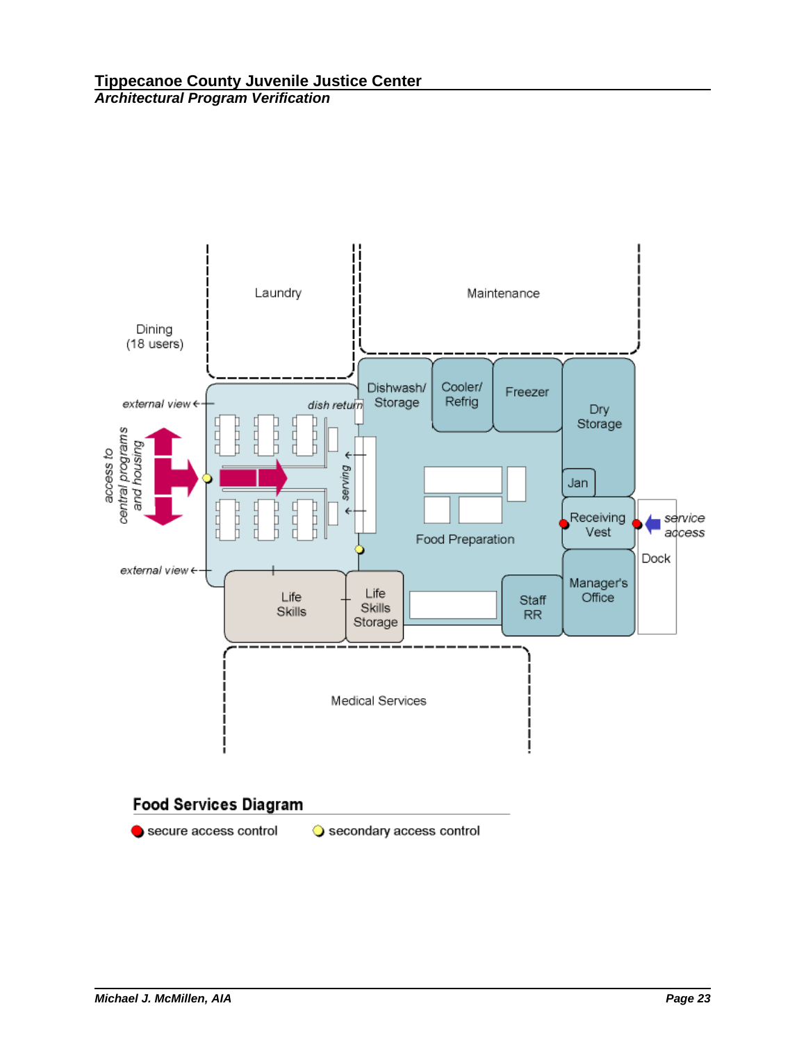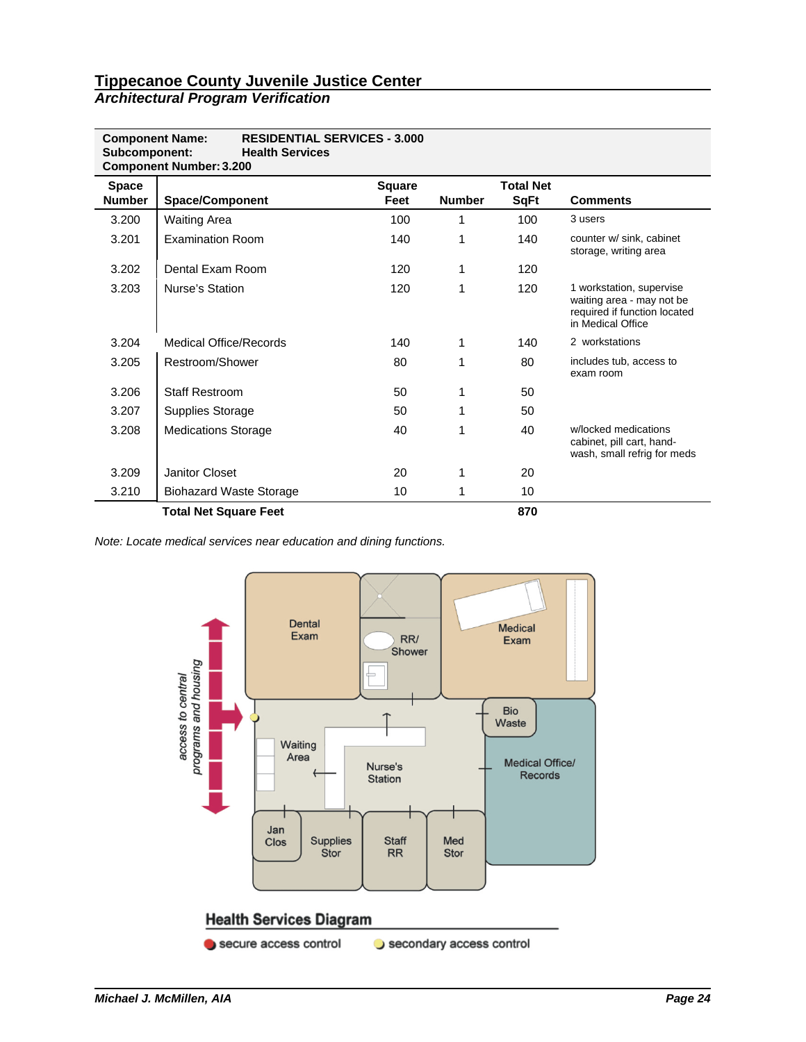| <b>Component Name:</b><br>Subcomponent: | <b>RESIDENTIAL SERVICES - 3.000</b><br><b>Health Services</b><br><b>Component Number: 3.200</b> |                       |               |                                 |                                                                                                            |
|-----------------------------------------|-------------------------------------------------------------------------------------------------|-----------------------|---------------|---------------------------------|------------------------------------------------------------------------------------------------------------|
| <b>Space</b><br><b>Number</b>           | <b>Space/Component</b>                                                                          | <b>Square</b><br>Feet | <b>Number</b> | <b>Total Net</b><br><b>SqFt</b> | <b>Comments</b>                                                                                            |
| 3.200                                   | <b>Waiting Area</b>                                                                             | 100                   |               | 100                             | 3 users                                                                                                    |
| 3.201                                   | <b>Examination Room</b>                                                                         | 140                   | 1             | 140                             | counter w/ sink, cabinet<br>storage, writing area                                                          |
| 3.202                                   | Dental Exam Room                                                                                | 120                   | 1             | 120                             |                                                                                                            |
| 3.203                                   | Nurse's Station                                                                                 | 120                   | 1             | 120                             | 1 workstation, supervise<br>waiting area - may not be<br>required if function located<br>in Medical Office |
| 3.204                                   | Medical Office/Records                                                                          | 140                   | 1             | 140                             | 2 workstations                                                                                             |
| 3.205                                   | Restroom/Shower                                                                                 | 80                    | 1             | 80                              | includes tub, access to<br>exam room                                                                       |
| 3.206                                   | <b>Staff Restroom</b>                                                                           | 50                    | 1             | 50                              |                                                                                                            |
| 3.207                                   | <b>Supplies Storage</b>                                                                         | 50                    | 1             | 50                              |                                                                                                            |
| 3.208                                   | <b>Medications Storage</b>                                                                      | 40                    | 1             | 40                              | w/locked medications<br>cabinet, pill cart, hand-<br>wash, small refrig for meds                           |
| 3.209                                   | Janitor Closet                                                                                  | 20                    | 1             | 20                              |                                                                                                            |
| 3.210                                   | <b>Biohazard Waste Storage</b>                                                                  | 10                    | 1             | 10                              |                                                                                                            |
|                                         | <b>Total Net Square Feet</b>                                                                    |                       |               | 870                             |                                                                                                            |

*Note: Locate medical services near education and dining functions.* 

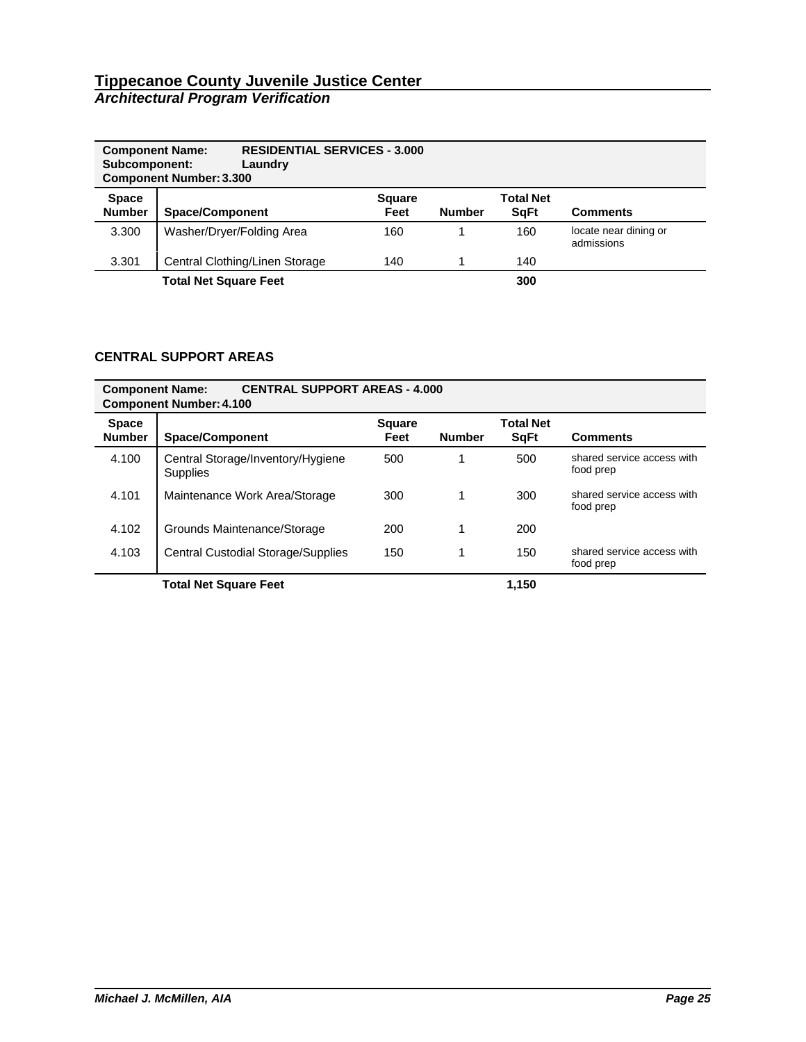| <b>Component Name:</b><br>Subcomponent: | <b>RESIDENTIAL SERVICES - 3.000</b><br>Laundry<br><b>Component Number: 3.300</b> |                       |               |                                  |                                     |
|-----------------------------------------|----------------------------------------------------------------------------------|-----------------------|---------------|----------------------------------|-------------------------------------|
| <b>Space</b><br><b>Number</b>           | <b>Space/Component</b>                                                           | <b>Square</b><br>Feet | <b>Number</b> | <b>Total Net</b><br><b>S</b> qFt | <b>Comments</b>                     |
| 3.300                                   | Washer/Dryer/Folding Area                                                        | 160                   |               | 160                              | locate near dining or<br>admissions |
| 3.301                                   | Central Clothing/Linen Storage                                                   | 140                   |               | 140                              |                                     |
|                                         | <b>Total Net Square Feet</b>                                                     |                       |               | 300                              |                                     |

# **CENTRAL SUPPORT AREAS**

| <b>CENTRAL SUPPORT AREAS - 4.000</b><br><b>Component Name:</b><br><b>Component Number: 4.100</b> |                                                      |                       |               |                                  |                                         |  |  |  |
|--------------------------------------------------------------------------------------------------|------------------------------------------------------|-----------------------|---------------|----------------------------------|-----------------------------------------|--|--|--|
| <b>Space</b><br><b>Number</b>                                                                    | <b>Space/Component</b>                               | <b>Square</b><br>Feet | <b>Number</b> | <b>Total Net</b><br><b>S</b> qFt | <b>Comments</b>                         |  |  |  |
| 4.100                                                                                            | Central Storage/Inventory/Hygiene<br><b>Supplies</b> | 500                   |               | 500                              | shared service access with<br>food prep |  |  |  |
| 4.101                                                                                            | Maintenance Work Area/Storage                        | 300                   |               | 300                              | shared service access with<br>food prep |  |  |  |
| 4.102                                                                                            | Grounds Maintenance/Storage                          | 200                   |               | 200                              |                                         |  |  |  |
| 4.103                                                                                            | <b>Central Custodial Storage/Supplies</b>            | 150                   |               | 150                              | shared service access with<br>food prep |  |  |  |
|                                                                                                  | <b>Total Net Square Feet</b>                         |                       |               | 1.150                            |                                         |  |  |  |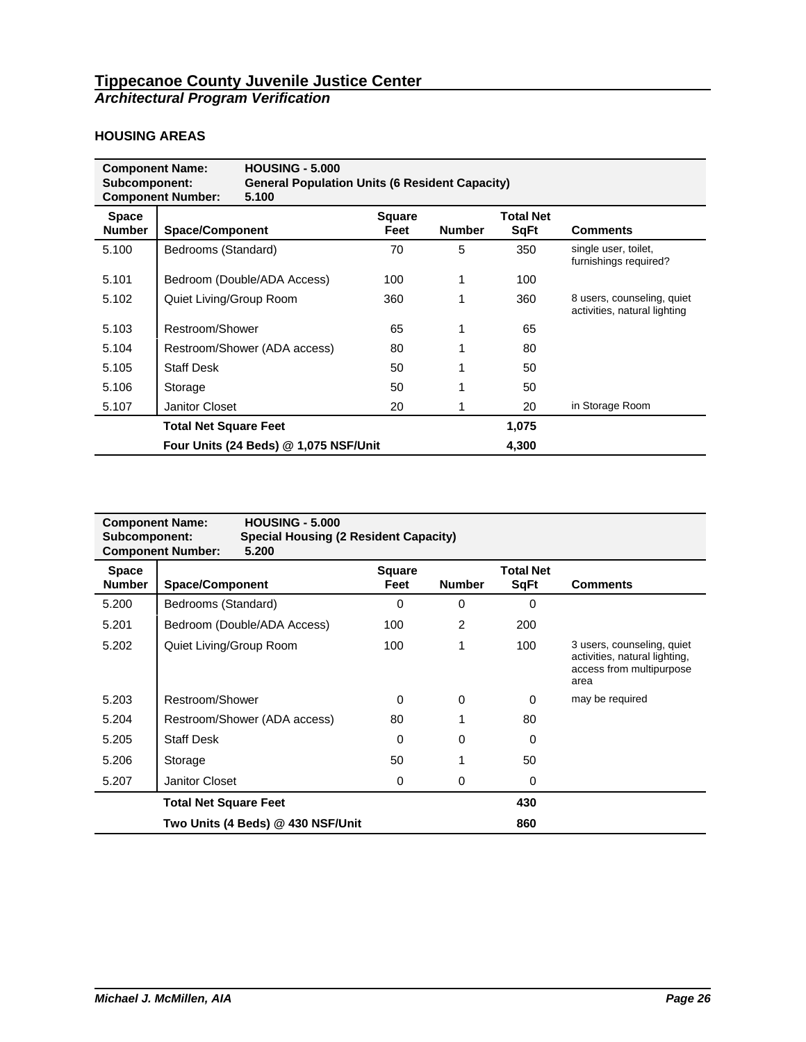## **HOUSING AREAS**

| <b>HOUSING - 5,000</b><br><b>Component Name:</b><br>Subcomponent:<br><b>General Population Units (6 Resident Capacity)</b><br><b>Component Number:</b><br>5.100 |                              |                                       |                |               |                                 |                                                            |
|-----------------------------------------------------------------------------------------------------------------------------------------------------------------|------------------------------|---------------------------------------|----------------|---------------|---------------------------------|------------------------------------------------------------|
| <b>Space</b><br><b>Number</b>                                                                                                                                   | <b>Space/Component</b>       |                                       | Square<br>Feet | <b>Number</b> | <b>Total Net</b><br><b>SqFt</b> | <b>Comments</b>                                            |
| 5.100                                                                                                                                                           | Bedrooms (Standard)          |                                       | 70             | 5             | 350                             | single user, toilet,<br>furnishings required?              |
| 5.101                                                                                                                                                           | Bedroom (Double/ADA Access)  |                                       | 100            |               | 100                             |                                                            |
| 5.102                                                                                                                                                           | Quiet Living/Group Room      |                                       | 360            |               | 360                             | 8 users, counseling, quiet<br>activities, natural lighting |
| 5.103                                                                                                                                                           | Restroom/Shower              |                                       | 65             |               | 65                              |                                                            |
| 5.104                                                                                                                                                           |                              | Restroom/Shower (ADA access)          | 80             |               | 80                              |                                                            |
| 5.105                                                                                                                                                           | <b>Staff Desk</b>            |                                       | 50             |               | 50                              |                                                            |
| 5.106                                                                                                                                                           | Storage                      |                                       | 50             |               | 50                              |                                                            |
| 5.107                                                                                                                                                           | Janitor Closet               |                                       | 20             |               | 20                              | in Storage Room                                            |
|                                                                                                                                                                 | <b>Total Net Square Feet</b> |                                       |                |               | 1,075                           |                                                            |
|                                                                                                                                                                 |                              | Four Units (24 Beds) @ 1,075 NSF/Unit |                |               | 4,300                           |                                                            |

| <b>Component Name:</b><br>Subcomponent: | <b>HOUSING - 5.000</b><br><b>Special Housing (2 Resident Capacity)</b><br><b>Component Number:</b><br>5.200 |                       |               |                                 |                                                                                                 |
|-----------------------------------------|-------------------------------------------------------------------------------------------------------------|-----------------------|---------------|---------------------------------|-------------------------------------------------------------------------------------------------|
| <b>Space</b><br><b>Number</b>           | <b>Space/Component</b>                                                                                      | <b>Square</b><br>Feet | <b>Number</b> | <b>Total Net</b><br><b>SqFt</b> | <b>Comments</b>                                                                                 |
| 5.200                                   | Bedrooms (Standard)                                                                                         | 0                     | 0             | 0                               |                                                                                                 |
| 5.201                                   | Bedroom (Double/ADA Access)                                                                                 | 100                   | 2             | 200                             |                                                                                                 |
| 5.202                                   | Quiet Living/Group Room                                                                                     | 100                   |               | 100                             | 3 users, counseling, quiet<br>activities, natural lighting,<br>access from multipurpose<br>area |
| 5.203                                   | Restroom/Shower                                                                                             | $\Omega$              | $\Omega$      | $\Omega$                        | may be required                                                                                 |
| 5.204                                   | Restroom/Shower (ADA access)                                                                                | 80                    |               | 80                              |                                                                                                 |
| 5.205                                   | <b>Staff Desk</b>                                                                                           | $\Omega$              | $\Omega$      | $\Omega$                        |                                                                                                 |
| 5.206                                   | Storage                                                                                                     | 50                    |               | 50                              |                                                                                                 |
| 5.207                                   | <b>Janitor Closet</b>                                                                                       | 0                     | 0             | 0                               |                                                                                                 |
|                                         | <b>Total Net Square Feet</b>                                                                                |                       |               | 430                             |                                                                                                 |
|                                         | Two Units (4 Beds) @ 430 NSF/Unit                                                                           |                       |               | 860                             |                                                                                                 |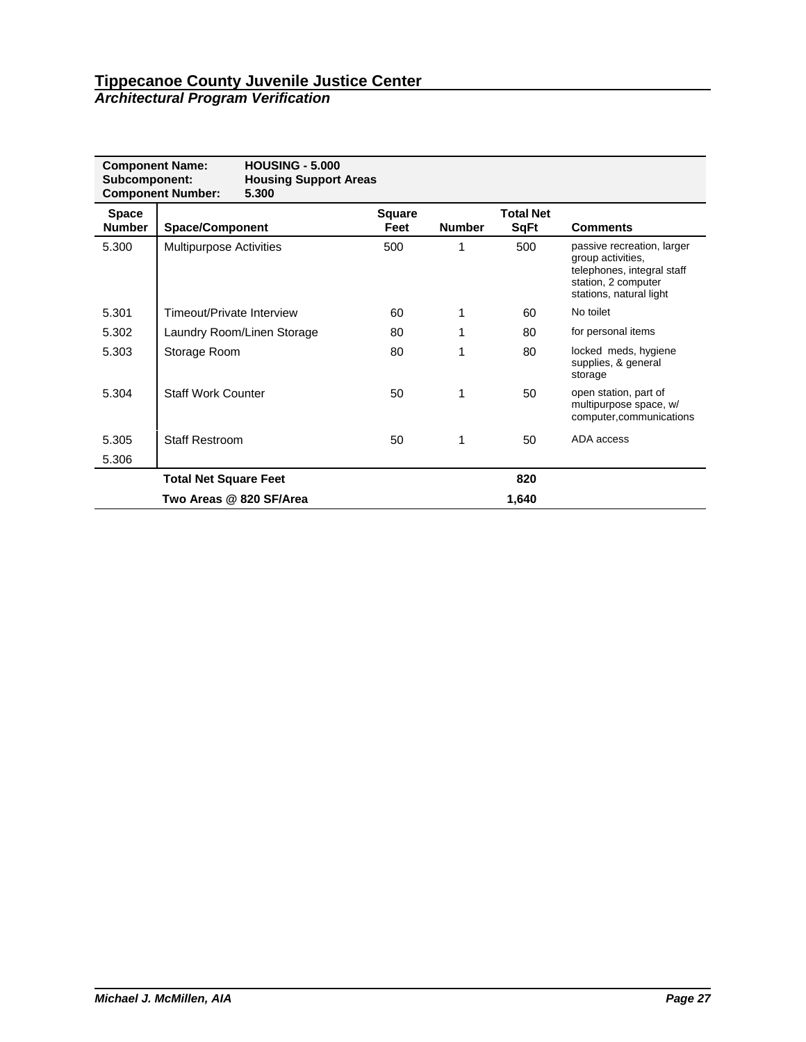| <b>Component Name:</b><br>Subcomponent: | <b>Component Number:</b>       | <b>HOUSING - 5,000</b><br><b>Housing Support Areas</b><br>5.300 |                       |               |                                 |                                                                                                                                 |
|-----------------------------------------|--------------------------------|-----------------------------------------------------------------|-----------------------|---------------|---------------------------------|---------------------------------------------------------------------------------------------------------------------------------|
| <b>Space</b><br><b>Number</b>           | <b>Space/Component</b>         |                                                                 | <b>Square</b><br>Feet | <b>Number</b> | <b>Total Net</b><br><b>SqFt</b> | <b>Comments</b>                                                                                                                 |
| 5.300                                   | <b>Multipurpose Activities</b> |                                                                 | 500                   |               | 500                             | passive recreation, larger<br>group activities.<br>telephones, integral staff<br>station, 2 computer<br>stations, natural light |
| 5.301                                   | Timeout/Private Interview      |                                                                 | 60                    | 1             | 60                              | No toilet                                                                                                                       |
| 5.302                                   |                                | Laundry Room/Linen Storage                                      | 80                    |               | 80                              | for personal items                                                                                                              |
| 5.303                                   | Storage Room                   |                                                                 | 80                    | 1             | 80                              | locked meds, hygiene<br>supplies, & general<br>storage                                                                          |
| 5.304                                   | <b>Staff Work Counter</b>      |                                                                 | 50                    |               | 50                              | open station, part of<br>multipurpose space, w/<br>computer, communications                                                     |
| 5.305                                   | <b>Staff Restroom</b>          |                                                                 | 50                    |               | 50                              | ADA access                                                                                                                      |
| 5.306                                   |                                |                                                                 |                       |               |                                 |                                                                                                                                 |
|                                         | <b>Total Net Square Feet</b>   |                                                                 |                       |               | 820                             |                                                                                                                                 |
|                                         | Two Areas @ 820 SF/Area        |                                                                 |                       |               | 1,640                           |                                                                                                                                 |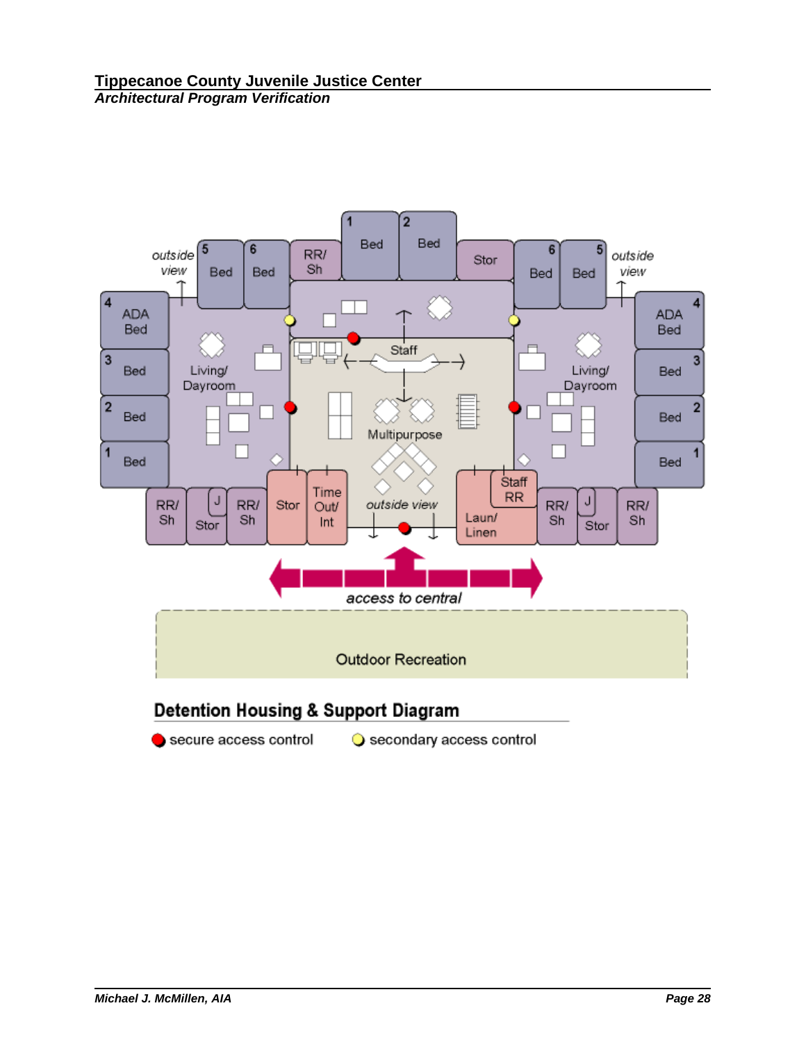

secure access control

Secondary access control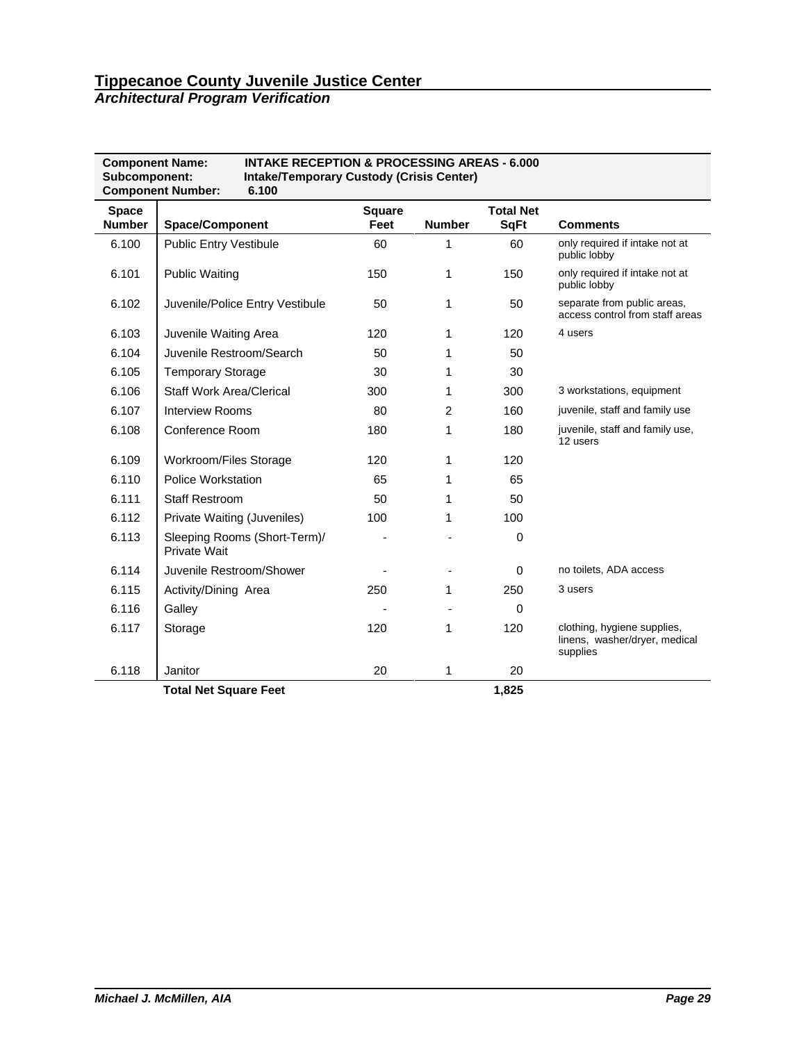*Architectural Program Verification*

| <b>INTAKE RECEPTION &amp; PROCESSING AREAS - 6.000</b><br><b>Component Name:</b><br>Subcomponent:<br><b>Intake/Temporary Custody (Crisis Center)</b><br><b>Component Number:</b><br>6.100 |                                              |                       |                |                                 |                                                                          |  |  |
|-------------------------------------------------------------------------------------------------------------------------------------------------------------------------------------------|----------------------------------------------|-----------------------|----------------|---------------------------------|--------------------------------------------------------------------------|--|--|
| <b>Space</b><br><b>Number</b>                                                                                                                                                             | <b>Space/Component</b>                       | <b>Square</b><br>Feet | <b>Number</b>  | <b>Total Net</b><br><b>SqFt</b> | <b>Comments</b>                                                          |  |  |
| 6.100                                                                                                                                                                                     | <b>Public Entry Vestibule</b>                | 60                    | 1              | 60                              | only required if intake not at<br>public lobby                           |  |  |
| 6.101                                                                                                                                                                                     | <b>Public Waiting</b>                        | 150                   | 1              | 150                             | only required if intake not at<br>public lobby                           |  |  |
| 6.102                                                                                                                                                                                     | Juvenile/Police Entry Vestibule              | 50                    | 1              | 50                              | separate from public areas,<br>access control from staff areas           |  |  |
| 6.103                                                                                                                                                                                     | Juvenile Waiting Area                        | 120                   | 1              | 120                             | 4 users                                                                  |  |  |
| 6.104                                                                                                                                                                                     | Juvenile Restroom/Search                     | 50                    | 1              | 50                              |                                                                          |  |  |
| 6.105                                                                                                                                                                                     | <b>Temporary Storage</b>                     | 30                    | 1              | 30                              |                                                                          |  |  |
| 6.106                                                                                                                                                                                     | <b>Staff Work Area/Clerical</b>              | 300                   | 1              | 300                             | 3 workstations, equipment                                                |  |  |
| 6.107                                                                                                                                                                                     | <b>Interview Rooms</b>                       | 80                    | $\overline{2}$ | 160                             | juvenile, staff and family use                                           |  |  |
| 6.108                                                                                                                                                                                     | Conference Room                              | 180                   | 1              | 180                             | juvenile, staff and family use,<br>12 users                              |  |  |
| 6.109                                                                                                                                                                                     | Workroom/Files Storage                       | 120                   | 1              | 120                             |                                                                          |  |  |
| 6.110                                                                                                                                                                                     | Police Workstation                           | 65                    | 1              | 65                              |                                                                          |  |  |
| 6.111                                                                                                                                                                                     | <b>Staff Restroom</b>                        | 50                    | 1              | 50                              |                                                                          |  |  |
| 6.112                                                                                                                                                                                     | Private Waiting (Juveniles)                  | 100                   | 1              | 100                             |                                                                          |  |  |
| 6.113                                                                                                                                                                                     | Sleeping Rooms (Short-Term)/<br>Private Wait |                       |                | $\Omega$                        |                                                                          |  |  |
| 6.114                                                                                                                                                                                     | Juvenile Restroom/Shower                     |                       |                | $\mathbf 0$                     | no toilets, ADA access                                                   |  |  |
| 6.115                                                                                                                                                                                     | Activity/Dining Area                         | 250                   | 1              | 250                             | 3 users                                                                  |  |  |
| 6.116                                                                                                                                                                                     | Galley                                       |                       |                | $\Omega$                        |                                                                          |  |  |
| 6.117                                                                                                                                                                                     | Storage                                      | 120                   | 1              | 120                             | clothing, hygiene supplies,<br>linens, washer/dryer, medical<br>supplies |  |  |
| 6.118                                                                                                                                                                                     | Janitor                                      | 20                    | 1              | 20                              |                                                                          |  |  |
|                                                                                                                                                                                           | <b>Total Net Square Feet</b>                 |                       |                | 1,825                           |                                                                          |  |  |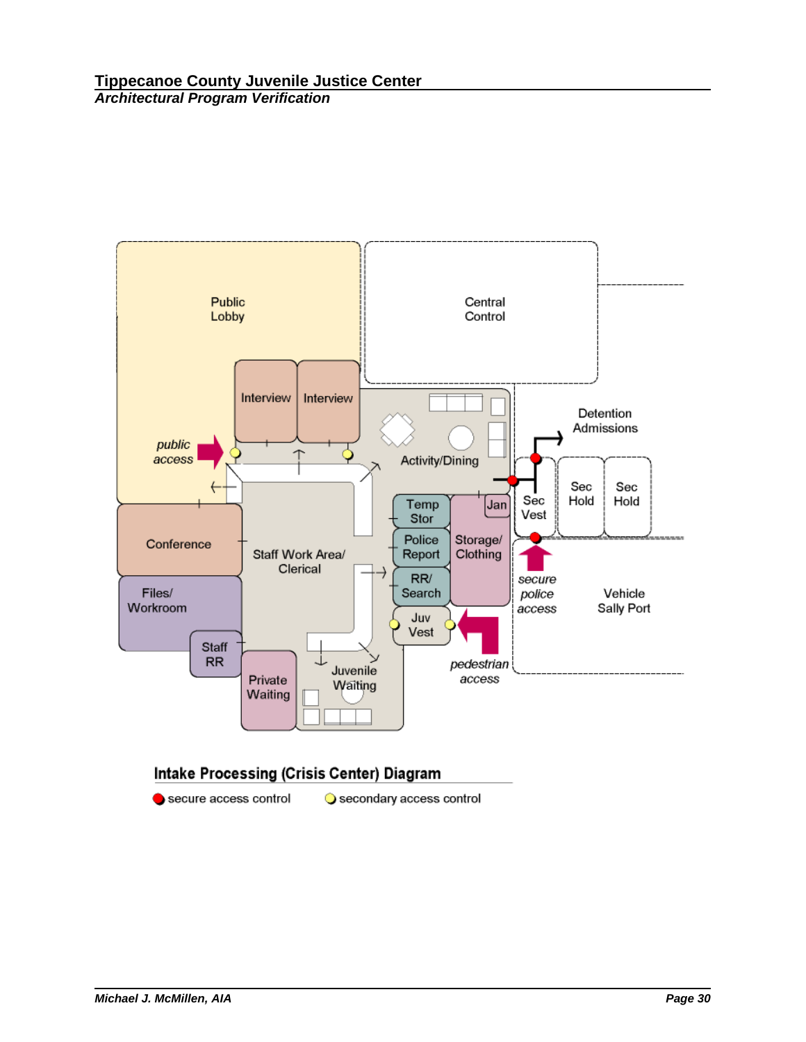

secure access control

Secondary access control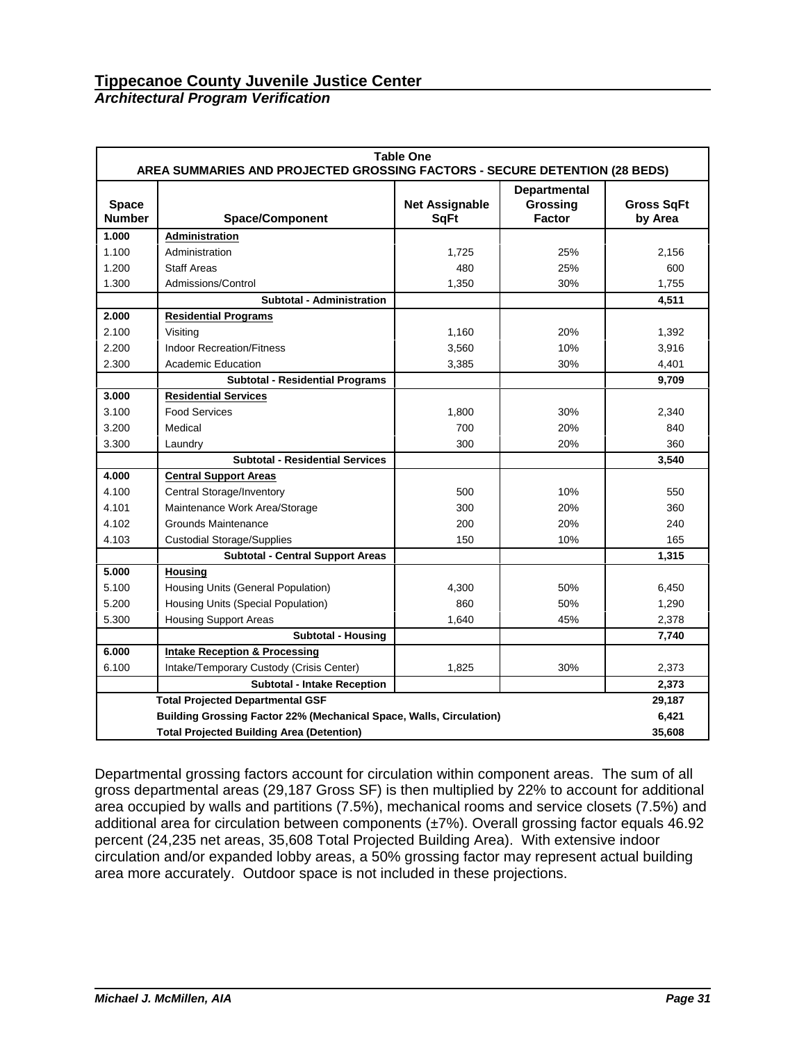# *Architectural Program Verification*

|                               | <b>Table One</b><br>AREA SUMMARIES AND PROJECTED GROSSING FACTORS - SECURE DETENTION (28 BEDS) |                                      |                                                  |                              |  |  |  |  |
|-------------------------------|------------------------------------------------------------------------------------------------|--------------------------------------|--------------------------------------------------|------------------------------|--|--|--|--|
| <b>Space</b><br><b>Number</b> | <b>Space/Component</b>                                                                         | <b>Net Assignable</b><br><b>SqFt</b> | <b>Departmental</b><br>Grossing<br><b>Factor</b> | <b>Gross SqFt</b><br>by Area |  |  |  |  |
| 1.000                         | Administration                                                                                 |                                      |                                                  |                              |  |  |  |  |
| 1.100                         | Administration                                                                                 | 1,725                                | 25%                                              | 2,156                        |  |  |  |  |
| 1.200                         | <b>Staff Areas</b>                                                                             | 480                                  | 25%                                              | 600                          |  |  |  |  |
| 1.300                         | Admissions/Control                                                                             | 1,350                                | 30%                                              | 1,755                        |  |  |  |  |
|                               | <b>Subtotal - Administration</b>                                                               |                                      |                                                  | 4,511                        |  |  |  |  |
| 2.000                         | <b>Residential Programs</b>                                                                    |                                      |                                                  |                              |  |  |  |  |
| 2.100                         | Visiting                                                                                       | 1,160                                | 20%                                              | 1,392                        |  |  |  |  |
| 2.200                         | <b>Indoor Recreation/Fitness</b>                                                               | 3,560                                | 10%                                              | 3,916                        |  |  |  |  |
| 2.300                         | Academic Education                                                                             | 3,385                                | 30%                                              | 4,401                        |  |  |  |  |
|                               | <b>Subtotal - Residential Programs</b>                                                         |                                      |                                                  | 9,709                        |  |  |  |  |
| 3.000                         | <b>Residential Services</b>                                                                    |                                      |                                                  |                              |  |  |  |  |
| 3.100                         | <b>Food Services</b>                                                                           | 1,800                                | 30%                                              | 2,340                        |  |  |  |  |
| 3.200                         | Medical                                                                                        | 700                                  | 20%                                              | 840                          |  |  |  |  |
| 3.300                         | Laundry                                                                                        | 300                                  | 20%                                              | 360                          |  |  |  |  |
|                               | <b>Subtotal - Residential Services</b>                                                         |                                      |                                                  | 3,540                        |  |  |  |  |
| 4.000                         | <b>Central Support Areas</b>                                                                   |                                      |                                                  |                              |  |  |  |  |
| 4.100                         | <b>Central Storage/Inventory</b>                                                               | 500                                  | 10%                                              | 550                          |  |  |  |  |
| 4.101                         | Maintenance Work Area/Storage                                                                  | 300                                  | 20%                                              | 360                          |  |  |  |  |
| 4.102                         | Grounds Maintenance                                                                            | 200                                  | 20%                                              | 240                          |  |  |  |  |
| 4.103                         | <b>Custodial Storage/Supplies</b>                                                              | 150                                  | 10%                                              | 165                          |  |  |  |  |
|                               | <b>Subtotal - Central Support Areas</b>                                                        |                                      |                                                  | 1,315                        |  |  |  |  |
| 5.000                         | <b>Housing</b>                                                                                 |                                      |                                                  |                              |  |  |  |  |
| 5.100                         | Housing Units (General Population)                                                             | 4,300                                | 50%                                              | 6,450                        |  |  |  |  |
| 5.200                         | Housing Units (Special Population)                                                             | 860                                  | 50%                                              | 1,290                        |  |  |  |  |
| 5.300                         | <b>Housing Support Areas</b>                                                                   | 1.640                                | 45%                                              | 2,378                        |  |  |  |  |
|                               | <b>Subtotal - Housing</b>                                                                      |                                      |                                                  | 7,740                        |  |  |  |  |
| 6.000                         | <b>Intake Reception &amp; Processing</b>                                                       |                                      |                                                  |                              |  |  |  |  |
| 6.100                         | Intake/Temporary Custody (Crisis Center)                                                       | 1,825                                | 30%                                              | 2,373                        |  |  |  |  |
|                               | <b>Subtotal - Intake Reception</b>                                                             |                                      |                                                  | 2,373                        |  |  |  |  |
|                               | <b>Total Projected Departmental GSF</b>                                                        |                                      |                                                  | 29,187                       |  |  |  |  |
|                               | <b>Building Grossing Factor 22% (Mechanical Space, Walls, Circulation)</b>                     |                                      |                                                  | 6,421                        |  |  |  |  |
|                               | <b>Total Projected Building Area (Detention)</b>                                               |                                      |                                                  | 35,608                       |  |  |  |  |

Departmental grossing factors account for circulation within component areas. The sum of all gross departmental areas (29,187 Gross SF) is then multiplied by 22% to account for additional area occupied by walls and partitions (7.5%), mechanical rooms and service closets (7.5%) and additional area for circulation between components (±7%). Overall grossing factor equals 46.92 percent (24,235 net areas, 35,608 Total Projected Building Area). With extensive indoor circulation and/or expanded lobby areas, a 50% grossing factor may represent actual building area more accurately. Outdoor space is not included in these projections.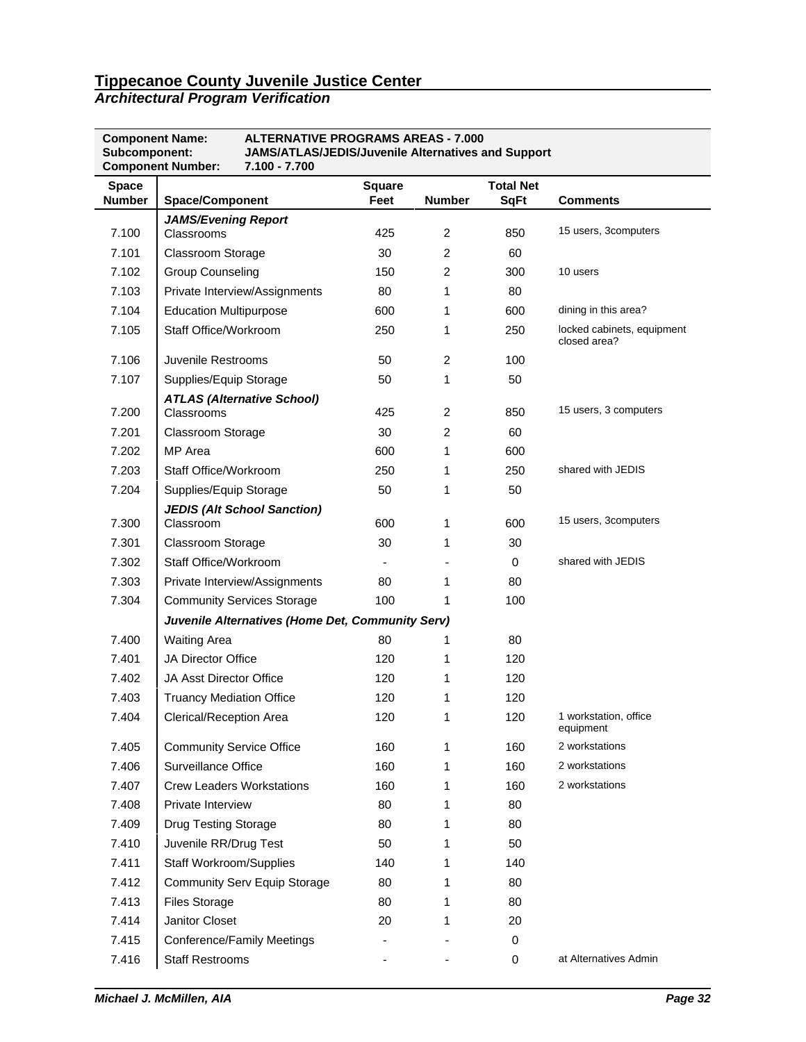*Architectural Program Verification*

| <b>Component Name:</b><br>Subcomponent: | <b>ALTERNATIVE PROGRAMS AREAS - 7.000</b><br><b>JAMS/ATLAS/JEDIS/Juvenile Alternatives and Support</b><br><b>Component Number:</b><br>7.100 - 7.700 |                       |                |                                 |                                            |
|-----------------------------------------|-----------------------------------------------------------------------------------------------------------------------------------------------------|-----------------------|----------------|---------------------------------|--------------------------------------------|
| <b>Space</b><br><b>Number</b>           | <b>Space/Component</b>                                                                                                                              | <b>Square</b><br>Feet | <b>Number</b>  | <b>Total Net</b><br><b>SqFt</b> | <b>Comments</b>                            |
| 7.100                                   | <b>JAMS/Evening Report</b><br>Classrooms                                                                                                            | 425                   | $\overline{c}$ | 850                             | 15 users, 3computers                       |
| 7.101                                   | <b>Classroom Storage</b>                                                                                                                            | 30                    | 2              | 60                              |                                            |
| 7.102                                   | <b>Group Counseling</b>                                                                                                                             | 150                   | 2              | 300                             | 10 users                                   |
| 7.103                                   | Private Interview/Assignments                                                                                                                       | 80                    | 1              | 80                              |                                            |
| 7.104                                   | <b>Education Multipurpose</b>                                                                                                                       | 600                   | 1              | 600                             | dining in this area?                       |
| 7.105                                   | Staff Office/Workroom                                                                                                                               | 250                   | 1              | 250                             | locked cabinets, equipment<br>closed area? |
| 7.106                                   | Juvenile Restrooms                                                                                                                                  | 50                    | $\overline{c}$ | 100                             |                                            |
| 7.107                                   | Supplies/Equip Storage                                                                                                                              | 50                    | 1              | 50                              |                                            |
| 7.200                                   | <b>ATLAS (Alternative School)</b><br>Classrooms                                                                                                     | 425                   | 2              | 850                             | 15 users, 3 computers                      |
| 7.201                                   | <b>Classroom Storage</b>                                                                                                                            | 30                    | 2              | 60                              |                                            |
| 7.202                                   | MP Area                                                                                                                                             | 600                   | 1              | 600                             |                                            |
| 7.203                                   | Staff Office/Workroom                                                                                                                               | 250                   | 1              | 250                             | shared with JEDIS                          |
| 7.204                                   | Supplies/Equip Storage                                                                                                                              | 50                    | 1              | 50                              |                                            |
| 7.300                                   | <b>JEDIS (Alt School Sanction)</b><br>Classroom                                                                                                     | 600                   | 1              | 600                             | 15 users, 3computers                       |
| 7.301                                   | <b>Classroom Storage</b>                                                                                                                            | 30                    | 1              | 30                              |                                            |
| 7.302                                   | Staff Office/Workroom                                                                                                                               |                       |                | 0                               | shared with JEDIS                          |
| 7.303                                   | Private Interview/Assignments                                                                                                                       | 80                    | 1              | 80                              |                                            |
| 7.304                                   | <b>Community Services Storage</b>                                                                                                                   | 100                   | 1              | 100                             |                                            |
|                                         | Juvenile Alternatives (Home Det, Community Serv)                                                                                                    |                       |                |                                 |                                            |
| 7.400                                   | <b>Waiting Area</b>                                                                                                                                 | 80                    | 1              | 80                              |                                            |
| 7.401                                   | JA Director Office                                                                                                                                  | 120                   | 1              | 120                             |                                            |
| 7.402                                   | <b>JA Asst Director Office</b>                                                                                                                      | 120                   | 1              | 120                             |                                            |
| 7.403                                   | <b>Truancy Mediation Office</b>                                                                                                                     | 120                   | 1              | 120                             |                                            |
| 7.404                                   | Clerical/Reception Area                                                                                                                             | 120                   | 1              | 120                             | 1 workstation, office<br>equipment         |
| 7.405                                   | <b>Community Service Office</b>                                                                                                                     | 160                   | 1              | 160                             | 2 workstations                             |
| 7.406                                   | Surveillance Office                                                                                                                                 | 160                   | 1              | 160                             | 2 workstations                             |
| 7.407                                   | <b>Crew Leaders Workstations</b>                                                                                                                    | 160                   | 1              | 160                             | 2 workstations                             |
| 7.408                                   | Private Interview                                                                                                                                   | 80                    | 1              | 80                              |                                            |
| 7.409                                   | <b>Drug Testing Storage</b>                                                                                                                         | 80                    | 1              | 80                              |                                            |
| 7.410                                   | Juvenile RR/Drug Test                                                                                                                               | 50                    | 1              | 50                              |                                            |
| 7.411                                   | <b>Staff Workroom/Supplies</b>                                                                                                                      | 140                   | 1              | 140                             |                                            |
| 7.412                                   | <b>Community Serv Equip Storage</b>                                                                                                                 | 80                    | 1              | 80                              |                                            |
| 7.413                                   | <b>Files Storage</b>                                                                                                                                | 80                    | 1              | 80                              |                                            |
| 7.414                                   | Janitor Closet                                                                                                                                      | 20                    | 1              | 20                              |                                            |
| 7.415                                   | Conference/Family Meetings                                                                                                                          |                       |                | 0                               |                                            |
| 7.416                                   | <b>Staff Restrooms</b>                                                                                                                              |                       |                | 0                               | at Alternatives Admin                      |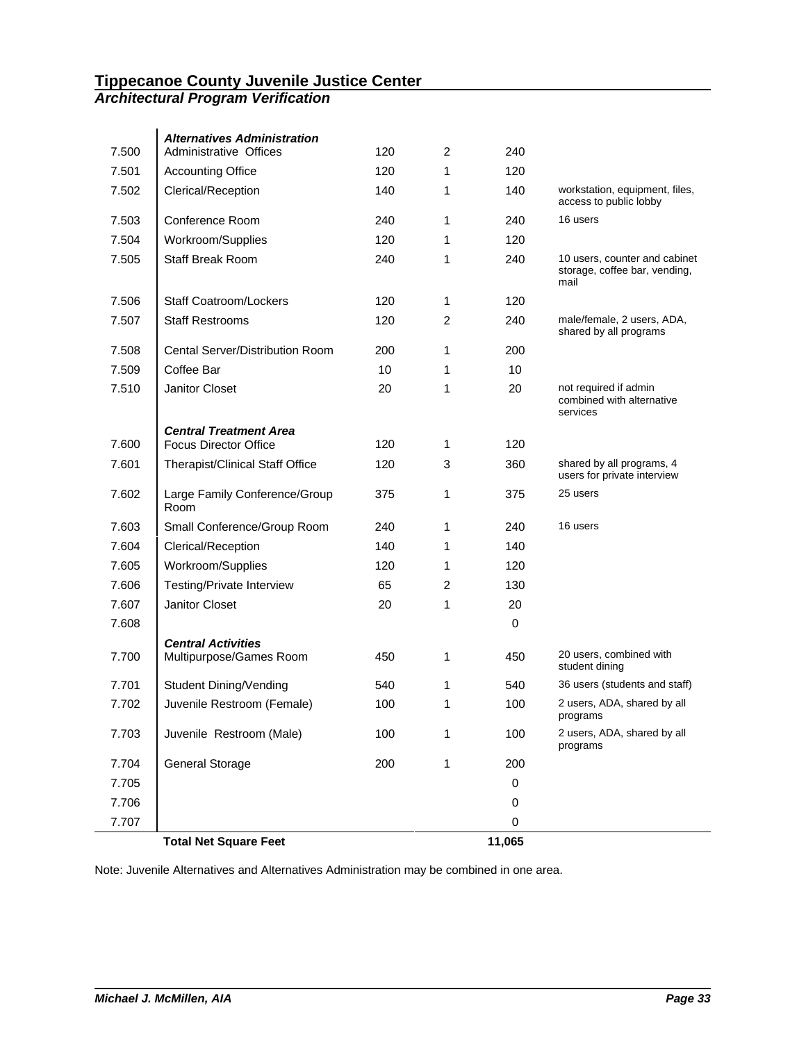### *Architectural Program Verification*

| 7.500 | <b>Alternatives Administration</b><br>Administrative Offices | 120 | 2 | 240         |                                                                        |
|-------|--------------------------------------------------------------|-----|---|-------------|------------------------------------------------------------------------|
| 7.501 | <b>Accounting Office</b>                                     | 120 | 1 | 120         |                                                                        |
| 7.502 | Clerical/Reception                                           | 140 | 1 | 140         | workstation, equipment, files,<br>access to public lobby               |
| 7.503 | Conference Room                                              | 240 | 1 | 240         | 16 users                                                               |
| 7.504 | Workroom/Supplies                                            | 120 | 1 | 120         |                                                                        |
| 7.505 | <b>Staff Break Room</b>                                      | 240 | 1 | 240         | 10 users, counter and cabinet<br>storage, coffee bar, vending,<br>mail |
| 7.506 | <b>Staff Coatroom/Lockers</b>                                | 120 | 1 | 120         |                                                                        |
| 7.507 | <b>Staff Restrooms</b>                                       | 120 | 2 | 240         | male/female, 2 users, ADA,<br>shared by all programs                   |
| 7.508 | Cental Server/Distribution Room                              | 200 | 1 | 200         |                                                                        |
| 7.509 | Coffee Bar                                                   | 10  | 1 | 10          |                                                                        |
| 7.510 | Janitor Closet                                               | 20  | 1 | 20          | not required if admin<br>combined with alternative<br>services         |
|       | <b>Central Treatment Area</b>                                | 120 |   |             |                                                                        |
| 7.600 | <b>Focus Director Office</b>                                 |     | 1 | 120         |                                                                        |
| 7.601 | <b>Therapist/Clinical Staff Office</b>                       | 120 | 3 | 360         | shared by all programs, 4<br>users for private interview               |
| 7.602 | Large Family Conference/Group<br>Room                        | 375 | 1 | 375         | 25 users                                                               |
| 7.603 | Small Conference/Group Room                                  | 240 | 1 | 240         | 16 users                                                               |
| 7.604 | Clerical/Reception                                           | 140 | 1 | 140         |                                                                        |
| 7.605 | Workroom/Supplies                                            | 120 | 1 | 120         |                                                                        |
| 7.606 | Testing/Private Interview                                    | 65  | 2 | 130         |                                                                        |
| 7.607 | Janitor Closet                                               | 20  | 1 | 20          |                                                                        |
| 7.608 |                                                              |     |   | $\mathbf 0$ |                                                                        |
| 7.700 | <b>Central Activities</b><br>Multipurpose/Games Room         | 450 | 1 | 450         | 20 users, combined with<br>student dining                              |
| 7.701 | Student Dining/Vending                                       | 540 | 1 | 540         | 36 users (students and staff)                                          |
| 7.702 | Juvenile Restroom (Female)                                   | 100 | 1 | 100         | 2 users, ADA, shared by all<br>programs                                |
| 7.703 | Juvenile Restroom (Male)                                     | 100 | 1 | 100         | 2 users, ADA, shared by all<br>programs                                |
| 7.704 | <b>General Storage</b>                                       | 200 | 1 | 200         |                                                                        |
| 7.705 |                                                              |     |   | 0           |                                                                        |
| 7.706 |                                                              |     |   | 0           |                                                                        |
| 7.707 |                                                              |     |   | 0           |                                                                        |
|       | <b>Total Net Square Feet</b>                                 |     |   | 11,065      |                                                                        |

Note: Juvenile Alternatives and Alternatives Administration may be combined in one area.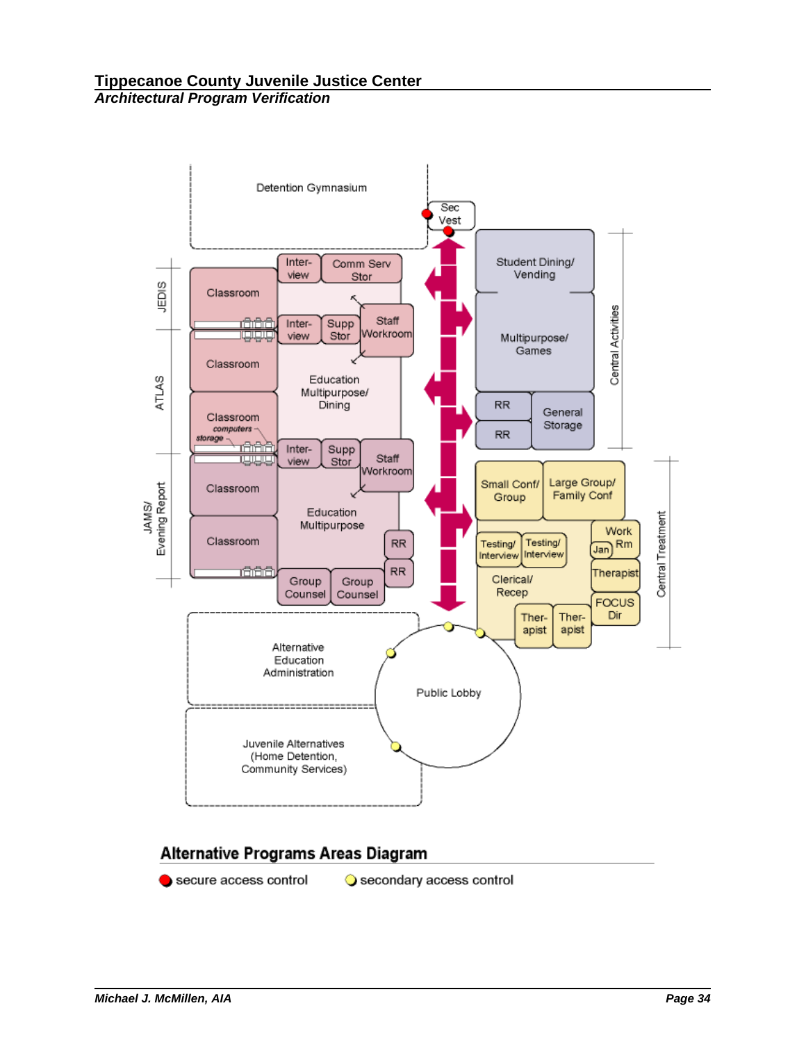

# Alternative Programs Areas Diagram

secure access control

Secondary access control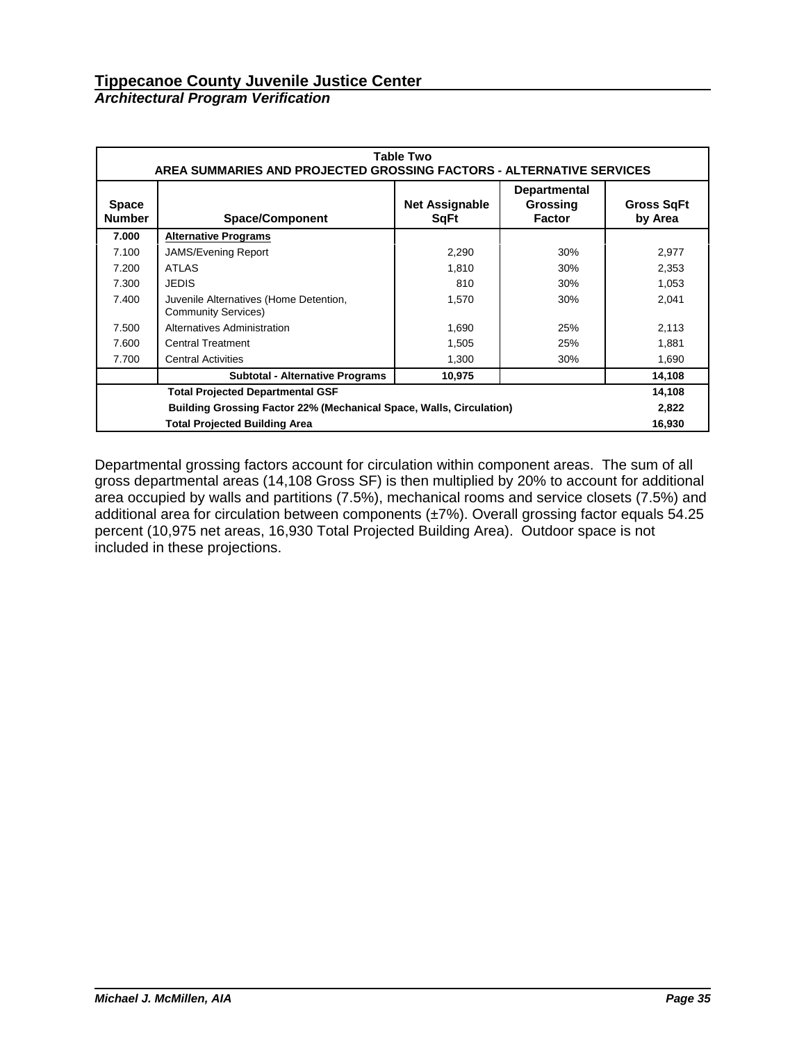# *Architectural Program Verification*

|                                                                     | Table Two<br>AREA SUMMARIES AND PROJECTED GROSSING FACTORS - ALTERNATIVE SERVICES |                                      |                                                  |                              |  |  |  |  |
|---------------------------------------------------------------------|-----------------------------------------------------------------------------------|--------------------------------------|--------------------------------------------------|------------------------------|--|--|--|--|
| <b>Space</b><br><b>Number</b>                                       | <b>Space/Component</b>                                                            | <b>Net Assignable</b><br><b>SqFt</b> | <b>Departmental</b><br>Grossing<br><b>Factor</b> | <b>Gross SqFt</b><br>by Area |  |  |  |  |
| 7.000                                                               | <b>Alternative Programs</b>                                                       |                                      |                                                  |                              |  |  |  |  |
| 7.100                                                               | <b>JAMS/Evening Report</b>                                                        | 2,290                                | 30%                                              | 2,977                        |  |  |  |  |
| 7.200                                                               | <b>ATLAS</b>                                                                      | 1,810                                | 30%                                              | 2,353                        |  |  |  |  |
| 7.300                                                               | <b>JEDIS</b>                                                                      | 810                                  | 30%                                              | 1,053                        |  |  |  |  |
| 7.400                                                               | Juvenile Alternatives (Home Detention,<br><b>Community Services)</b>              | 1,570                                | 30%                                              | 2,041                        |  |  |  |  |
| 7.500                                                               | Alternatives Administration                                                       | 1,690                                | 25%                                              | 2,113                        |  |  |  |  |
| 7.600                                                               | <b>Central Treatment</b>                                                          | 1,505                                | 25%                                              | 1,881                        |  |  |  |  |
| 7.700                                                               | <b>Central Activities</b>                                                         | 1,300                                | 30%                                              | 1,690                        |  |  |  |  |
|                                                                     | <b>Subtotal - Alternative Programs</b>                                            | 10,975                               |                                                  | 14,108                       |  |  |  |  |
| <b>Total Projected Departmental GSF</b>                             |                                                                                   |                                      |                                                  |                              |  |  |  |  |
| Building Grossing Factor 22% (Mechanical Space, Walls, Circulation) |                                                                                   |                                      |                                                  |                              |  |  |  |  |
|                                                                     | <b>Total Projected Building Area</b><br>16,930                                    |                                      |                                                  |                              |  |  |  |  |

Departmental grossing factors account for circulation within component areas. The sum of all gross departmental areas (14,108 Gross SF) is then multiplied by 20% to account for additional area occupied by walls and partitions (7.5%), mechanical rooms and service closets (7.5%) and additional area for circulation between components (±7%). Overall grossing factor equals 54.25 percent (10,975 net areas, 16,930 Total Projected Building Area). Outdoor space is not included in these projections.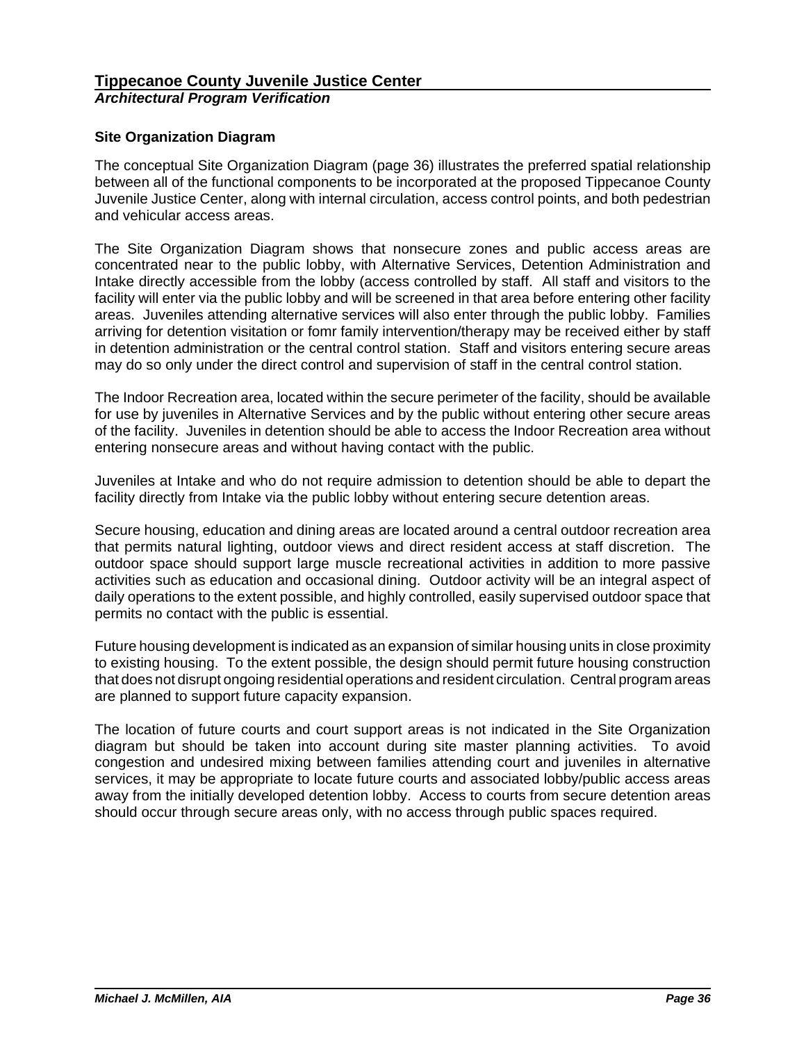# **Site Organization Diagram**

The conceptual Site Organization Diagram (page 36) illustrates the preferred spatial relationship between all of the functional components to be incorporated at the proposed Tippecanoe County Juvenile Justice Center, along with internal circulation, access control points, and both pedestrian and vehicular access areas.

The Site Organization Diagram shows that nonsecure zones and public access areas are concentrated near to the public lobby, with Alternative Services, Detention Administration and Intake directly accessible from the lobby (access controlled by staff. All staff and visitors to the facility will enter via the public lobby and will be screened in that area before entering other facility areas. Juveniles attending alternative services will also enter through the public lobby. Families arriving for detention visitation or fomr family intervention/therapy may be received either by staff in detention administration or the central control station. Staff and visitors entering secure areas may do so only under the direct control and supervision of staff in the central control station.

The Indoor Recreation area, located within the secure perimeter of the facility, should be available for use by juveniles in Alternative Services and by the public without entering other secure areas of the facility. Juveniles in detention should be able to access the Indoor Recreation area without entering nonsecure areas and without having contact with the public.

Juveniles at Intake and who do not require admission to detention should be able to depart the facility directly from Intake via the public lobby without entering secure detention areas.

Secure housing, education and dining areas are located around a central outdoor recreation area that permits natural lighting, outdoor views and direct resident access at staff discretion. The outdoor space should support large muscle recreational activities in addition to more passive activities such as education and occasional dining. Outdoor activity will be an integral aspect of daily operations to the extent possible, and highly controlled, easily supervised outdoor space that permits no contact with the public is essential.

Future housing development is indicated as an expansion of similar housing units in close proximity to existing housing. To the extent possible, the design should permit future housing construction that does not disrupt ongoing residential operations and resident circulation. Central program areas are planned to support future capacity expansion.

The location of future courts and court support areas is not indicated in the Site Organization diagram but should be taken into account during site master planning activities. To avoid congestion and undesired mixing between families attending court and juveniles in alternative services, it may be appropriate to locate future courts and associated lobby/public access areas away from the initially developed detention lobby. Access to courts from secure detention areas should occur through secure areas only, with no access through public spaces required.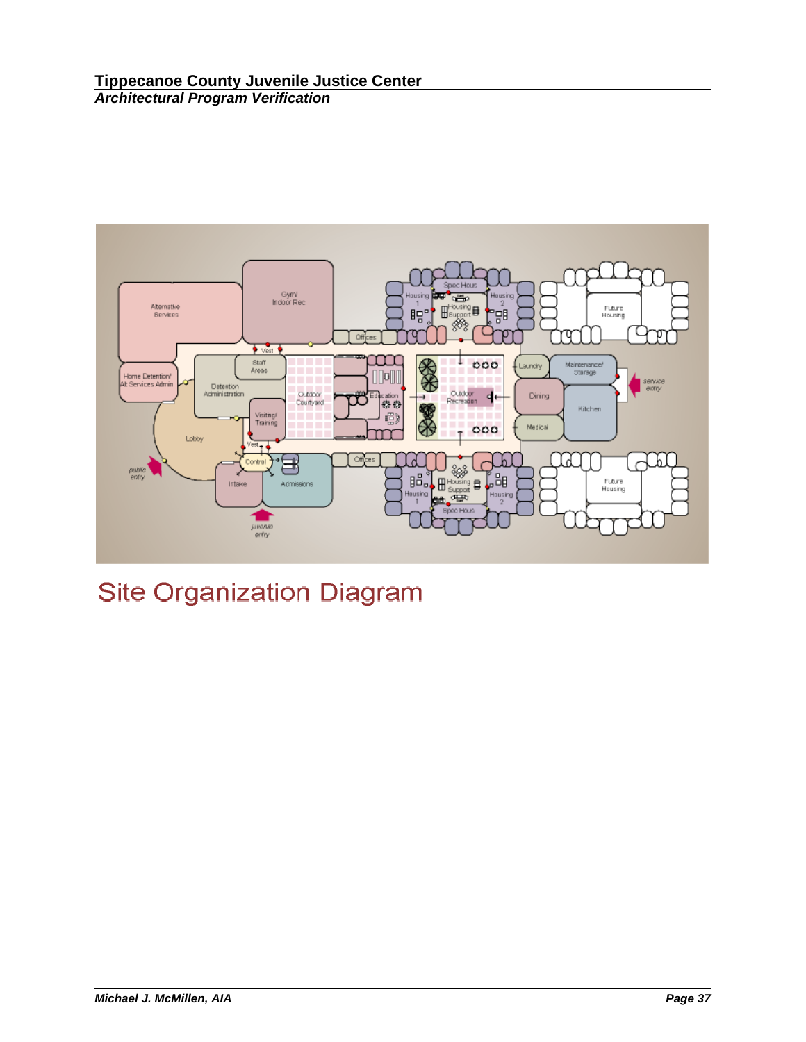

# **Site Organization Diagram**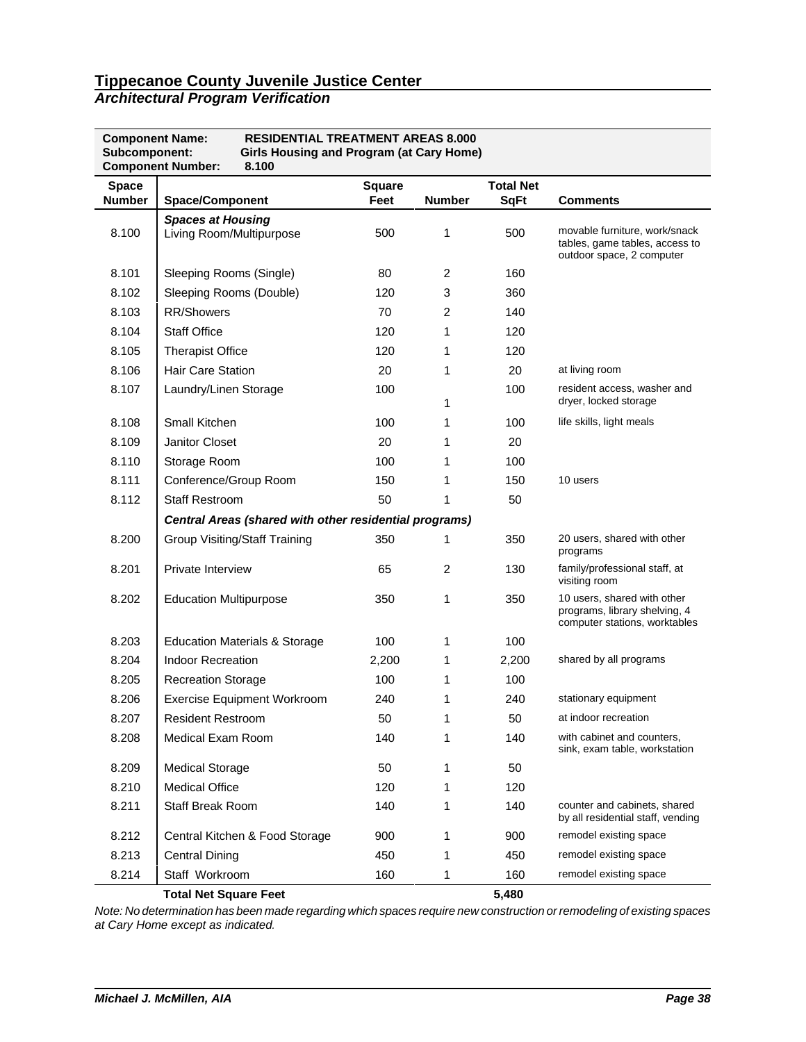| <b>Architectural Program Verification</b> |  |  |
|-------------------------------------------|--|--|
|-------------------------------------------|--|--|

| <b>RESIDENTIAL TREATMENT AREAS 8.000</b><br><b>Component Name:</b><br>Subcomponent:<br><b>Girls Housing and Program (at Cary Home)</b><br><b>Component Number:</b><br>8.100 |                                                        |                       |                |                                 |                                                                                               |  |  |
|-----------------------------------------------------------------------------------------------------------------------------------------------------------------------------|--------------------------------------------------------|-----------------------|----------------|---------------------------------|-----------------------------------------------------------------------------------------------|--|--|
| <b>Space</b><br><b>Number</b>                                                                                                                                               | <b>Space/Component</b>                                 | <b>Square</b><br>Feet | <b>Number</b>  | <b>Total Net</b><br><b>SqFt</b> | <b>Comments</b>                                                                               |  |  |
| 8.100                                                                                                                                                                       | <b>Spaces at Housing</b><br>Living Room/Multipurpose   | 500                   | 1              | 500                             | movable furniture, work/snack<br>tables, game tables, access to<br>outdoor space, 2 computer  |  |  |
| 8.101                                                                                                                                                                       | Sleeping Rooms (Single)                                | 80                    | 2              | 160                             |                                                                                               |  |  |
| 8.102                                                                                                                                                                       | Sleeping Rooms (Double)                                | 120                   | 3              | 360                             |                                                                                               |  |  |
| 8.103                                                                                                                                                                       | <b>RR/Showers</b>                                      | 70                    | 2              | 140                             |                                                                                               |  |  |
| 8.104                                                                                                                                                                       | <b>Staff Office</b>                                    | 120                   | 1              | 120                             |                                                                                               |  |  |
| 8.105                                                                                                                                                                       | <b>Therapist Office</b>                                | 120                   | 1              | 120                             |                                                                                               |  |  |
| 8.106                                                                                                                                                                       | <b>Hair Care Station</b>                               | 20                    | 1              | 20                              | at living room                                                                                |  |  |
| 8.107                                                                                                                                                                       | Laundry/Linen Storage                                  | 100                   | 1              | 100                             | resident access, washer and<br>dryer, locked storage                                          |  |  |
| 8.108                                                                                                                                                                       | Small Kitchen                                          | 100                   | 1              | 100                             | life skills, light meals                                                                      |  |  |
| 8.109                                                                                                                                                                       | Janitor Closet                                         | 20                    | 1              | 20                              |                                                                                               |  |  |
| 8.110                                                                                                                                                                       | Storage Room                                           | 100                   | 1              | 100                             |                                                                                               |  |  |
| 8.111                                                                                                                                                                       | Conference/Group Room                                  | 150                   | 1              | 150                             | 10 users                                                                                      |  |  |
| 8.112                                                                                                                                                                       | <b>Staff Restroom</b>                                  | 50                    | 1              | 50                              |                                                                                               |  |  |
|                                                                                                                                                                             | Central Areas (shared with other residential programs) |                       |                |                                 |                                                                                               |  |  |
| 8.200                                                                                                                                                                       | <b>Group Visiting/Staff Training</b>                   | 350                   | 1              | 350                             | 20 users, shared with other<br>programs                                                       |  |  |
| 8.201                                                                                                                                                                       | Private Interview                                      | 65                    | $\overline{2}$ | 130                             | family/professional staff, at<br>visiting room                                                |  |  |
| 8.202                                                                                                                                                                       | <b>Education Multipurpose</b>                          | 350                   | 1              | 350                             | 10 users, shared with other<br>programs, library shelving, 4<br>computer stations, worktables |  |  |
| 8.203                                                                                                                                                                       | <b>Education Materials &amp; Storage</b>               | 100                   | 1              | 100                             |                                                                                               |  |  |
| 8.204                                                                                                                                                                       | <b>Indoor Recreation</b>                               | 2,200                 | 1              | 2,200                           | shared by all programs                                                                        |  |  |
| 8.205                                                                                                                                                                       | <b>Recreation Storage</b>                              | 100                   | 1              | 100                             |                                                                                               |  |  |
| 8.206                                                                                                                                                                       | <b>Exercise Equipment Workroom</b>                     | 240                   | 1              | 240                             | stationary equipment                                                                          |  |  |
| 8.207                                                                                                                                                                       | <b>Resident Restroom</b>                               | 50                    | 1              | 50                              | at indoor recreation                                                                          |  |  |
| 8.208                                                                                                                                                                       | Medical Exam Room                                      | 140                   | 1              | 140                             | with cabinet and counters,<br>sink, exam table, workstation                                   |  |  |
| 8.209                                                                                                                                                                       | <b>Medical Storage</b>                                 | 50                    | 1              | 50                              |                                                                                               |  |  |
| 8.210                                                                                                                                                                       | <b>Medical Office</b>                                  | 120                   | 1              | 120                             |                                                                                               |  |  |
| 8.211                                                                                                                                                                       | Staff Break Room                                       | 140                   | 1              | 140                             | counter and cabinets, shared<br>by all residential staff, vending                             |  |  |
| 8.212                                                                                                                                                                       | Central Kitchen & Food Storage                         | 900                   | 1              | 900                             | remodel existing space                                                                        |  |  |
| 8.213                                                                                                                                                                       | <b>Central Dining</b>                                  | 450                   | 1              | 450                             | remodel existing space                                                                        |  |  |
| 8.214                                                                                                                                                                       | Staff Workroom                                         | 160                   | 1              | 160                             | remodel existing space                                                                        |  |  |
|                                                                                                                                                                             | <b>Total Net Square Feet</b>                           |                       |                | 5,480                           |                                                                                               |  |  |

*Note: No determination has been made regarding which spaces require new construction or remodeling of existing spaces at Cary Home except as indicated.*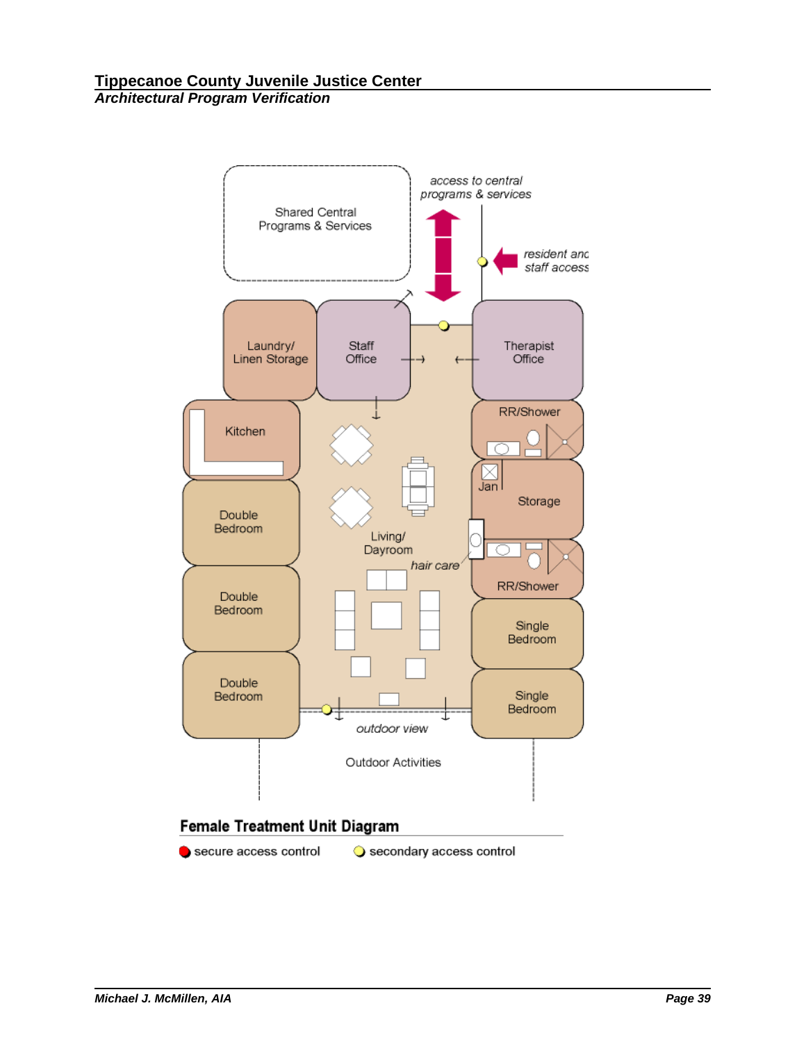

secure access control

Secondary access control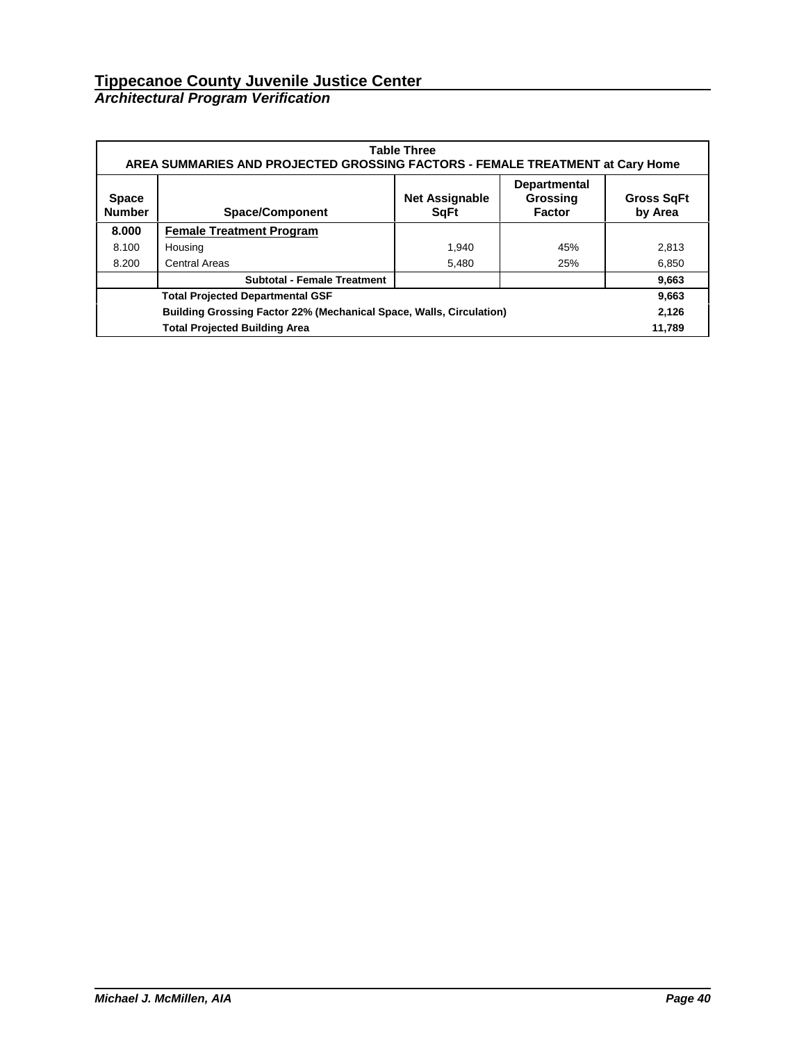### *Architectural Program Verification*

|                                                                            | <b>Table Three</b><br>AREA SUMMARIES AND PROJECTED GROSSING FACTORS - FEMALE TREATMENT at Cary Home                                                 |       |     |       |  |  |  |  |  |
|----------------------------------------------------------------------------|-----------------------------------------------------------------------------------------------------------------------------------------------------|-------|-----|-------|--|--|--|--|--|
| <b>Space</b><br><b>Number</b>                                              | <b>Departmental</b><br><b>Net Assignable</b><br>Grossing<br><b>Gross SqFt</b><br><b>Space/Component</b><br>by Area<br><b>S</b> qFt<br><b>Factor</b> |       |     |       |  |  |  |  |  |
| 8.000                                                                      | <b>Female Treatment Program</b>                                                                                                                     |       |     |       |  |  |  |  |  |
| 8.100                                                                      | Housing                                                                                                                                             | 1.940 | 45% | 2,813 |  |  |  |  |  |
| 8.200                                                                      | <b>Central Areas</b>                                                                                                                                | 5,480 | 25% | 6,850 |  |  |  |  |  |
|                                                                            | <b>Subtotal - Female Treatment</b>                                                                                                                  |       |     | 9,663 |  |  |  |  |  |
|                                                                            | <b>Total Projected Departmental GSF</b><br>9,663                                                                                                    |       |     |       |  |  |  |  |  |
| <b>Building Grossing Factor 22% (Mechanical Space, Walls, Circulation)</b> |                                                                                                                                                     |       |     |       |  |  |  |  |  |
|                                                                            | <b>Total Projected Building Area</b>                                                                                                                |       |     |       |  |  |  |  |  |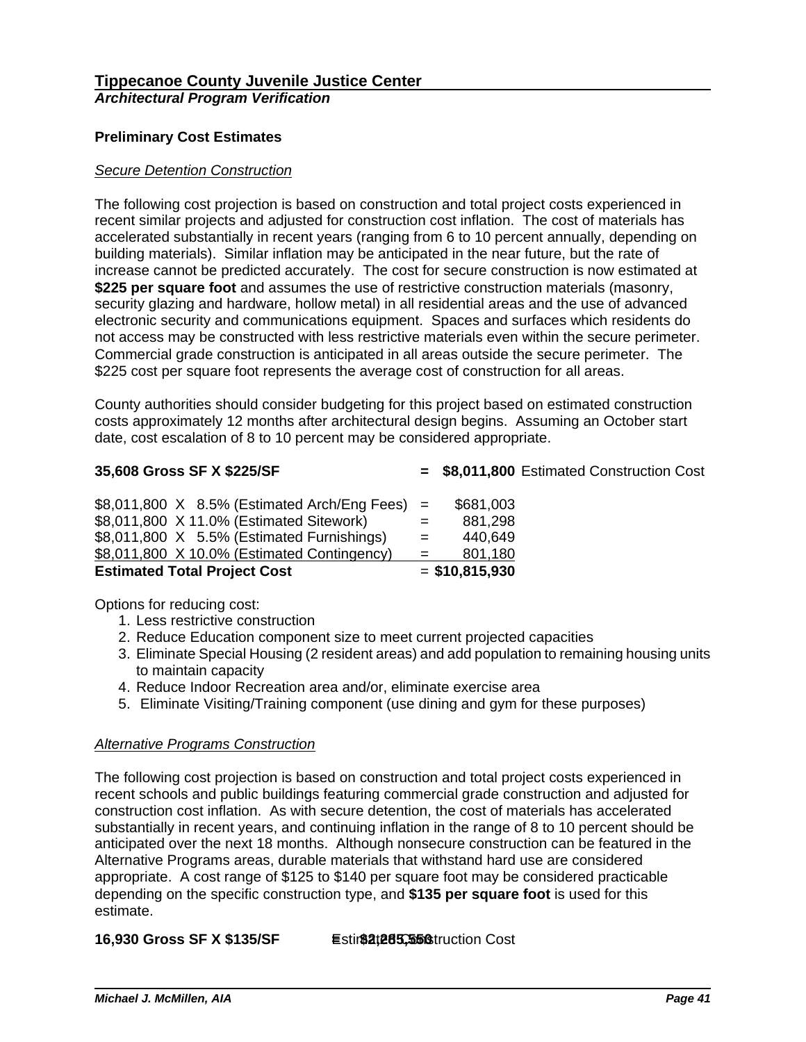# **Preliminary Cost Estimates**

## *Secure Detention Construction*

The following cost projection is based on construction and total project costs experienced in recent similar projects and adjusted for construction cost inflation. The cost of materials has accelerated substantially in recent years (ranging from 6 to 10 percent annually, depending on building materials). Similar inflation may be anticipated in the near future, but the rate of increase cannot be predicted accurately. The cost for secure construction is now estimated at **\$225 per square foot** and assumes the use of restrictive construction materials (masonry, security glazing and hardware, hollow metal) in all residential areas and the use of advanced electronic security and communications equipment. Spaces and surfaces which residents do not access may be constructed with less restrictive materials even within the secure perimeter. Commercial grade construction is anticipated in all areas outside the secure perimeter.The \$225 cost per square foot represents the average cost of construction for all areas.

County authorities should consider budgeting for this project based on estimated construction costs approximately 12 months after architectural design begins. Assuming an October start date, cost escalation of 8 to 10 percent may be considered appropriate.

**35,608 Gross SF X \$225/SF = \$8,011,800** Estimated Construction Cost

| <b>Estimated Total Project Cost</b>      |  |  |  |                                                    |     | $=$ \$10,815,930 |
|------------------------------------------|--|--|--|----------------------------------------------------|-----|------------------|
|                                          |  |  |  | \$8,011,800 X 10.0% (Estimated Contingency)        | $=$ | 801,180          |
|                                          |  |  |  | \$8,011,800 X 5.5% (Estimated Furnishings)         | $=$ | 440,649          |
| \$8,011,800 X 11.0% (Estimated Sitework) |  |  |  |                                                    | $=$ | 881,298          |
|                                          |  |  |  | $$8,011,800$ X $8.5\%$ (Estimated Arch/Eng Fees) = |     | \$681,003        |

Options for reducing cost:

- 1. Less restrictive construction
- 2. Reduce Education component size to meet current projected capacities
- 3. Eliminate Special Housing (2 resident areas) and add population to remaining housing units to maintain capacity
- 4. Reduce Indoor Recreation area and/or, eliminate exercise area
- 5. Eliminate Visiting/Training component (use dining and gym for these purposes)

# *Alternative Programs Construction*

The following cost projection is based on construction and total project costs experienced in recent schools and public buildings featuring commercial grade construction and adjusted for construction cost inflation. As with secure detention, the cost of materials has accelerated substantially in recent years, and continuing inflation in the range of 8 to 10 percent should be anticipated over the next 18 months. Although nonsecure construction can be featured in the Alternative Programs areas, durable materials that withstand hard use are considered appropriate. A cost range of \$125 to \$140 per square foot may be considered practicable depending on the specific construction type, and **\$135 per square foot** is used for this estimate.

# **16,930 Gross SF X \$135/SF Estim\$2t285,5560 Struction Cost**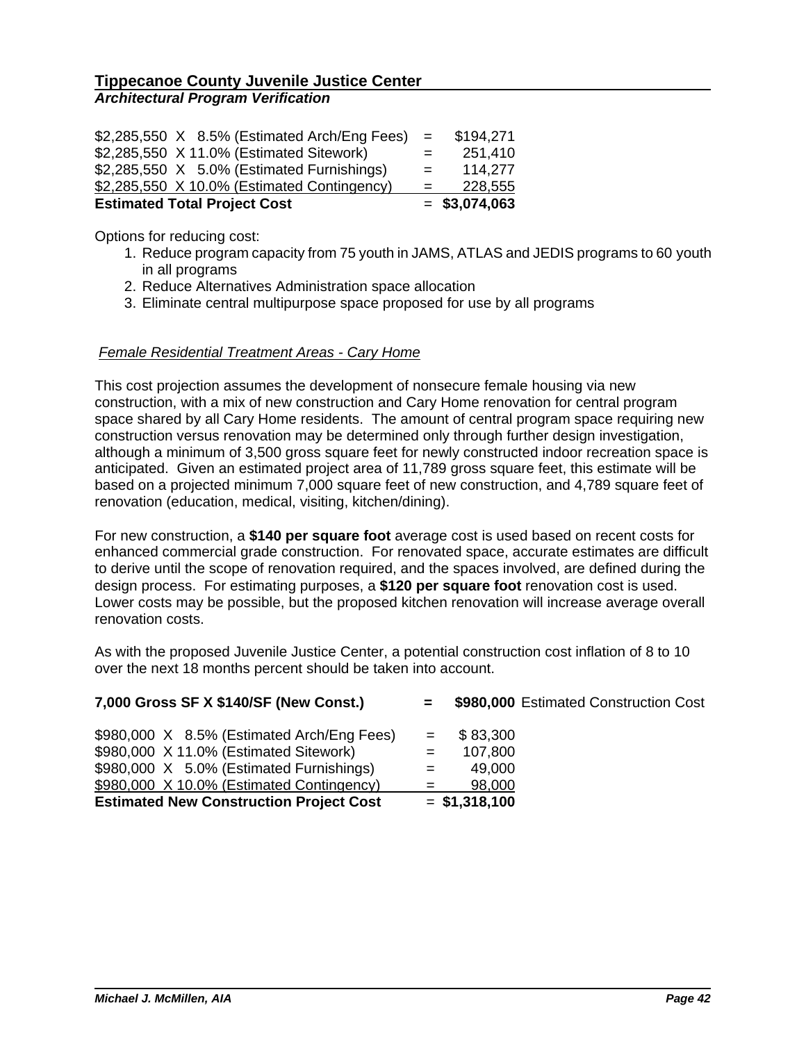|                                          |  |  |  | \$2,285,550 X 8.5% (Estimated Arch/Eng Fees) | $\mathbf{r} = \mathbf{r}$ | \$194,271       |
|------------------------------------------|--|--|--|----------------------------------------------|---------------------------|-----------------|
| \$2,285,550 X 11.0% (Estimated Sitework) |  |  |  |                                              | $=$                       | 251,410         |
|                                          |  |  |  | \$2,285,550 X 5.0% (Estimated Furnishings)   | $=$                       | 114,277         |
|                                          |  |  |  | \$2,285,550 X 10.0% (Estimated Contingency)  | $=$                       | 228,555         |
| <b>Estimated Total Project Cost</b>      |  |  |  |                                              |                           | $=$ \$3,074,063 |

Options for reducing cost:

- 1. Reduce program capacity from 75 youth in JAMS, ATLAS and JEDIS programs to 60 youth in all programs
- 2. Reduce Alternatives Administration space allocation
- 3. Eliminate central multipurpose space proposed for use by all programs

### *Female Residential Treatment Areas - Cary Home*

This cost projection assumes the development of nonsecure female housing via new construction, with a mix of new construction and Cary Home renovation for central program space shared by all Cary Home residents. The amount of central program space requiring new construction versus renovation may be determined only through further design investigation, although a minimum of 3,500 gross square feet for newly constructed indoor recreation space is anticipated. Given an estimated project area of 11,789 gross square feet, this estimate will be based on a projected minimum 7,000 square feet of new construction, and 4,789 square feet of renovation (education, medical, visiting, kitchen/dining).

For new construction, a **\$140 per square foot** average cost is used based on recent costs for enhanced commercial grade construction. For renovated space, accurate estimates are difficult to derive until the scope of renovation required, and the spaces involved, are defined during the design process. For estimating purposes, a **\$120 per square foot** renovation cost is used. Lower costs may be possible, but the proposed kitchen renovation will increase average overall renovation costs.

As with the proposed Juvenile Justice Center, a potential construction cost inflation of 8 to 10 over the next 18 months percent should be taken into account.

| 7,000 Gross SF X \$140/SF (New Const.)                                                                                                                                                                                          | \$980,000 Estimated Construction Cost<br>$\equiv$ $\equiv$                      |
|---------------------------------------------------------------------------------------------------------------------------------------------------------------------------------------------------------------------------------|---------------------------------------------------------------------------------|
| \$980,000 X 8.5% (Estimated Arch/Eng Fees)<br>\$980,000 X 11.0% (Estimated Sitework)<br>\$980,000 X 5.0% (Estimated Furnishings)<br>\$980,000 X 10.0% (Estimated Contingency)<br><b>Estimated New Construction Project Cost</b> | \$83,300<br>$=$<br>107,800<br>$=$<br>49,000<br>98,000<br>$=$<br>$=$ \$1,318,100 |
|                                                                                                                                                                                                                                 |                                                                                 |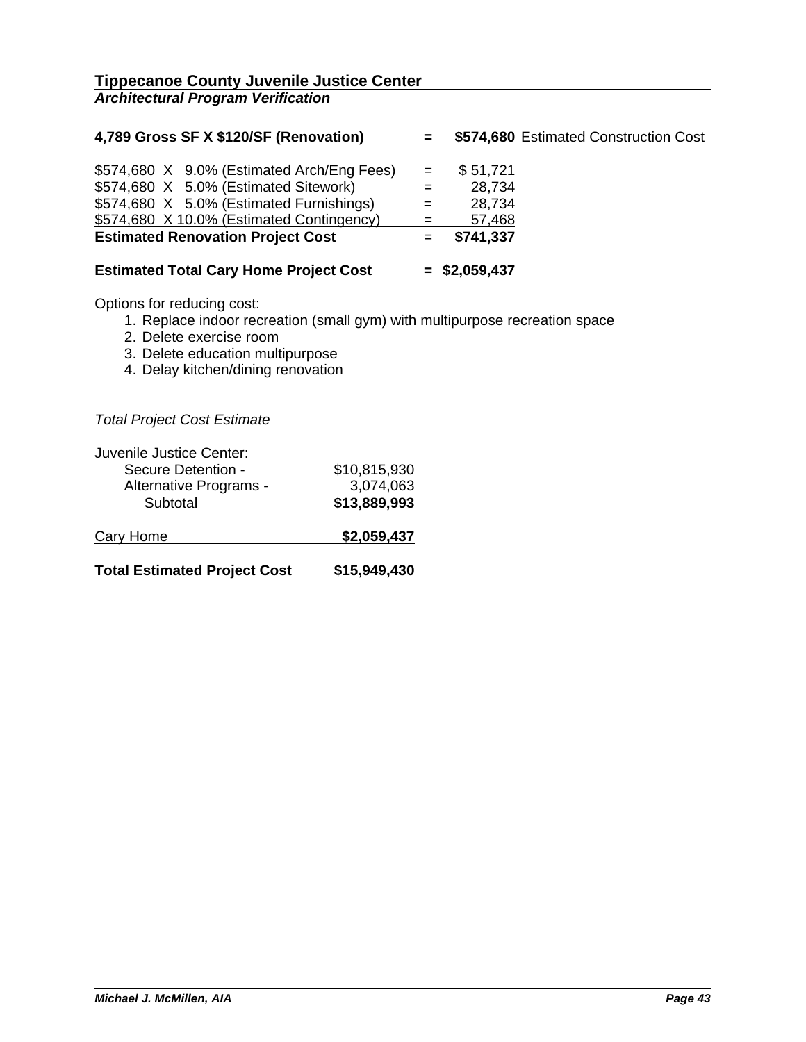| 4,789 Gross SF X \$120/SF (Renovation)        | $=$ $-$ | \$574,680 Estimated Construction Cost |  |
|-----------------------------------------------|---------|---------------------------------------|--|
| \$574,680 X 9.0% (Estimated Arch/Eng Fees)    | $=$     | \$51,721                              |  |
| \$574,680 X 5.0% (Estimated Sitework)         |         | 28,734                                |  |
| \$574,680 X 5.0% (Estimated Furnishings)      |         | 28,734                                |  |
| \$574,680 X 10.0% (Estimated Contingency)     | $=$     | 57,468                                |  |
| <b>Estimated Renovation Project Cost</b>      |         | \$741,337                             |  |
| <b>Estimated Total Cary Home Project Cost</b> |         | $=$ \$2,059,437                       |  |

Options for reducing cost:

- 1. Replace indoor recreation (small gym) with multipurpose recreation space
- 2. Delete exercise room
- 3. Delete education multipurpose
- 4. Delay kitchen/dining renovation

*Total Project Cost Estimate*

| Juvenile Justice Center:            |              |
|-------------------------------------|--------------|
| Secure Detention -                  | \$10,815,930 |
| Alternative Programs -              | 3,074,063    |
| Subtotal                            | \$13,889,993 |
| Cary Home                           | \$2,059,437  |
| <b>Total Estimated Project Cost</b> | \$15,949,430 |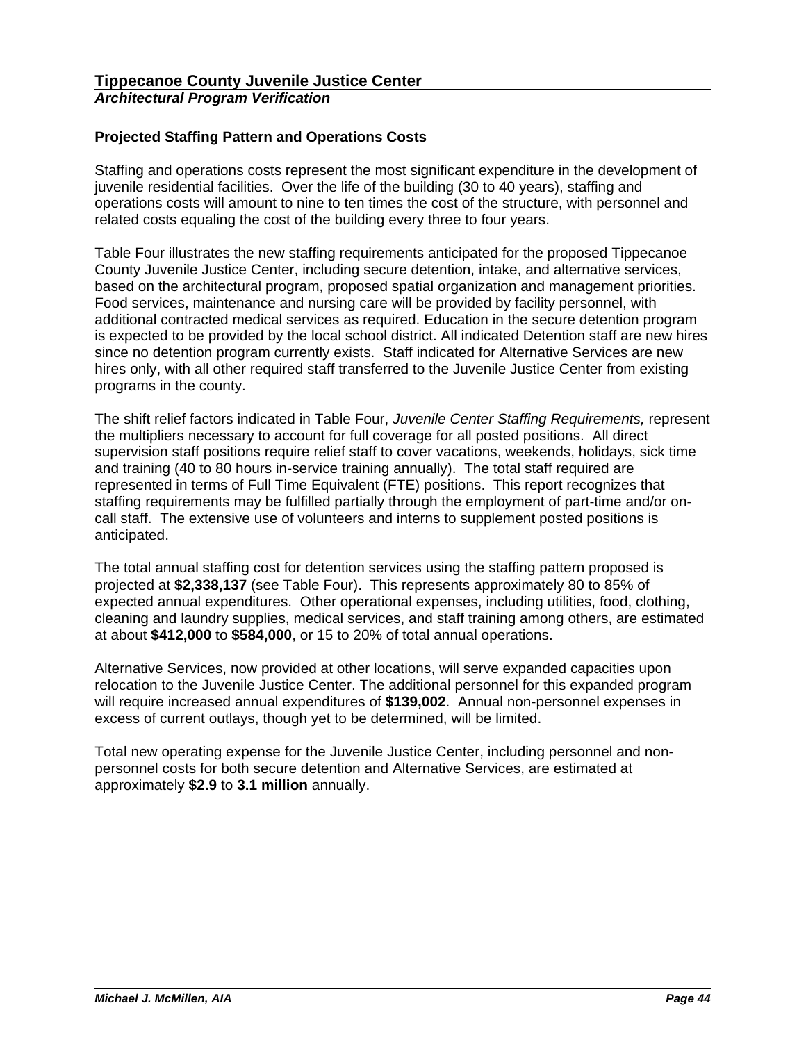# **Projected Staffing Pattern and Operations Costs**

Staffing and operations costs represent the most significant expenditure in the development of juvenile residential facilities. Over the life of the building (30 to 40 years), staffing and operations costs will amount to nine to ten times the cost of the structure, with personnel and related costs equaling the cost of the building every three to four years.

Table Four illustrates the new staffing requirements anticipated for the proposed Tippecanoe County Juvenile Justice Center, including secure detention, intake, and alternative services, based on the architectural program, proposed spatial organization and management priorities. Food services, maintenance and nursing care will be provided by facility personnel, with additional contracted medical services as required. Education in the secure detention program is expected to be provided by the local school district. All indicated Detention staff are new hires since no detention program currently exists. Staff indicated for Alternative Services are new hires only, with all other required staff transferred to the Juvenile Justice Center from existing programs in the county.

The shift relief factors indicated in Table Four, *Juvenile Center Staffing Requirements,* represent the multipliers necessary to account for full coverage for all posted positions. All direct supervision staff positions require relief staff to cover vacations, weekends, holidays, sick time and training (40 to 80 hours in-service training annually). The total staff required are represented in terms of Full Time Equivalent (FTE) positions. This report recognizes that staffing requirements may be fulfilled partially through the employment of part-time and/or oncall staff. The extensive use of volunteers and interns to supplement posted positions is anticipated.

The total annual staffing cost for detention services using the staffing pattern proposed is projected at **\$2,338,137** (see Table Four). This represents approximately 80 to 85% of expected annual expenditures. Other operational expenses, including utilities, food, clothing, cleaning and laundry supplies, medical services, and staff training among others, are estimated at about **\$412,000** to **\$584,000**, or 15 to 20% of total annual operations.

Alternative Services, now provided at other locations, will serve expanded capacities upon relocation to the Juvenile Justice Center. The additional personnel for this expanded program will require increased annual expenditures of **\$139,002**. Annual non-personnel expenses in excess of current outlays, though yet to be determined, will be limited.

Total new operating expense for the Juvenile Justice Center, including personnel and nonpersonnel costs for both secure detention and Alternative Services, are estimated at approximately **\$2.9** to **3.1 million** annually.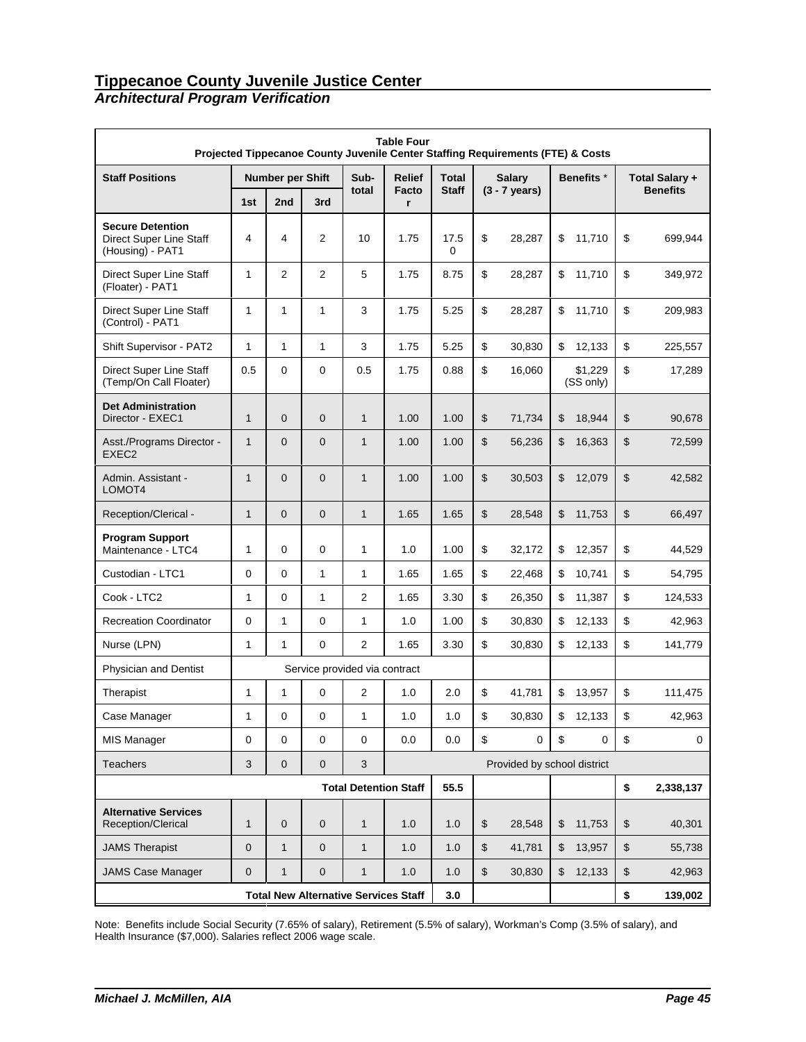# *Architectural Program Verification*

|                                                                        | <b>Table Four</b><br>Projected Tippecanoe County Juvenile Center Staffing Requirements (FTE) & Costs |                         |              |                               |                              |              |    |                             |    |                       |                |                 |
|------------------------------------------------------------------------|------------------------------------------------------------------------------------------------------|-------------------------|--------------|-------------------------------|------------------------------|--------------|----|-----------------------------|----|-----------------------|----------------|-----------------|
| <b>Staff Positions</b>                                                 |                                                                                                      | <b>Number per Shift</b> |              | Sub-                          | <b>Relief</b>                | Total        |    | <b>Salary</b>               |    | Benefits <sup>*</sup> |                | Total Salary +  |
|                                                                        | 1st                                                                                                  | 2nd                     | 3rd          | total                         | Facto<br>r                   | <b>Staff</b> |    | $(3 - 7 \text{ years})$     |    |                       |                | <b>Benefits</b> |
| <b>Secure Detention</b><br>Direct Super Line Staff<br>(Housing) - PAT1 | 4                                                                                                    | 4                       | 2            | 10                            | 1.75                         | 17.5<br>0    | \$ | 28,287                      | \$ | 11,710                | \$             | 699,944         |
| Direct Super Line Staff<br>(Floater) - PAT1                            | 1                                                                                                    | 2                       | $\mathbf{2}$ | 5                             | 1.75                         | 8.75         | \$ | 28,287                      | \$ | 11,710                | \$             | 349,972         |
| Direct Super Line Staff<br>(Control) - PAT1                            | 1                                                                                                    | 1                       | 1            | 3                             | 1.75                         | 5.25         | \$ | 28,287                      | \$ | 11,710                | \$             | 209,983         |
| Shift Supervisor - PAT2                                                | 1                                                                                                    | 1                       | 1            | 3                             | 1.75                         | 5.25         | \$ | 30,830                      | \$ | 12,133                | \$             | 225,557         |
| Direct Super Line Staff<br>(Temp/On Call Floater)                      | 0.5                                                                                                  | $\Omega$                | 0            | 0.5                           | 1.75                         | 0.88         | \$ | 16,060                      |    | \$1,229<br>(SS only)  | \$             | 17,289          |
| <b>Det Administration</b><br>Director - EXEC1                          | $\mathbf{1}$                                                                                         | 0                       | $\mathbf 0$  | $\mathbf{1}$                  | 1.00                         | 1.00         | \$ | 71,734                      | \$ | 18,944                | \$             | 90,678          |
| Asst./Programs Director -<br>EXEC <sub>2</sub>                         | $\mathbf{1}$                                                                                         | 0                       | $\mathbf 0$  | $\mathbf{1}$                  | 1.00                         | 1.00         | \$ | 56,236                      | \$ | 16,363                | \$             | 72,599          |
| Admin. Assistant -<br>LOMOT4                                           | $\mathbf{1}$                                                                                         | 0                       | $\mathbf 0$  | $\mathbf{1}$                  | 1.00                         | 1.00         | \$ | 30,503                      | \$ | 12,079                | \$             | 42,582          |
| Reception/Clerical -                                                   | $\mathbf{1}$                                                                                         | $\mathbf{0}$            | $\mathbf 0$  | $\mathbf{1}$                  | 1.65                         | 1.65         | \$ | 28,548                      | \$ | 11,753                | \$             | 66,497          |
| <b>Program Support</b><br>Maintenance - LTC4                           | $\mathbf{1}$                                                                                         | 0                       | 0            | 1                             | 1.0                          | 1.00         | \$ | 32,172                      | \$ | 12,357                | \$             | 44,529          |
| Custodian - LTC1                                                       | 0                                                                                                    | 0                       | 1            | 1                             | 1.65                         | 1.65         | \$ | 22,468                      | \$ | 10,741                | \$             | 54,795          |
| Cook - LTC2                                                            | $\mathbf{1}$                                                                                         | 0                       | $\mathbf{1}$ | $\mathbf{2}$                  | 1.65                         | 3.30         | \$ | 26,350                      | \$ | 11,387                | \$             | 124,533         |
| <b>Recreation Coordinator</b>                                          | 0                                                                                                    | 1                       | 0            | 1                             | 1.0                          | 1.00         | \$ | 30,830                      | \$ | 12,133                | \$             | 42,963          |
| Nurse (LPN)                                                            | $\mathbf{1}$                                                                                         | 1                       | 0            | $\overline{2}$                | 1.65                         | 3.30         | \$ | 30,830                      | \$ | 12,133                | \$             | 141,779         |
| Physician and Dentist                                                  |                                                                                                      |                         |              | Service provided via contract |                              |              |    |                             |    |                       |                |                 |
| Therapist                                                              | 1                                                                                                    | 1                       | $\mathbf 0$  | $\overline{2}$                | 1.0                          | 2.0          | \$ | 41,781                      | \$ | 13,957                | \$             | 111,475         |
| Case Manager                                                           | 1                                                                                                    | 0                       | 0            | 1                             | 1.0                          | $1.0$        | \$ | 30,830                      | \$ | 12,133                | \$             | 42,963          |
| <b>MIS Manager</b>                                                     | 0                                                                                                    | 0                       | 0            | 0                             | 0.0                          | 0.0          | \$ | 0                           | \$ | 0                     | \$             | 0               |
| Teachers                                                               | 3                                                                                                    | $\mathbf 0$             | $\mathbf 0$  | $\sqrt{3}$                    |                              |              |    | Provided by school district |    |                       |                |                 |
|                                                                        |                                                                                                      |                         |              |                               | <b>Total Detention Staff</b> | 55.5         |    |                             |    |                       | \$             | 2,338,137       |
| <b>Alternative Services</b><br>Reception/Clerical                      | $\mathbf{1}$                                                                                         | $\mathbf 0$             | 0            | $\mathbf{1}$                  | 1.0                          | 1.0          | \$ | 28,548                      | \$ | 11,753                | $\mathfrak{S}$ | 40,301          |
| <b>JAMS Therapist</b>                                                  | $\mathbf 0$                                                                                          | $\mathbf{1}$            | $\mathbf 0$  | $\mathbf{1}$                  | 1.0                          | 1.0          | \$ | 41,781                      | \$ | 13,957                | \$             | 55,738          |
| <b>JAMS Case Manager</b>                                               | 0                                                                                                    | $\mathbf{1}$            | 0            | $\mathbf{1}$                  | 1.0                          | 1.0          | \$ | 30,830                      | \$ | 12,133                | \$             | 42,963          |
|                                                                        | <b>Total New Alternative Services Staff</b>                                                          | 3.0                     |              |                               |                              |              | \$ | 139,002                     |    |                       |                |                 |

Note: Benefits include Social Security (7.65% of salary), Retirement (5.5% of salary), Workman's Comp (3.5% of salary), and Health Insurance (\$7,000). Salaries reflect 2006 wage scale.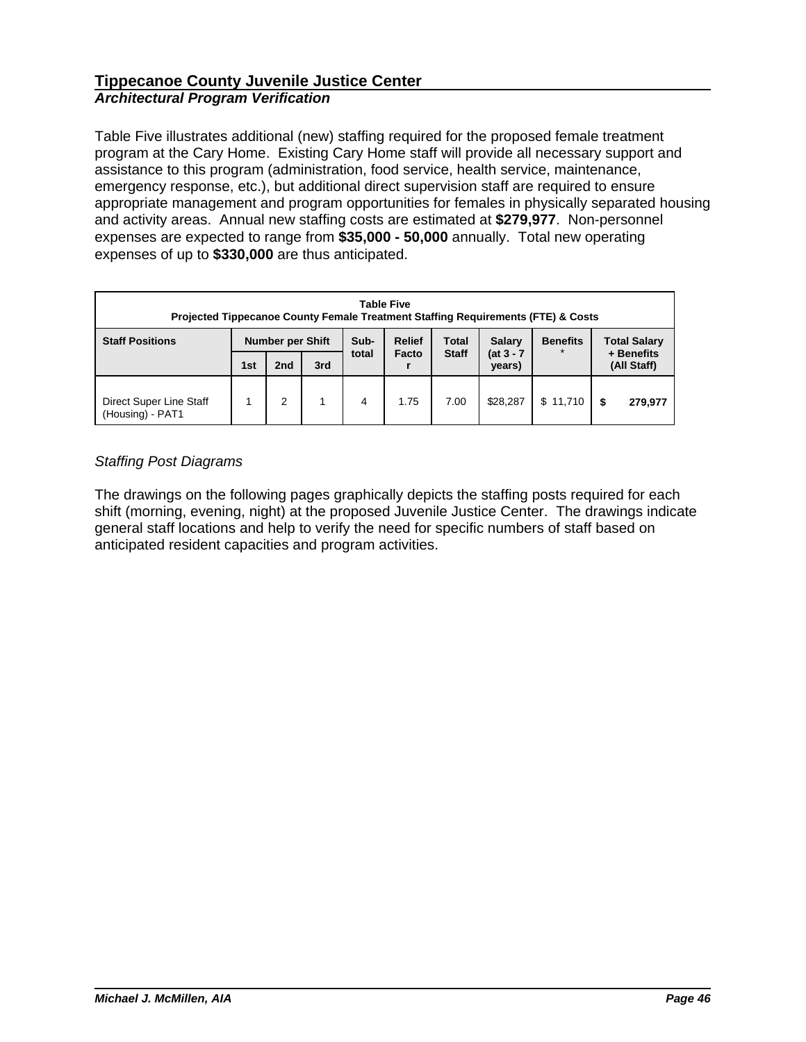Table Five illustrates additional (new) staffing required for the proposed female treatment program at the Cary Home. Existing Cary Home staff will provide all necessary support and assistance to this program (administration, food service, health service, maintenance, emergency response, etc.), but additional direct supervision staff are required to ensure appropriate management and program opportunities for females in physically separated housing and activity areas. Annual new staffing costs are estimated at **\$279,977**. Non-personnel expenses are expected to range from **\$35,000 - 50,000** annually. Total new operating expenses of up to **\$330,000** are thus anticipated.

| <b>Table Five</b><br>Projected Tippecanoe County Female Treatment Staffing Requirements (FTE) & Costs                          |     |                 |     |       |       |                     |                        |          |                           |
|--------------------------------------------------------------------------------------------------------------------------------|-----|-----------------|-----|-------|-------|---------------------|------------------------|----------|---------------------------|
| Sub-<br><b>Relief</b><br><b>Total</b><br><b>Salary</b><br><b>Staff Positions</b><br><b>Number per Shift</b><br><b>Benefits</b> |     |                 |     |       |       | <b>Total Salary</b> |                        |          |                           |
|                                                                                                                                | 1st | 2 <sub>nd</sub> | 3rd | total | Facto | <b>Staff</b>        | $(at 3 - 7)$<br>years) |          | + Benefits<br>(All Staff) |
| Direct Super Line Staff<br>(Housing) - PAT1                                                                                    |     | 2               |     | 4     | 1.75  | 7.00                | \$28.287               | \$11,710 | 279,977                   |

# *Staffing Post Diagrams*

The drawings on the following pages graphically depicts the staffing posts required for each shift (morning, evening, night) at the proposed Juvenile Justice Center. The drawings indicate general staff locations and help to verify the need for specific numbers of staff based on anticipated resident capacities and program activities.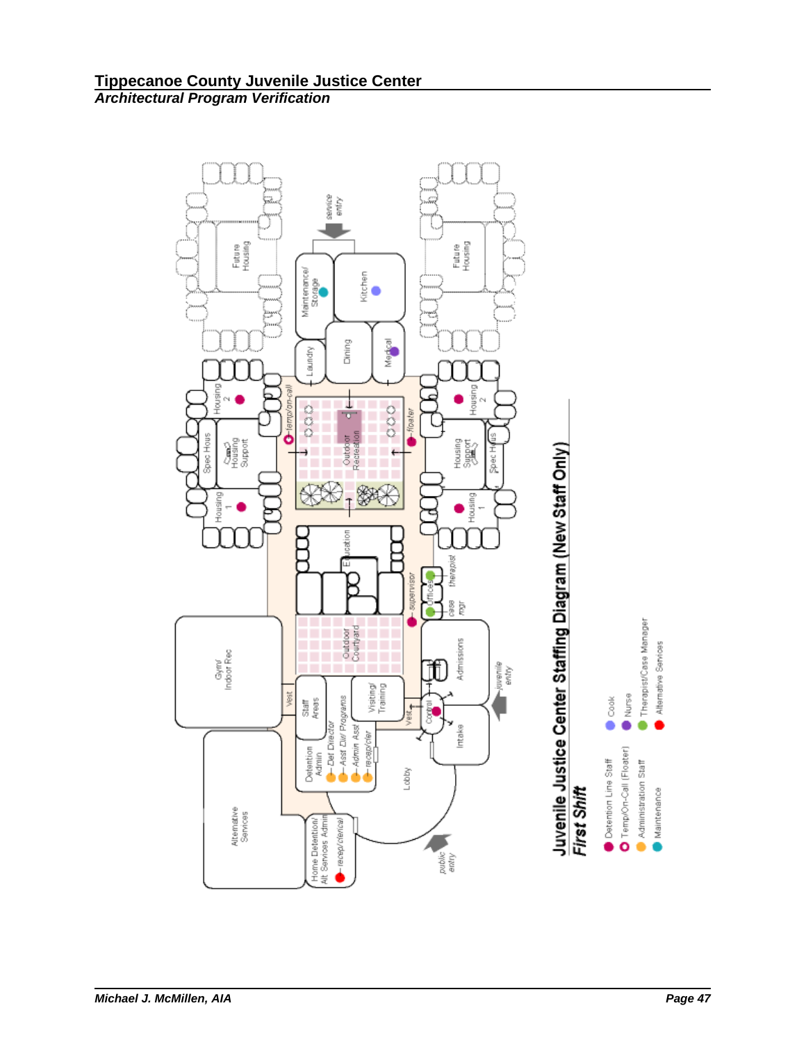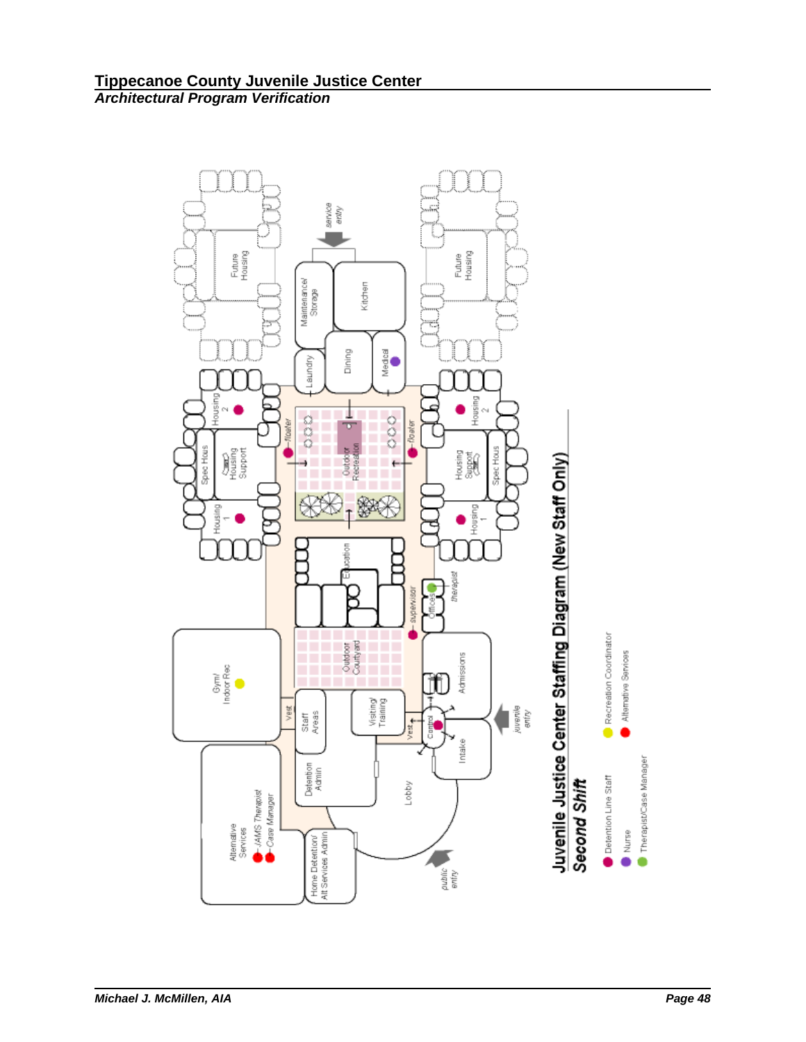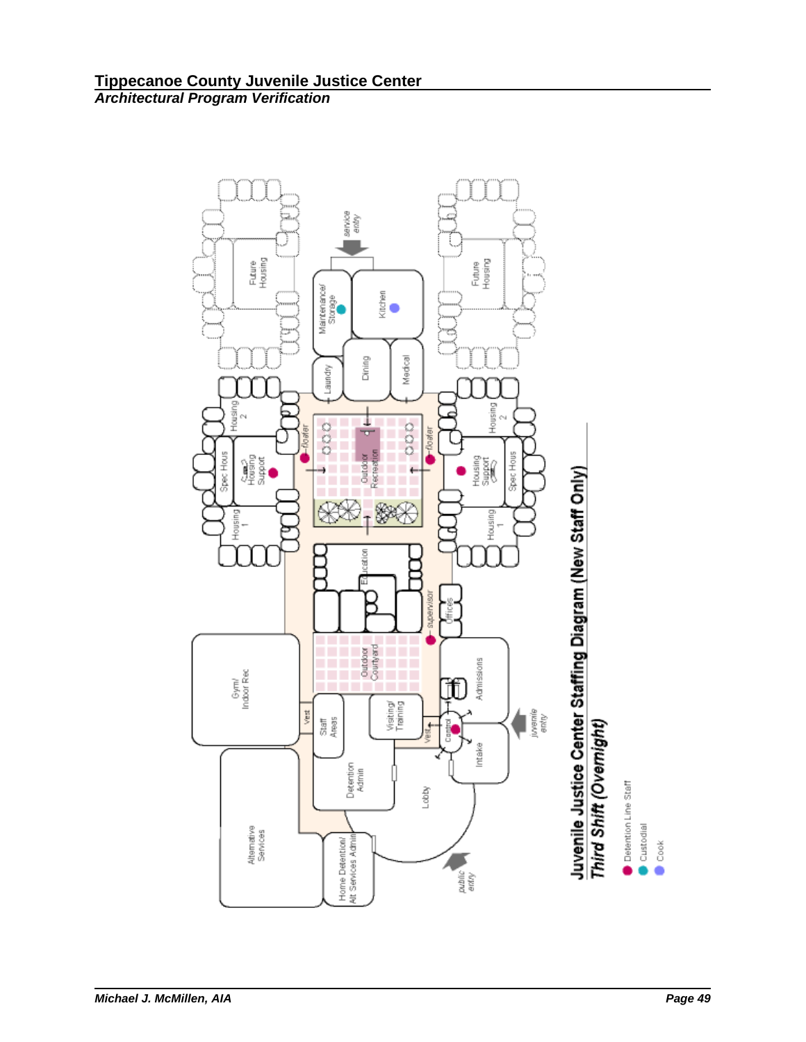

Detention Line Staff

Custodial

 $\bullet$  Cook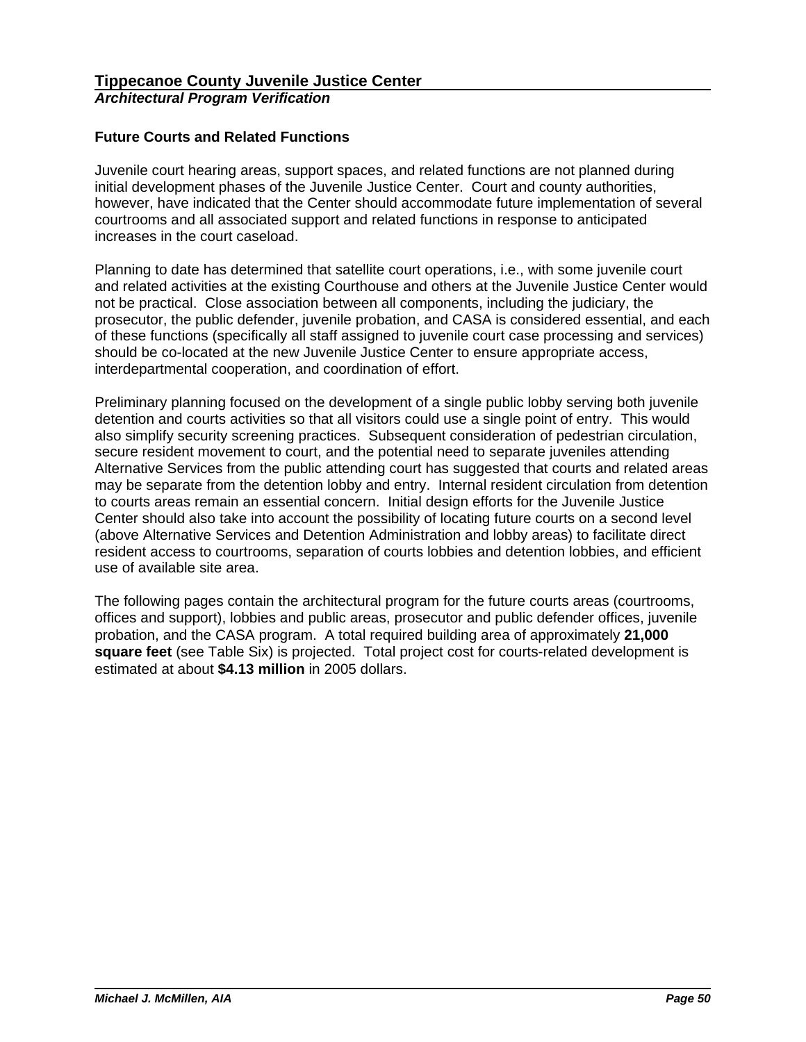# **Future Courts and Related Functions**

Juvenile court hearing areas, support spaces, and related functions are not planned during initial development phases of the Juvenile Justice Center. Court and county authorities, however, have indicated that the Center should accommodate future implementation of several courtrooms and all associated support and related functions in response to anticipated increases in the court caseload.

Planning to date has determined that satellite court operations, i.e., with some juvenile court and related activities at the existing Courthouse and others at the Juvenile Justice Center would not be practical. Close association between all components, including the judiciary, the prosecutor, the public defender, juvenile probation, and CASA is considered essential, and each of these functions (specifically all staff assigned to juvenile court case processing and services) should be co-located at the new Juvenile Justice Center to ensure appropriate access, interdepartmental cooperation, and coordination of effort.

Preliminary planning focused on the development of a single public lobby serving both juvenile detention and courts activities so that all visitors could use a single point of entry. This would also simplify security screening practices. Subsequent consideration of pedestrian circulation, secure resident movement to court, and the potential need to separate juveniles attending Alternative Services from the public attending court has suggested that courts and related areas may be separate from the detention lobby and entry. Internal resident circulation from detention to courts areas remain an essential concern. Initial design efforts for the Juvenile Justice Center should also take into account the possibility of locating future courts on a second level (above Alternative Services and Detention Administration and lobby areas) to facilitate direct resident access to courtrooms, separation of courts lobbies and detention lobbies, and efficient use of available site area.

The following pages contain the architectural program for the future courts areas (courtrooms, offices and support), lobbies and public areas, prosecutor and public defender offices, juvenile probation, and the CASA program. A total required building area of approximately **21,000 square feet** (see Table Six) is projected. Total project cost for courts-related development is estimated at about **\$4.13 million** in 2005 dollars.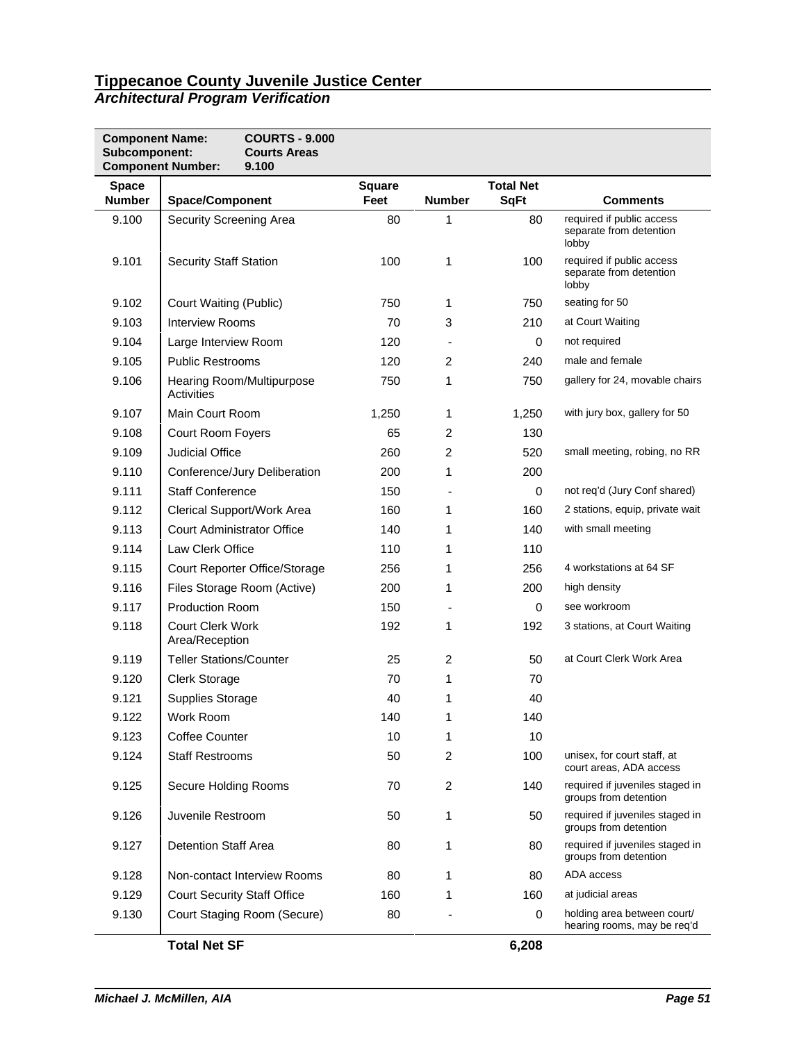| <b>Component Name:</b><br>Subcomponent: | <b>COURTS - 9.000</b><br><b>Courts Areas</b><br><b>Component Number:</b><br>9.100 |                       |                |                                 |                                                               |
|-----------------------------------------|-----------------------------------------------------------------------------------|-----------------------|----------------|---------------------------------|---------------------------------------------------------------|
| <b>Space</b><br><b>Number</b>           | <b>Space/Component</b>                                                            | <b>Square</b><br>Feet | <b>Number</b>  | <b>Total Net</b><br><b>SqFt</b> | <b>Comments</b>                                               |
| 9.100                                   | Security Screening Area                                                           | 80                    | 1              | 80                              | required if public access<br>separate from detention<br>lobby |
| 9.101                                   | <b>Security Staff Station</b>                                                     | 100                   | 1              | 100                             | required if public access<br>separate from detention<br>lobby |
| 9.102                                   | Court Waiting (Public)                                                            | 750                   | 1              | 750                             | seating for 50                                                |
| 9.103                                   | <b>Interview Rooms</b>                                                            | 70                    | 3              | 210                             | at Court Waiting                                              |
| 9.104                                   | Large Interview Room                                                              | 120                   |                | 0                               | not required                                                  |
| 9.105                                   | <b>Public Restrooms</b>                                                           | 120                   | 2              | 240                             | male and female                                               |
| 9.106                                   | Hearing Room/Multipurpose<br>Activities                                           | 750                   | 1              | 750                             | gallery for 24, movable chairs                                |
| 9.107                                   | Main Court Room                                                                   | 1,250                 | 1              | 1,250                           | with jury box, gallery for 50                                 |
| 9.108                                   | Court Room Foyers                                                                 | 65                    | 2              | 130                             |                                                               |
| 9.109                                   | Judicial Office                                                                   | 260                   | 2              | 520                             | small meeting, robing, no RR                                  |
| 9.110                                   | Conference/Jury Deliberation                                                      | 200                   | 1              | 200                             |                                                               |
| 9.111                                   | <b>Staff Conference</b>                                                           | 150                   | $\blacksquare$ | 0                               | not req'd (Jury Conf shared)                                  |
| 9.112                                   | Clerical Support/Work Area                                                        | 160                   | 1              | 160                             | 2 stations, equip, private wait                               |
| 9.113                                   | <b>Court Administrator Office</b>                                                 | 140                   | 1              | 140                             | with small meeting                                            |
| 9.114                                   | Law Clerk Office                                                                  | 110                   | 1              | 110                             |                                                               |
| 9.115                                   | Court Reporter Office/Storage                                                     | 256                   | 1              | 256                             | 4 workstations at 64 SF                                       |
| 9.116                                   | Files Storage Room (Active)                                                       | 200                   | 1              | 200                             | high density                                                  |
| 9.117                                   | <b>Production Room</b>                                                            | 150                   |                | $\mathbf 0$                     | see workroom                                                  |
| 9.118                                   | <b>Court Clerk Work</b><br>Area/Reception                                         | 192                   | 1              | 192                             | 3 stations, at Court Waiting                                  |
| 9.119                                   | <b>Teller Stations/Counter</b>                                                    | 25                    | 2              | 50                              | at Court Clerk Work Area                                      |
| 9.120                                   | <b>Clerk Storage</b>                                                              | 70                    | 1              | 70                              |                                                               |
| 9.121                                   | <b>Supplies Storage</b>                                                           | 40                    | 1              | 40                              |                                                               |
| 9.122                                   | Work Room                                                                         | 140                   | 1              | 140                             |                                                               |
| 9.123                                   | <b>Coffee Counter</b>                                                             | 10                    | 1              | 10                              |                                                               |
| 9.124                                   | <b>Staff Restrooms</b>                                                            | 50                    | 2              | 100                             | unisex, for court staff, at<br>court areas, ADA access        |
| 9.125                                   | Secure Holding Rooms                                                              | 70                    | 2              | 140                             | required if juveniles staged in<br>groups from detention      |
| 9.126                                   | Juvenile Restroom                                                                 | 50                    | 1              | 50                              | required if juveniles staged in<br>groups from detention      |
| 9.127                                   | <b>Detention Staff Area</b>                                                       | 80                    | 1              | 80                              | required if juveniles staged in<br>groups from detention      |
| 9.128                                   | Non-contact Interview Rooms                                                       | 80                    | 1              | 80                              | ADA access                                                    |
| 9.129                                   | <b>Court Security Staff Office</b>                                                | 160                   | 1              | 160                             | at judicial areas                                             |
| 9.130                                   | Court Staging Room (Secure)                                                       | 80                    |                | 0                               | holding area between court/<br>hearing rooms, may be reg'd    |
|                                         | <b>Total Net SF</b>                                                               |                       |                | 6,208                           |                                                               |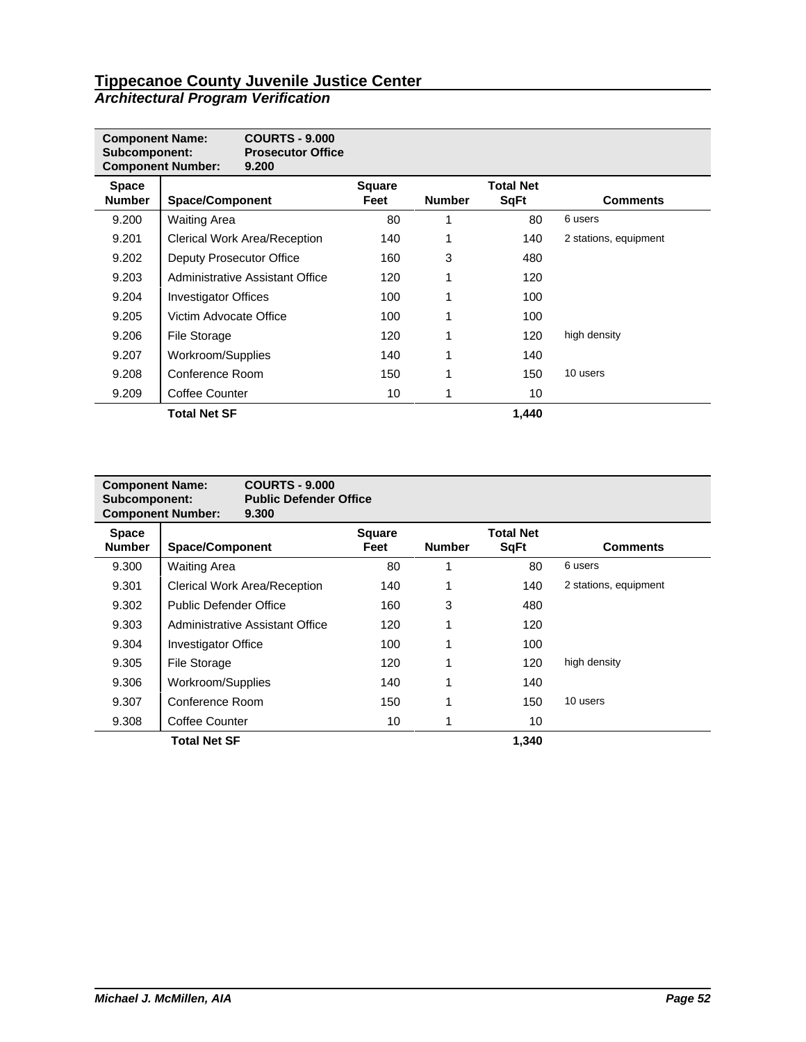| <b>Component Name:</b><br>Subcomponent: | <b>Component Number:</b>        | <b>COURTS - 9,000</b><br><b>Prosecutor Office</b><br>9.200 |                       |               |                                 |                       |
|-----------------------------------------|---------------------------------|------------------------------------------------------------|-----------------------|---------------|---------------------------------|-----------------------|
| <b>Space</b><br><b>Number</b>           | <b>Space/Component</b>          |                                                            | <b>Square</b><br>Feet | <b>Number</b> | <b>Total Net</b><br><b>SqFt</b> | <b>Comments</b>       |
| 9.200                                   | Waiting Area                    |                                                            | 80                    |               | 80                              | 6 users               |
| 9.201                                   | Clerical Work Area/Reception    |                                                            | 140                   |               | 140                             | 2 stations, equipment |
| 9.202                                   | Deputy Prosecutor Office        |                                                            | 160                   | 3             | 480                             |                       |
| 9.203                                   | Administrative Assistant Office |                                                            | 120                   |               | 120                             |                       |
| 9.204                                   | <b>Investigator Offices</b>     |                                                            | 100                   |               | 100                             |                       |
| 9.205                                   | Victim Advocate Office          |                                                            | 100                   |               | 100                             |                       |
| 9.206                                   | File Storage                    |                                                            | 120                   |               | 120                             | high density          |
| 9.207                                   | Workroom/Supplies               |                                                            | 140                   |               | 140                             |                       |
| 9.208                                   | Conference Room                 |                                                            | 150                   |               | 150                             | 10 users              |
| 9.209                                   | Coffee Counter                  | 10                                                         |                       | 10            |                                 |                       |
|                                         | <b>Total Net SF</b>             |                                                            |                       |               | 1,440                           |                       |

| <b>Component Name:</b><br>Subcomponent: | <b>COURTS - 9.000</b><br><b>Public Defender Office</b><br><b>Component Number:</b><br>9.300 |                       |               |                                 |                       |
|-----------------------------------------|---------------------------------------------------------------------------------------------|-----------------------|---------------|---------------------------------|-----------------------|
| <b>Space</b><br><b>Number</b>           | <b>Space/Component</b>                                                                      | <b>Square</b><br>Feet | <b>Number</b> | <b>Total Net</b><br><b>SqFt</b> | Comments              |
| 9.300                                   | <b>Waiting Area</b>                                                                         | 80                    | 1             | 80                              | 6 users               |
| 9.301                                   | <b>Clerical Work Area/Reception</b>                                                         | 140                   |               | 140                             | 2 stations, equipment |
| 9.302                                   | Public Defender Office                                                                      | 160                   | 3             | 480                             |                       |
| 9.303                                   | Administrative Assistant Office                                                             | 120                   | 1             | 120                             |                       |
| 9.304                                   | <b>Investigator Office</b>                                                                  | 100                   | 1             | 100                             |                       |
| 9.305                                   | File Storage                                                                                | 120                   |               | 120                             | high density          |
| 9.306                                   | Workroom/Supplies                                                                           | 140                   | 1             | 140                             |                       |
| 9.307                                   | Conference Room                                                                             | 150                   | 1             | 150                             | 10 users              |
| 9.308                                   | Coffee Counter                                                                              | 10                    |               | 10                              |                       |
|                                         | <b>Total Net SF</b>                                                                         |                       |               | 1,340                           |                       |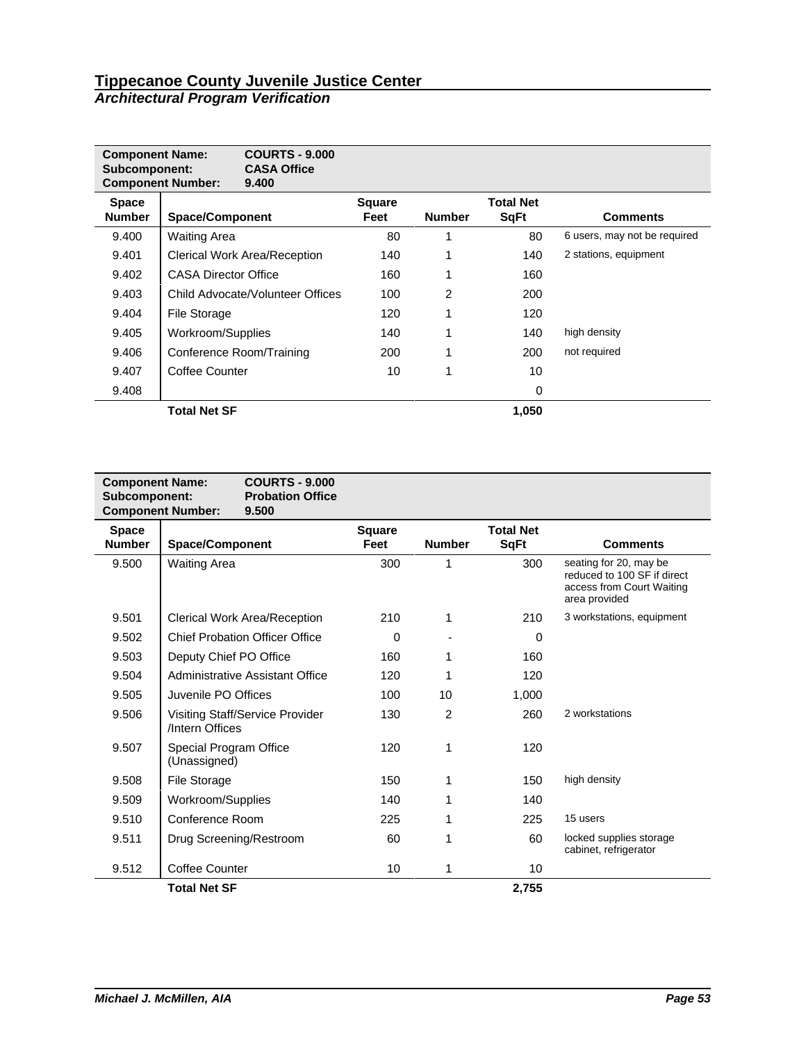| <b>Component Name:</b><br>Subcomponent: | <b>Component Number:</b>    | <b>COURTS - 9.000</b><br><b>CASA Office</b><br>9.400 |                       |               |                                 |                              |
|-----------------------------------------|-----------------------------|------------------------------------------------------|-----------------------|---------------|---------------------------------|------------------------------|
| <b>Space</b><br><b>Number</b>           | <b>Space/Component</b>      |                                                      | <b>Square</b><br>Feet | <b>Number</b> | <b>Total Net</b><br><b>SqFt</b> | <b>Comments</b>              |
| 9.400                                   | <b>Waiting Area</b>         |                                                      | 80                    | 1             | 80                              | 6 users, may not be required |
| 9.401                                   |                             | <b>Clerical Work Area/Reception</b>                  | 140                   | 1             | 140                             | 2 stations, equipment        |
| 9.402                                   | <b>CASA Director Office</b> |                                                      | 160                   | 1             | 160                             |                              |
| 9.403                                   |                             | Child Advocate/Volunteer Offices                     | 100                   | 2             | 200                             |                              |
| 9.404                                   | File Storage                |                                                      | 120                   | 1             | 120                             |                              |
| 9.405                                   | Workroom/Supplies           |                                                      | 140                   | 1             | 140                             | high density                 |
| 9.406                                   |                             | Conference Room/Training                             | 200                   | 1             | 200                             | not required                 |
| 9.407                                   | Coffee Counter              |                                                      | 10                    | 1             | 10                              |                              |
| 9.408                                   |                             |                                                      |                       |               | 0                               |                              |
|                                         | <b>Total Net SF</b>         |                                                      |                       |               | 1,050                           |                              |

| <b>Component Name:</b><br>Subcomponent: | <b>COURTS - 9.000</b><br><b>Probation Office</b><br><b>Component Number:</b><br>9.500 |                       |                |                                 |                                                                                                     |
|-----------------------------------------|---------------------------------------------------------------------------------------|-----------------------|----------------|---------------------------------|-----------------------------------------------------------------------------------------------------|
| <b>Space</b><br><b>Number</b>           | <b>Space/Component</b>                                                                | <b>Square</b><br>Feet | <b>Number</b>  | <b>Total Net</b><br><b>SqFt</b> | <b>Comments</b>                                                                                     |
| 9.500                                   | <b>Waiting Area</b>                                                                   | 300                   |                | 300                             | seating for 20, may be<br>reduced to 100 SF if direct<br>access from Court Waiting<br>area provided |
| 9.501                                   | Clerical Work Area/Reception                                                          | 210                   | 1              | 210                             | 3 workstations, equipment                                                                           |
| 9.502                                   | <b>Chief Probation Officer Office</b>                                                 | 0                     |                | $\Omega$                        |                                                                                                     |
| 9.503                                   | Deputy Chief PO Office                                                                | 160                   | 1              | 160                             |                                                                                                     |
| 9.504                                   | Administrative Assistant Office                                                       | 120                   | 1              | 120                             |                                                                                                     |
| 9.505                                   | Juvenile PO Offices                                                                   | 100                   | 10             | 1,000                           |                                                                                                     |
| 9.506                                   | Visiting Staff/Service Provider<br>/Intern Offices                                    | 130                   | $\overline{2}$ | 260                             | 2 workstations                                                                                      |
| 9.507                                   | Special Program Office<br>(Unassigned)                                                | 120                   | 1              | 120                             |                                                                                                     |
| 9.508                                   | File Storage                                                                          | 150                   | 1              | 150                             | high density                                                                                        |
| 9.509                                   | Workroom/Supplies                                                                     | 140                   |                | 140                             |                                                                                                     |
| 9.510                                   | Conference Room                                                                       | 225                   | 1              | 225                             | 15 users                                                                                            |
| 9.511                                   | Drug Screening/Restroom                                                               | 60                    |                | 60                              | locked supplies storage<br>cabinet, refrigerator                                                    |
| 9.512                                   | <b>Coffee Counter</b>                                                                 | 10                    | 1              | 10                              |                                                                                                     |
|                                         | <b>Total Net SF</b>                                                                   |                       |                | 2,755                           |                                                                                                     |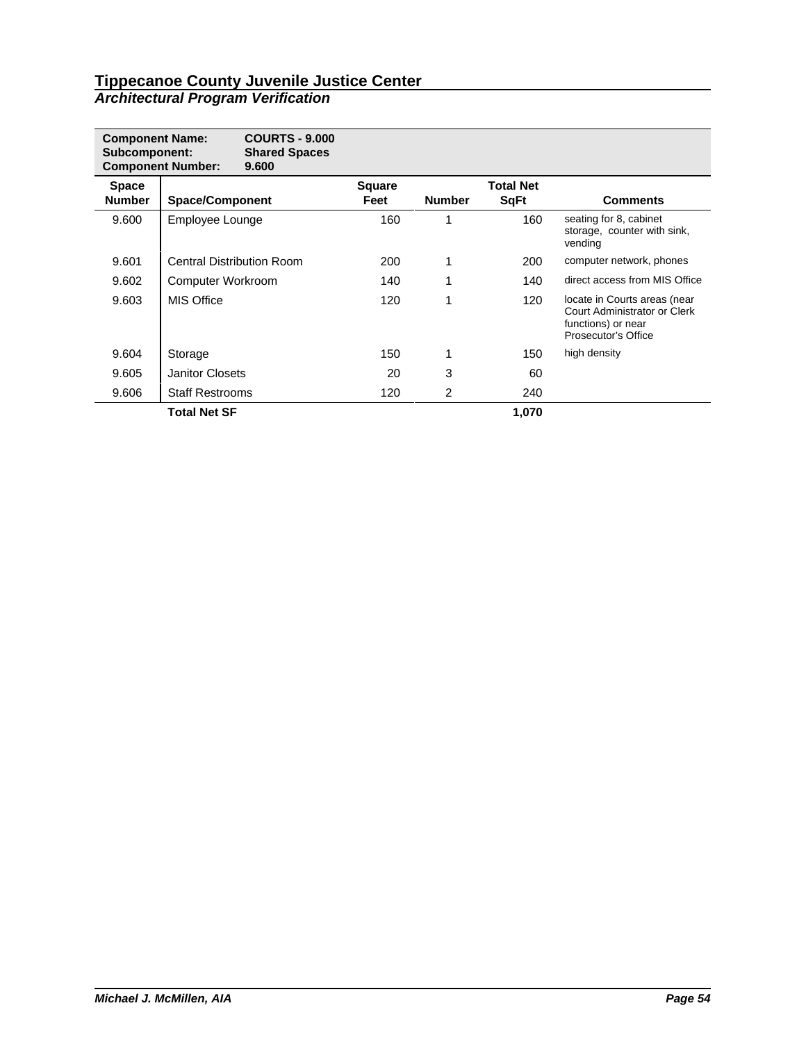| <b>Component Name:</b><br>Subcomponent: | <b>Component Number:</b> | <b>COURTS - 9.000</b><br><b>Shared Spaces</b><br>9.600 |                       |               |                                 |                                                                                                           |
|-----------------------------------------|--------------------------|--------------------------------------------------------|-----------------------|---------------|---------------------------------|-----------------------------------------------------------------------------------------------------------|
| <b>Space</b><br><b>Number</b>           | <b>Space/Component</b>   |                                                        | <b>Square</b><br>Feet | <b>Number</b> | <b>Total Net</b><br><b>SqFt</b> | <b>Comments</b>                                                                                           |
| 9.600                                   | Employee Lounge          |                                                        | 160                   | 1             | 160                             | seating for 8, cabinet<br>storage, counter with sink,<br>vending                                          |
| 9.601                                   |                          | Central Distribution Room                              | 200                   |               | 200                             | computer network, phones                                                                                  |
| 9.602                                   | Computer Workroom        |                                                        | 140                   |               | 140                             | direct access from MIS Office                                                                             |
| 9.603                                   | <b>MIS Office</b>        |                                                        | 120                   |               | 120                             | locate in Courts areas (near<br>Court Administrator or Clerk<br>functions) or near<br>Prosecutor's Office |
| 9.604                                   | Storage                  |                                                        | 150                   |               | 150                             | high density                                                                                              |
| 9.605                                   | <b>Janitor Closets</b>   |                                                        | 20                    | 3             | 60                              |                                                                                                           |
| 9.606                                   | <b>Staff Restrooms</b>   |                                                        | 120                   | 2             | 240                             |                                                                                                           |
|                                         | <b>Total Net SF</b>      |                                                        |                       |               | 1,070                           |                                                                                                           |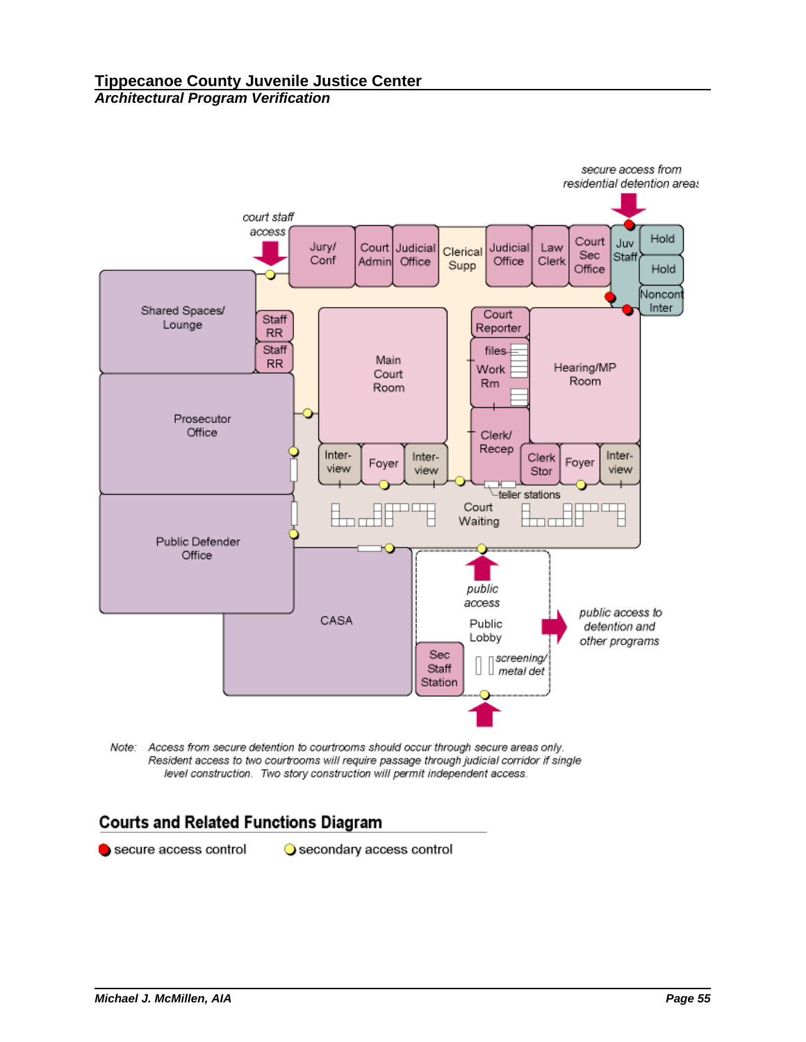

Note: Access from secure detention to courtrooms should occur through secure areas only. Resident access to two courtrooms will require passage through judicial corridor if single level construction. Two story construction will permit independent access.

# **Courts and Related Functions Diagram**

secure access control

Secondary access control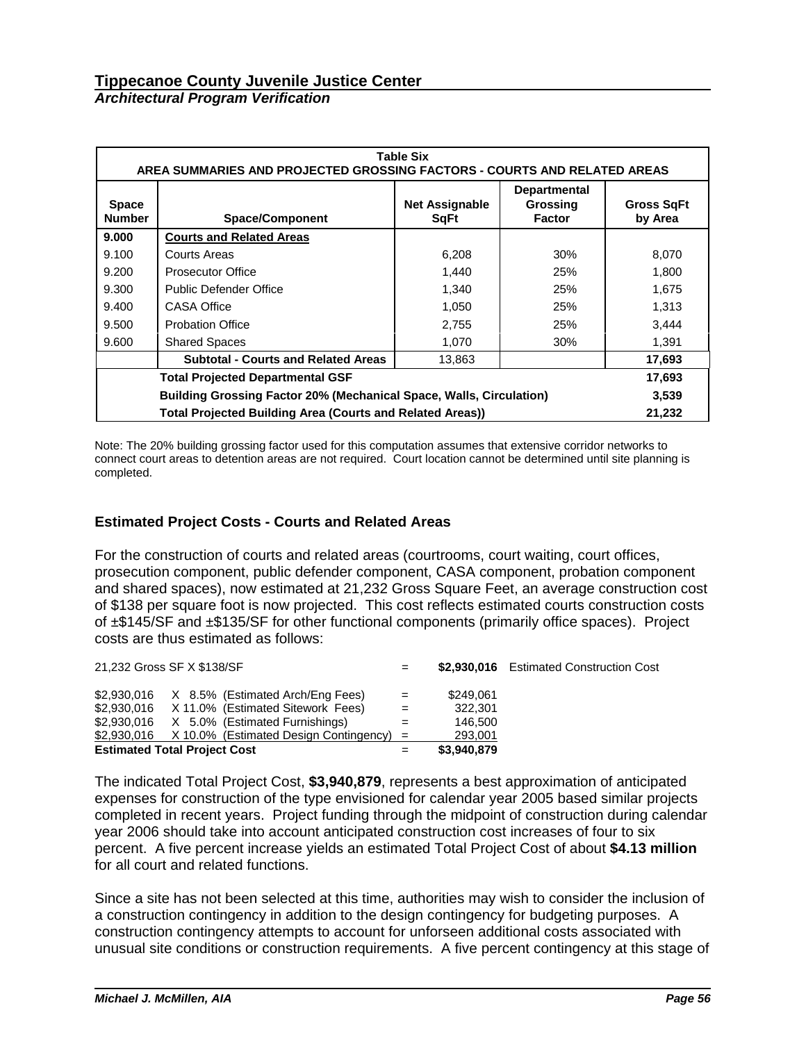|                               | <b>Table Six</b><br>AREA SUMMARIES AND PROJECTED GROSSING FACTORS - COURTS AND RELATED AREAS |                              |     |        |  |  |  |  |  |  |
|-------------------------------|----------------------------------------------------------------------------------------------|------------------------------|-----|--------|--|--|--|--|--|--|
| <b>Space</b><br><b>Number</b> | <b>Space/Component</b>                                                                       | <b>Gross SqFt</b><br>by Area |     |        |  |  |  |  |  |  |
| 9.000                         | <b>Courts and Related Areas</b>                                                              |                              |     |        |  |  |  |  |  |  |
| 9.100                         | Courts Areas                                                                                 | 6,208                        | 30% | 8,070  |  |  |  |  |  |  |
| 9.200                         | <b>Prosecutor Office</b>                                                                     | 1,440                        | 25% | 1,800  |  |  |  |  |  |  |
| 9.300                         | Public Defender Office                                                                       | 1,340                        | 25% | 1,675  |  |  |  |  |  |  |
| 9.400                         | <b>CASA Office</b>                                                                           | 1,050                        | 25% | 1,313  |  |  |  |  |  |  |
| 9.500                         | <b>Probation Office</b>                                                                      | 2,755                        | 25% | 3,444  |  |  |  |  |  |  |
| 9.600                         | <b>Shared Spaces</b>                                                                         | 1,070                        | 30% | 1,391  |  |  |  |  |  |  |
|                               | <b>Subtotal - Courts and Related Areas</b>                                                   | 13,863                       |     | 17,693 |  |  |  |  |  |  |
|                               | <b>Total Projected Departmental GSF</b>                                                      |                              |     | 17,693 |  |  |  |  |  |  |
|                               | <b>Building Grossing Factor 20% (Mechanical Space, Walls, Circulation)</b>                   |                              |     |        |  |  |  |  |  |  |
|                               | <b>Total Projected Building Area (Courts and Related Areas))</b>                             |                              |     | 21,232 |  |  |  |  |  |  |

Note: The 20% building grossing factor used for this computation assumes that extensive corridor networks to connect court areas to detention areas are not required. Court location cannot be determined until site planning is completed.

## **Estimated Project Costs - Courts and Related Areas**

For the construction of courts and related areas (courtrooms, court waiting, court offices, prosecution component, public defender component, CASA component, probation component and shared spaces), now estimated at 21,232 Gross Square Feet, an average construction cost of \$138 per square foot is now projected. This cost reflects estimated courts construction costs of ±\$145/SF and ±\$135/SF for other functional components (primarily office spaces). Project costs are thus estimated as follows:

| 21,232 Gross SF X \$138/SF                            |     |             | \$2,930,016 Estimated Construction Cost |
|-------------------------------------------------------|-----|-------------|-----------------------------------------|
| $$2,930,016$ X 8.5% (Estimated Arch/Eng Fees)         | $=$ | \$249.061   |                                         |
| $$2,930,016$ X 11.0% (Estimated Sitework Fees)        | $=$ | 322.301     |                                         |
| $$2,930,016$ X 5.0% (Estimated Furnishings)           | $=$ | 146.500     |                                         |
| $$2,930,016$ X 10.0% (Estimated Design Contingency) = |     | 293,001     |                                         |
| <b>Estimated Total Project Cost</b>                   |     | \$3,940,879 |                                         |

The indicated Total Project Cost, **\$3,940,879**, represents a best approximation of anticipated expenses for construction of the type envisioned for calendar year 2005 based similar projects completed in recent years. Project funding through the midpoint of construction during calendar year 2006 should take into account anticipated construction cost increases of four to six percent. A five percent increase yields an estimated Total Project Cost of about **\$4.13 million** for all court and related functions.

Since a site has not been selected at this time, authorities may wish to consider the inclusion of a construction contingency in addition to the design contingency for budgeting purposes. A construction contingency attempts to account for unforseen additional costs associated with unusual site conditions or construction requirements. A five percent contingency at this stage of